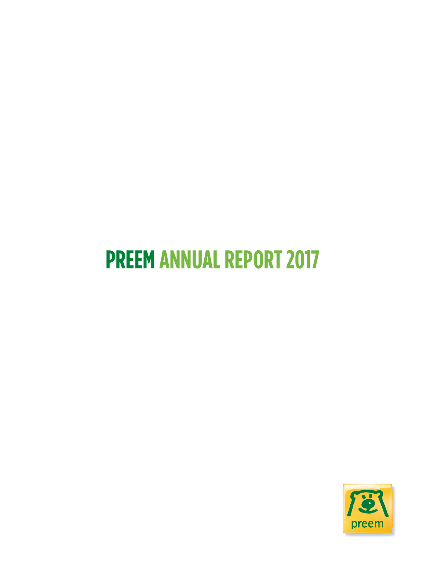# **PREEM ANNUAL REPORT 2017**

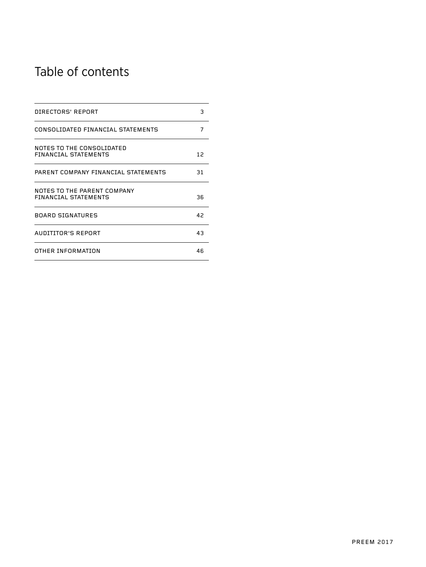## Table of contents

| DIRECTORS' REPORT                                          | з  |
|------------------------------------------------------------|----|
| CONSOLIDATED FINANCIAL STATEMENTS                          | 7  |
| NOTES TO THE CONSOLIDATED<br>FINANCIAL STATEMENTS          | 12 |
| PARENT COMPANY FINANCIAL STATEMENTS                        | 31 |
| NOTES TO THE PARENT COMPANY<br><b>FINANCIAL STATEMENTS</b> | 36 |
| <b>BOARD SIGNATURES</b>                                    | 42 |
| AUDITITOR'S REPORT                                         | 43 |
| OTHER INFORMATION                                          | 46 |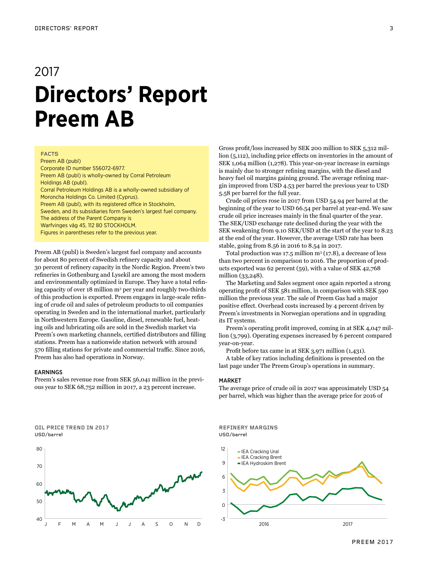## 2017 **Directors' Report Preem AB**

## **FACTS**

Preem AB (publ) Corporate ID number 556072-6977. Preem AB (publ) is wholly-owned by Corral Petroleum Holdings AB (publ). Corral Petroleum Holdings AB is a wholly-owned subsidiary of Moroncha Holdings Co. Limited (Cyprus). Preem AB (publ), with its registered office in Stockholm, Sweden, and its subsidiaries form Sweden's largest fuel company. The address of the Parent Company is Warfvinges väg 45, 112 80 STOCKHOLM. Figures in parentheses refer to the previous year.

Preem AB (publ) is Sweden's largest fuel company and accounts for about 80 percent of Swedish refinery capacity and about 30 percent of refinery capacity in the Nordic Region. Preem's two refineries in Gothenburg and Lysekil are among the most modern and environmentally optimized in Europe. They have a total refining capacity of over 18 million m<sup>3</sup> per year and roughly two-thirds of this production is exported. Preem engages in large-scale refining of crude oil and sales of petroleum products to oil companies operating in Sweden and in the international market, particularly in Northwestern Europe. Gasoline, diesel, renewable fuel, heating oils and lubricating oils are sold in the Swedish market via Preem's own marketing channels, certified distributors and filling stations. Preem has a nationwide station network with around 570 filling stations for private and commercial traffic. Since 2016, Preem has also had operations in Norway.

## EARNINGS

Preem's sales revenue rose from SEK 56,041 million in the previous year to SEK 68,752 million in 2017, a 23 percent increase.

Gross profit/loss increased by SEK 200 million to SEK 5,312 million (5,112), including price effects on inventories in the amount of SEK 1,064 million (1,278). This year-on-year increase in earnings is mainly due to stronger refining margins, with the diesel and heavy fuel oil margins gaining ground. The average refining margin improved from USD 4.53 per barrel the previous year to USD 5.58 per barrel for the full year.

Crude oil prices rose in 2017 from USD 54.94 per barrel at the beginning of the year to USD 66.54 per barrel at year-end. We saw crude oil price increases mainly in the final quarter of the year. The SEK/USD exchange rate declined during the year with the SEK weakening from 9.10 SEK/USD at the start of the year to 8.23 at the end of the year. However, the average USD rate has been stable, going from 8.56 in 2016 to 8.54 in 2017.

Total production was 17.5 million  $m^3$  (17.8), a decrease of less than two percent in comparison to 2016. The proportion of products exported was 62 percent (59), with a value of SEK 42,768 million (33,248).

The Marketing and Sales segment once again reported a strong operating profit of SEK 581 million, in comparison with SEK 590 million the previous year. The sale of Preem Gas had a major positive effect. Overhead costs increased by 4 percent driven by Preem's investments in Norwegian operations and in upgrading its IT systems.

Preem's operating profit improved, coming in at SEK 4,047 million (3,799). Operating expenses increased by 6 percent compared year-on-year.

Profit before tax came in at SEK 3,971 million (1,431).

A table of key ratios including definitions is presented on the last page under The Preem Group's operations in summary.

### **MARKET**

The average price of crude oil in 2017 was approximately USD 54 per barrel, which was higher than the average price for 2016 of





**REFINERY MARGINS** USD/barrel

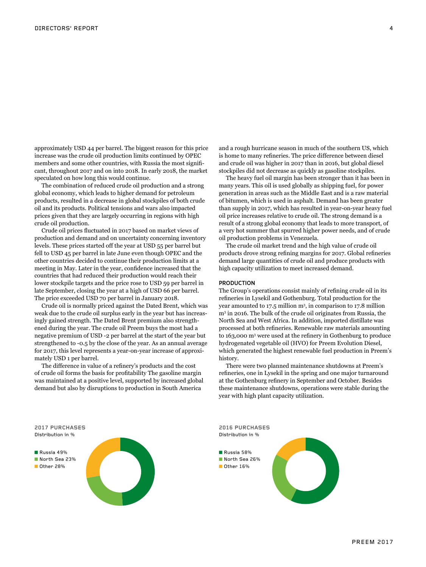approximately USD 44 per barrel. The biggest reason for this price increase was the crude oil production limits continued by OPEC members and some other countries, with Russia the most significant, throughout 2017 and on into 2018. In early 2018, the market speculated on how long this would continue.

The combination of reduced crude oil production and a strong global economy, which leads to higher demand for petroleum products, resulted in a decrease in global stockpiles of both crude oil and its products. Political tensions and wars also impacted prices given that they are largely occurring in regions with high crude oil production.

Crude oil prices fluctuated in 2017 based on market views of production and demand and on uncertainty concerning inventory levels. These prices started off the year at USD 55 per barrel but fell to USD 45 per barrel in late June even though OPEC and the other countries decided to continue their production limits at a meeting in May. Later in the year, confidence increased that the countries that had reduced their production would reach their lower stockpile targets and the price rose to USD 59 per barrel in late September, closing the year at a high of USD 66 per barrel. The price exceeded USD 70 per barrel in January 2018.

Crude oil is normally priced against the Dated Brent, which was weak due to the crude oil surplus early in the year but has increasingly gained strength. The Dated Brent premium also strengthened during the year. The crude oil Preem buys the most had a negative premium of USD -2 per barrel at the start of the year but strengthened to -0.5 by the close of the year. As an annual average for 2017, this level represents a year-on-year increase of approximately USD 1 per barrel.

The difference in value of a refinery's products and the cost of crude oil forms the basis for profitability The gasoline margin was maintained at a positive level, supported by increased global demand but also by disruptions to production in South America

and a rough hurricane season in much of the southern US, which is home to many refineries. The price difference between diesel and crude oil was higher in 2017 than in 2016, but global diesel stockpiles did not decrease as quickly as gasoline stockpiles.

The heavy fuel oil margin has been stronger than it has been in many years. This oil is used globally as shipping fuel, for power generation in areas such as the Middle East and is a raw material of bitumen, which is used in asphalt. Demand has been greater than supply in 2017, which has resulted in year-on-year heavy fuel oil price increases relative to crude oil. The strong demand is a result of a strong global economy that leads to more transport, of a very hot summer that spurred higher power needs, and of crude oil production problems in Venezuela.

The crude oil market trend and the high value of crude oil products drove strong refining margins for 2017. Global refineries demand large quantities of crude oil and produce products with high capacity utilization to meet increased demand.

## PRODUCTION

The Group's operations consist mainly of refining crude oil in its refineries in Lysekil and Gothenburg. Total production for the year amounted to 17.5 million m<sup>3</sup> , in comparison to 17.8 million m3 in 2016. The bulk of the crude oil originates from Russia, the North Sea and West Africa. In addition, imported distillate was processed at both refineries. Renewable raw materials amounting to 163,000 m<sup>3</sup> were used at the refinery in Gothenburg to produce hydrogenated vegetable oil (HVO) for Preem Evolution Diesel, which generated the highest renewable fuel production in Preem's history.

There were two planned maintenance shutdowns at Preem's refineries, one in Lysekil in the spring and one major turnaround at the Gothenburg refinery in September and October. Besides these maintenance shutdowns, operations were stable during the year with high plant capacity utilization.

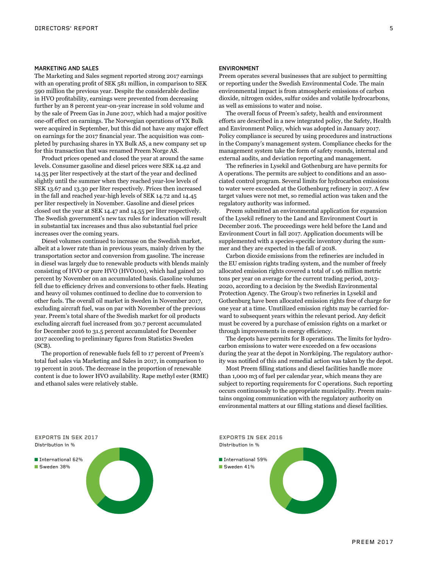## MARKETING AND SALES

The Marketing and Sales segment reported strong 2017 earnings with an operating profit of SEK 581 million, in comparison to SEK 590 million the previous year. Despite the considerable decline in HVO profitability, earnings were prevented from decreasing further by an 8 percent year-on-year increase in sold volume and by the sale of Preem Gas in June 2017, which had a major positive one-off effect on earnings. The Norwegian operations of YX Bulk were acquired in September, but this did not have any major effect on earnings for the 2017 financial year. The acquisition was completed by purchasing shares in YX Bulk AS, a new company set up for this transaction that was renamed Preem Norge AS.

Product prices opened and closed the year at around the same levels. Consumer gasoline and diesel prices were SEK 14.42 and 14.35 per liter respectively at the start of the year and declined slightly until the summer when they reached year-low levels of SEK 13.67 and 13.30 per liter respectively. Prices then increased in the fall and reached year-high levels of SEK 14.72 and 14.45 per liter respectively in November. Gasoline and diesel prices closed out the year at SEK 14.47 and 14.55 per liter respectively. The Swedish government's new tax rules for indexation will result in substantial tax increases and thus also substantial fuel price increases over the coming years.

Diesel volumes continued to increase on the Swedish market, albeit at a lower rate than in previous years, mainly driven by the transportation sector and conversion from gasoline. The increase in diesel was largely due to renewable products with blends mainly consisting of HVO or pure HVO (HVO100), which had gained 20 percent by November on an accumulated basis. Gasoline volumes fell due to efficiency drives and conversions to other fuels. Heating and heavy oil volumes continued to decline due to conversion to other fuels. The overall oil market in Sweden in November 2017, excluding aircraft fuel, was on par with November of the previous year. Preem's total share of the Swedish market for oil products excluding aircraft fuel increased from 30.7 percent accumulated for December 2016 to 31.5 percent accumulated for December 2017 according to preliminary figures from Statistics Sweden (SCB).

The proportion of renewable fuels fell to 17 percent of Preem's total fuel sales via Marketing and Sales in 2017, in comparison to 19 percent in 2016. The decrease in the proportion of renewable content is due to lower HVO availability. Rape methyl ester (RME) and ethanol sales were relatively stable.

## ENVIRONMENT

Preem operates several businesses that are subject to permitting or reporting under the Swedish Environmental Code. The main environmental impact is from atmospheric emissions of carbon dioxide, nitrogen oxides, sulfur oxides and volatile hydrocarbons, as well as emissions to water and noise.

The overall focus of Preem's safety, health and environment efforts are described in a new integrated policy, the Safety, Health and Environment Policy, which was adopted in January 2017. Policy compliance is secured by using procedures and instructions in the Company's management system. Compliance checks for the management system take the form of safety rounds, internal and external audits, and deviation reporting and management.

The refineries in Lysekil and Gothenburg are have permits for A operations. The permits are subject to conditions and an associated control program. Several limits for hydrocarbon emissions to water were exceeded at the Gothenburg refinery in 2017. A few target values were not met, so remedial action was taken and the regulatory authority was informed.

Preem submitted an environmental application for expansion of the Lysekil refinery to the Land and Environment Court in December 2016. The proceedings were held before the Land and Environment Court in fall 2017. Application documents will be supplemented with a species-specific inventory during the summer and they are expected in the fall of 2018.

Carbon dioxide emissions from the refineries are included in the EU emission rights trading system, and the number of freely allocated emission rights covered a total of 1.96 million metric tons per year on average for the current trading period, 2013- 2020, according to a decision by the Swedish Environmental Protection Agency. The Group's two refineries in Lysekil and Gothenburg have been allocated emission rights free of charge for one year at a time. Unutilized emission rights may be carried forward to subsequent years within the relevant period. Any deficit must be covered by a purchase of emission rights on a market or through improvements in energy efficiency.

The depots have permits for B operations. The limits for hydrocarbon emissions to water were exceeded on a few occasions during the year at the depot in Norrköping. The regulatory authority was notified of this and remedial action was taken by the depot.

Most Preem filling stations and diesel facilities handle more than 1,000 m3 of fuel per calendar year, which means they are subject to reporting requirements for C operations. Such reporting occurs continuously to the appropriate municipality. Preem maintains ongoing communication with the regulatory authority on environmental matters at our filling stations and diesel facilities.

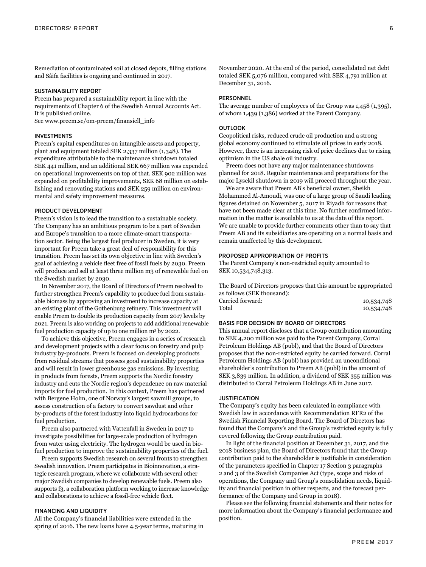Remediation of contaminated soil at closed depots, filling stations and Såifa facilities is ongoing and continued in 2017.

## SUSTAINABILITY REPORT

Preem has prepared a sustainability report in line with the requirements of Chapter 6 of the Swedish Annual Accounts Act. It is published online.

See www.preem.se/om-preem/finansiell\_info

## INVESTMENTS

Preem's capital expenditures on intangible assets and property, plant and equipment totaled SEK 2,337 million (1,348). The expenditure attributable to the maintenance shutdown totaled SEK 441 million, and an additional SEK 667 million was expended on operational improvements on top of that. SEK 902 million was expended on profitability improvements, SEK 68 million on establishing and renovating stations and SEK 259 million on environmental and safety improvement measures.

#### PRODUCT DEVELOPMENT

Preem's vision is to lead the transition to a sustainable society. The Company has an ambitious program to be a part of Sweden and Europe's transition to a more climate-smart transportation sector. Being the largest fuel producer in Sweden, it is very important for Preem take a great deal of responsibility for this transition. Preem has set its own objective in line with Sweden's goal of achieving a vehicle fleet free of fossil fuels by 2030. Preem will produce and sell at least three million m3 of renewable fuel on the Swedish market by 2030.

In November 2017, the Board of Directors of Preem resolved to further strengthen Preem's capability to produce fuel from sustainable biomass by approving an investment to increase capacity at an existing plant of the Gothenburg refinery. This investment will enable Preem to double its production capacity from 2017 levels by 2021. Preem is also working on projects to add additional renewable fuel production capacity of up to one million m3 by 2022.

To achieve this objective, Preem engages in a series of research and development projects with a clear focus on forestry and pulp industry by-products. Preem is focused on developing products from residual streams that possess good sustainability properties and will result in lower greenhouse gas emissions. By investing in products from forests, Preem supports the Nordic forestry industry and cuts the Nordic region's dependence on raw material imports for fuel production. In this context, Preem has partnered with Bergene Holm, one of Norway's largest sawmill groups, to assess construction of a factory to convert sawdust and other by-products of the forest industry into liquid hydrocarbons for fuel production.

Preem also partnered with Vattenfall in Sweden in 2017 to investigate possibilities for large-scale production of hydrogen from water using electricity. The hydrogen would be used in biofuel production to improve the sustainability properties of the fuel.

Preem supports Swedish research on several fronts to strengthen Swedish innovation. Preem participates in Bioinnovation, a strategic research program, where we collaborate with several other major Swedish companies to develop renewable fuels. Preem also supports f3, a collaboration platform working to increase knowledge and collaborations to achieve a fossil-free vehicle fleet.

## FINANCING AND LIQUIDITY

All the Company's financial liabilities were extended in the spring of 2016. The new loans have 4.5-year terms, maturing in November 2020. At the end of the period, consolidated net debt totaled SEK 5,076 million, compared with SEK 4,791 million at December 31, 2016.

### PERSONNEL

The average number of employees of the Group was 1,458 (1,395), of whom 1,439 (1,386) worked at the Parent Company.

## **OUTLOOK**

Geopolitical risks, reduced crude oil production and a strong global economy continued to stimulate oil prices in early 2018. However, there is an increasing risk of price declines due to rising optimism in the US shale oil industry.

Preem does not have any major maintenance shutdowns planned for 2018. Regular maintenance and preparations for the major Lysekil shutdown in 2019 will proceed throughout the year.

We are aware that Preem AB's beneficial owner, Sheikh Mohammed Al-Amoudi, was one of a large group of Saudi leading figures detained on November 5, 2017 in Riyadh for reasons that have not been made clear at this time. No further confirmed information in the matter is available to us at the date of this report. We are unable to provide further comments other than to say that Preem AB and its subsidiaries are operating on a normal basis and remain unaffected by this development.

## PROPOSED APPROPRIATION OF PROFITS

The Parent Company's non-restricted equity amounted to SEK 10,534,748,313.

The Board of Directors proposes that this amount be appropriated as follows (SEK thousand): Carried forward: 10,534,748 Total 10,534,748

## BASIS FOR DECISION BY BOARD OF DIRECTORS

This annual report discloses that a Group contribution amounting to SEK 4,200 million was paid to the Parent Company, Corral Petroleum Holdings AB (publ), and that the Board of Directors proposes that the non-restricted equity be carried forward. Corral Petroleum Holdings AB (publ) has provided an unconditional shareholder's contribution to Preem AB (publ) in the amount of SEK 3,839 million. In addition, a dividend of SEK 355 million was distributed to Corral Petroleum Holdings AB in June 2017.

## JUSTIFICATION

The Company's equity has been calculated in compliance with Swedish law in accordance with Recommendation RFR2 of the Swedish Financial Reporting Board. The Board of Directors has found that the Company's and the Group's restricted equity is fully covered following the Group contribution paid.

In light of the financial position at December 31, 2017, and the 2018 business plan, the Board of Directors found that the Group contribution paid to the shareholder is justifiable in consideration of the parameters specified in Chapter 17 Section 3 paragraphs 2 and 3 of the Swedish Companies Act (type, scope and risks of operations, the Company and Group's consolidation needs, liquidity and financial position in other respects, and the forecast performance of the Company and Group in 2018).

Please see the following financial statements and their notes for more information about the Company's financial performance and position.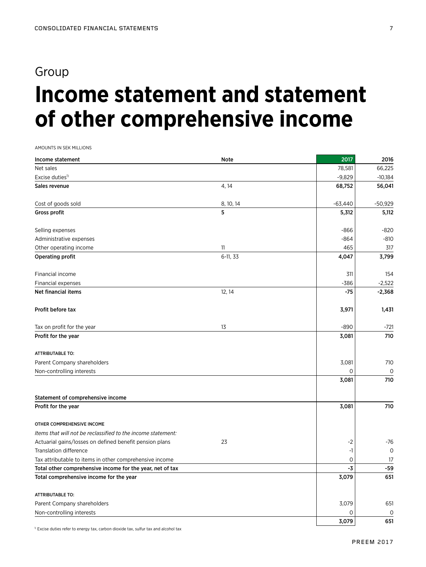## Group

# **Income statement and statement of other comprehensive income**

AMOUNTS IN SEK MILLIONS

| Income statement                                             | Note      | 2017         | 2016         |
|--------------------------------------------------------------|-----------|--------------|--------------|
| Net sales                                                    |           | 78,581       | 66.225       |
| Excise duties <sup>1)</sup>                                  |           | $-9,829$     | $-10,184$    |
| Sales revenue                                                | 4, 14     | 68,752       | 56,041       |
| Cost of goods sold                                           | 8, 10, 14 | $-63,440$    | $-50,929$    |
| Gross profit                                                 | 5         | 5,312        | 5,112        |
| Selling expenses                                             |           | $-866$       | -820         |
| Administrative expenses                                      |           | $-864$       | $-810$       |
| Other operating income                                       | 11        | 465          | 317          |
| <b>Operating profit</b>                                      | 6-11, 33  | 4,047        | 3,799        |
| Financial income                                             |           | 311          | 154          |
| Financial expenses                                           |           | -386         | $-2,522$     |
| <b>Net financial items</b>                                   | 12, 14    | $-75$        | $-2,368$     |
| Profit before tax                                            |           | 3,971        | 1,431        |
| Tax on profit for the year                                   | 13        | $-890$       | $-721$       |
| Profit for the year                                          |           | 3,081        | 710          |
| <b>ATTRIBUTABLE TO:</b>                                      |           |              |              |
| Parent Company shareholders                                  |           | 3,081        | 710          |
| Non-controlling interests                                    |           | $\Omega$     | $\mathsf{O}$ |
|                                                              |           | 3,081        | 710          |
| Statement of comprehensive income                            |           |              |              |
| Profit for the year                                          |           | 3,081        | 710          |
| OTHER COMPREHENSIVE INCOME                                   |           |              |              |
| Items that will not be reclassified to the income statement: |           |              |              |
| Actuarial gains/losses on defined benefit pension plans      | 23        | $-2$         | $-76$        |
| <b>Translation difference</b>                                |           | $-1$         | $\mathsf{O}$ |
| Tax attributable to items in other comprehensive income      |           | $\mathsf{O}$ | 17           |
| Total other comprehensive income for the year, net of tax    |           | -3           | $-59$        |
| Total comprehensive income for the year                      |           | 3,079        | 651          |
| <b>ATTRIBUTABLE TO:</b>                                      |           |              |              |
| Parent Company shareholders                                  |           | 3,079        | 651          |
| Non-controlling interests                                    |           | 0            | 0            |
|                                                              |           | 3,079        | 651          |

<sup>1)</sup> Excise duties refer to energy tax, carbon dioxide tax, sulfur tax and alcohol tax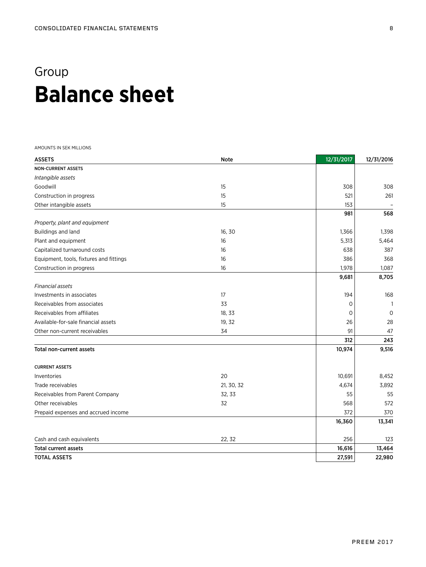## Group **Balance sheet**

AMOUNTS IN SEK MILLIONS

| <b>ASSETS</b>                           | <b>Note</b> | 12/31/2017 | 12/31/2016   |
|-----------------------------------------|-------------|------------|--------------|
| <b>NON-CURRENT ASSETS</b>               |             |            |              |
| Intangible assets                       |             |            |              |
| Goodwill                                | 15          | 308        | 308          |
| Construction in progress                | 15          | 521        | 261          |
| Other intangible assets                 | 15          | 153        |              |
|                                         |             | 981        | 568          |
| Property, plant and equipment           |             |            |              |
| Buildings and land                      | 16, 30      | 1,366      | 1,398        |
| Plant and equipment                     | 16          | 5,313      | 5,464        |
| Capitalized turnaround costs            | 16          | 638        | 387          |
| Equipment, tools, fixtures and fittings | 16          | 386        | 368          |
| Construction in progress                | 16          | 1,978      | 1,087        |
|                                         |             | 9,681      | 8,705        |
| Financial assets                        |             |            |              |
| Investments in associates               | 17          | 194        | 168          |
| Receivables from associates             | 33          | 0          | $\mathbf{1}$ |
| Receivables from affiliates             | 18, 33      | $\Omega$   | $\mathbf 0$  |
| Available-for-sale financial assets     | 19, 32      | 26         | 28           |
| Other non-current receivables           | 34          | 91         | 47           |
|                                         |             | 312        | 243          |
| <b>Total non-current assets</b>         |             | 10,974     | 9,516        |
| <b>CURRENT ASSETS</b>                   |             |            |              |
| Inventories                             | 20          | 10,691     | 8,452        |
| Trade receivables                       | 21, 30, 32  | 4,674      | 3,892        |
| Receivables from Parent Company         | 32, 33      | 55         | 55           |
| Other receivables                       | 32          | 568        | 572          |
| Prepaid expenses and accrued income     |             | 372        | 370          |
|                                         |             | 16,360     | 13,341       |
| Cash and cash equivalents               | 22, 32      | 256        | 123          |
| <b>Total current assets</b>             |             | 16,616     | 13,464       |
| <b>TOTAL ASSETS</b>                     |             | 27,591     | 22,980       |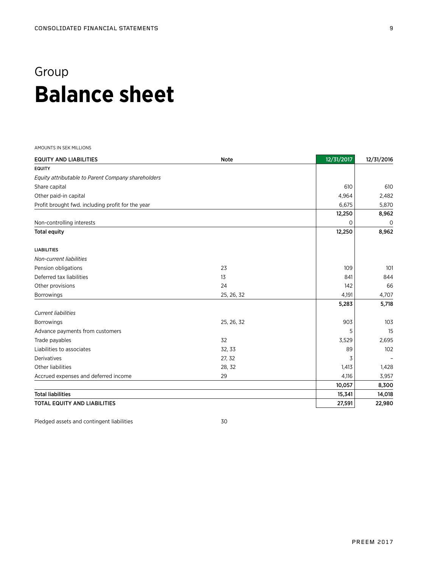## Group **Balance sheet**

AMOUNTS IN SEK MILLIONS

| <b>EQUITY AND LIABILITIES</b>                      | <b>Note</b> | 12/31/2017 | 12/31/2016 |
|----------------------------------------------------|-------------|------------|------------|
| <b>EQUITY</b>                                      |             |            |            |
| Equity attributable to Parent Company shareholders |             |            |            |
| Share capital                                      |             | 610        | 610        |
| Other paid-in capital                              |             | 4,964      | 2,482      |
| Profit brought fwd. including profit for the year  |             | 6,675      | 5,870      |
|                                                    |             | 12,250     | 8,962      |
| Non-controlling interests                          |             | 0          | $\circ$    |
| <b>Total equity</b>                                |             | 12,250     | 8,962      |
| <b>LIABILITIES</b>                                 |             |            |            |
| Non-current liabilities                            |             |            |            |
| Pension obligations                                | 23          | 109        | 101        |
| Deferred tax liabilities                           | 13          | 841        | 844        |
| Other provisions                                   | 24          | 142        | 66         |
| <b>Borrowings</b>                                  | 25, 26, 32  | 4,191      | 4,707      |
|                                                    |             | 5,283      | 5,718      |
| <b>Current liabilities</b>                         |             |            |            |
| <b>Borrowings</b>                                  | 25, 26, 32  | 903        | 103        |
| Advance payments from customers                    |             | 5          | 15         |
| Trade payables                                     | 32          | 3,529      | 2,695      |
| Liabilities to associates                          | 32, 33      | 89         | 102        |
| Derivatives                                        | 27, 32      | 3          |            |
| Other liabilities                                  | 28, 32      | 1,413      | 1,428      |
| Accrued expenses and deferred income               | 29          | 4,116      | 3,957      |
|                                                    |             | 10,057     | 8,300      |
| <b>Total liabilities</b>                           |             | 15,341     | 14,018     |
| <b>TOTAL EQUITY AND LIABILITIES</b>                |             | 27,591     | 22,980     |

Pledged assets and contingent liabilities 30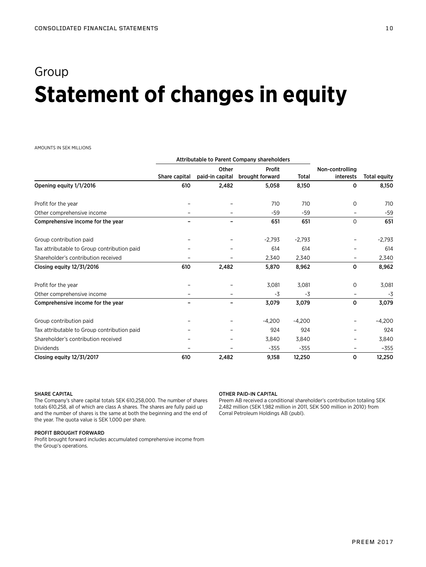## Group **Statement of changes in equity**

#### AMOUNTS IN SEK MILLIONS

|                                             | Attributable to Parent Company shareholders |                 |                 |          |                 |                     |
|---------------------------------------------|---------------------------------------------|-----------------|-----------------|----------|-----------------|---------------------|
|                                             |                                             | Other           | Profit          |          | Non-controlling |                     |
|                                             | Share capital                               | paid-in capital | brought forward | Total    | interests       | <b>Total equity</b> |
| Opening equity 1/1/2016                     | 610                                         | 2,482           | 5,058           | 8,150    | 0               | 8,150               |
| Profit for the year                         |                                             |                 | 710             | 710      | 0               | 710                 |
| Other comprehensive income                  |                                             |                 | $-59$           | $-59$    |                 | $-59$               |
| Comprehensive income for the year           |                                             |                 | 651             | 651      | 0               | 651                 |
| Group contribution paid                     |                                             |                 | $-2,793$        | $-2,793$ |                 | $-2,793$            |
| Tax attributable to Group contribution paid |                                             |                 | 614             | 614      |                 | 614                 |
| Shareholder's contribution received         |                                             |                 | 2,340           | 2,340    |                 | 2,340               |
| Closing equity 12/31/2016                   | 610                                         | 2,482           | 5,870           | 8,962    | 0               | 8,962               |
| Profit for the year                         |                                             |                 | 3,081           | 3,081    | $\circ$         | 3,081               |
| Other comprehensive income                  |                                             |                 | $-3$            | $-3$     |                 | -3                  |
| Comprehensive income for the year           |                                             |                 | 3,079           | 3,079    | 0               | 3,079               |
| Group contribution paid                     |                                             |                 | $-4,200$        | $-4,200$ |                 | $-4,200$            |
| Tax attributable to Group contribution paid |                                             |                 | 924             | 924      |                 | 924                 |
| Shareholder's contribution received         |                                             |                 | 3,840           | 3,840    |                 | 3,840               |
| <b>Dividends</b>                            |                                             |                 | $-355$          | $-355$   |                 | $-355$              |
| Closing equity 12/31/2017                   | 610                                         | 2,482           | 9,158           | 12,250   | 0               | 12,250              |

### SHARE CAPITAL

The Company's share capital totals SEK 610,258,000. The number of shares totals 610,258, all of which are class A shares. The shares are fully paid up and the number of shares is the same at both the beginning and the end of the year. The quota value is SEK 1,000 per share.

### PROFIT BROUGHT FORWARD

Profit brought forward includes accumulated comprehensive income from the Group's operations.

### OTHER PAID-IN CAPITAL

Preem AB received a conditional shareholder's contribution totaling SEK 2,482 million (SEK 1,982 million in 2011, SEK 500 million in 2010) from Corral Petroleum Holdings AB (publ).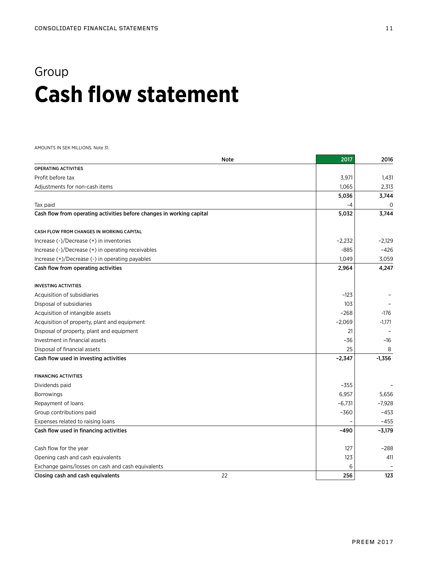## Group **Cash flow statement**

AMOUNTS IN SEK MILLIONS. Note 31.

|                                                                       | Note | 2017     | 2016     |
|-----------------------------------------------------------------------|------|----------|----------|
| OPERATING ACTIVITIES                                                  |      |          |          |
| Profit before tax                                                     |      | 3,971    | 1,431    |
| Adjustments for non-cash items                                        |      | 1,065    | 2,313    |
|                                                                       |      | 5,036    | 3,744    |
| Tax paid                                                              |      | -4       | 0        |
| Cash flow from operating activities before changes in working capital |      | 5,032    | 3,744    |
| CASH FLOW FROM CHANGES IN WORKING CAPITAL                             |      |          |          |
| Increase $(-)/$ Decrease $(+)$ in inventories                         |      | $-2,232$ | $-2,129$ |
| Increase (-)/Decrease (+) in operating receivables                    |      | $-885$   | $-426$   |
| Increase (+)/Decrease (-) in operating payables                       |      | 1,049    | 3,059    |
| Cash flow from operating activities                                   |      | 2,964    | 4,247    |
| <b>INVESTING ACTIVITIES</b>                                           |      |          |          |
| Acquisition of subsidiaries                                           |      | $-123$   |          |
| Disposal of subsidiaries                                              |      | 103      |          |
| Acquisition of intangible assets                                      |      | $-268$   | $-176$   |
| Acquisition of property, plant and equipment                          |      | $-2,069$ | $-1,171$ |
| Disposal of property, plant and equipment                             |      | 21       |          |
| Investment in financial assets                                        |      | -36      | $-16$    |
| Disposal of financial assets                                          |      | 25       | 8        |
| Cash flow used in investing activities                                |      | $-2,347$ | $-1,356$ |
| <b>FINANCING ACTIVITIES</b>                                           |      |          |          |
| Dividends paid                                                        |      | $-355$   |          |
| <b>Borrowings</b>                                                     |      | 6,957    | 5,656    |
| Repayment of loans                                                    |      | $-6,731$ | $-7,928$ |
| Group contributions paid                                              |      | $-360$   | $-453$   |
| Expenses related to raising loans                                     |      |          | $-455$   |
| Cash flow used in financing activities                                |      | $-490$   | $-3,179$ |
| Cash flow for the year                                                |      | 127      | $-288$   |
| Opening cash and cash equivalents                                     |      | 123      | 411      |
| Exchange gains/losses on cash and cash equivalents                    |      | 6        |          |
| Closing cash and cash equivalents                                     | 22   | 256      | 123      |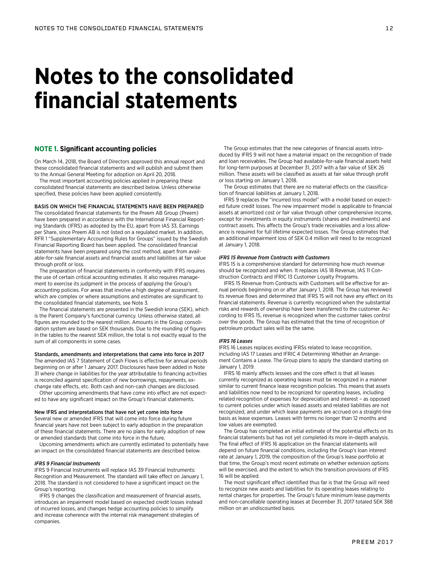## **Notes to the consolidated financial statements**

## **NOTE 1. Significant accounting policies**

On March 14, 2018, the Board of Directors approved this annual report and these consolidated financial statements and will publish and submit them to the Annual General Meeting for adoption on April 20, 2018.

The most important accounting policies applied in preparing these consolidated financial statements are described below. Unless otherwise specified, these policies have been applied consistently.

## BASIS ON WHICH THE FINANCIAL STATEMENTS HAVE BEEN PREPARED

The consolidated financial statements for the Preem AB Group (Preem) have been prepared in accordance with the International Financial Reporting Standards (IFRS) as adopted by the EU, apart from IAS 33, Earnings per Share, since Preem AB is not listed on a regulated market. In addition, RFR 1 "Supplementary Accounting Rules for Groups" issued by the Swedish Financial Reporting Board has been applied. The consolidated financial statements have been prepared using the cost method, apart from available-for-sale financial assets and financial assets and liabilities at fair value through profit or loss.

The preparation of financial statements in conformity with IFRS requires the use of certain critical accounting estimates. It also requires management to exercise its judgment in the process of applying the Group's accounting policies. For areas that involve a high degree of assessment, which are complex or where assumptions and estimates are significant to the consolidated financial statements, see Note 3.

The financial statements are presented in the Swedish krona (SEK), which is the Parent Company's functional currency. Unless otherwise stated, all figures are rounded to the nearest million. Amounts in the Group consolidation system are based on SEK thousands. Due to the rounding of figures in the tables to the nearest SEK million, the total is not exactly equal to the sum of all components in some cases.

#### Standards, amendments and interpretations that came into force in 2017

The amended IAS 7 Statement of Cash Flows is effective for annual periods beginning on or after 1 January 2017. Disclosures have been added in Note 31 where change in liabilities for the year attributable to financing activities is reconciled against specification of new borrowings, repayments, exchange rate effects, etc. Both cash and non-cash changes are disclosed.

Other upcoming amendments that have come into effect are not expected to have any significant impact on the Group's financial statements.

### New IFRS and interpretations that have not yet come into force Several new or amended IFRS that will come into force during future

financial years have not been subject to early adoption in the preparation of these financial statements. There are no plans for early adoption of new or amended standards that come into force in the future.

Upcoming amendments which are currently estimated to potentially have an impact on the consolidated financial statements are described below.

#### *IFRS 9 Financial Instruments*

IFRS 9 Financial Instruments will replace IAS 39 Financial Instruments: Recognition and Measurement. The standard will take effect on January 1, 2018. The standard is not considered to have a significant impact on the Group's reporting.

IFRS 9 changes the classification and measurement of financial assets, introduces an impairment model based on expected credit losses instead of incurred losses, and changes hedge accounting policies to simplify and increase coherence with the internal risk management strategies of companies.

The Group estimates that the new categories of financial assets introduced by IFRS 9 will not have a material impact on the recognition of trade and loan receivables. The Group had available-for-sale financial assets held for long-term purposes at December 31, 2017 with a fair value of SEK 26 million. These assets will be classified as assets at fair value through profit or loss starting on January 1, 2018.

The Group estimates that there are no material effects on the classification of financial liabilities at January 1, 2018.

IFRS 9 replaces the "incurred loss model" with a model based on expected future credit losses. The new impairment model is applicable to financial assets at amortized cost or fair value through other comprehensive income, except for investments in equity instruments (shares and investments) and contract assets. This affects the Group's trade receivables and a loss allowance is required for full lifetime expected losses. The Group estimates that an additional impairment loss of SEK 0.4 million will need to be recognized at January 1, 2018.

#### *IFRS 15 Revenue from Contracts with Customers*

IFRS 15 is a comprehensive standard for determining how much revenue should be recognized and when. It replaces IAS 18 Revenue, IAS 11 Construction Contracts and IFRIC 13 Customer Loyalty Programs.

IFRS 15 Revenue from Contracts with Customers will be effective for annual periods beginning on or after January 1, 2018. The Group has reviewed its revenue flows and determined that IFRS 15 will not have any effect on its financial statements. Revenue is currently recognized when the substantial risks and rewards of ownership have been transferred to the customer. According to IFRS 15, revenue is recognized when the customer takes control over the goods. The Group has estimated that the time of recognition of petroleum product sales will be the same.

#### *IFRS 16 Leases*

IFRS 16 Leases replaces existing IFRSs related to lease recognition, including IAS 17 Leases and IFRIC 4 Determining Whether an Arrangement Contains a Lease. The Group plans to apply the standard starting on January 1, 2019.

IFRS 16 mainly affects lessees and the core effect is that all leases currently recognized as operating leases must be recognized in a manner similar to current finance lease recognition policies. This means that assets and liabilities now need to be recognized for operating leases, including related recognition of expenses for depreciation and interest – as opposed to current policies under which leased assets and related liabilities are not recognized, and under which lease payments are accrued on a straight-line basis as lease expenses. Leases with terms no longer than 12 months and low values are exempted.

The Group has completed an initial estimate of the potential effects on its financial statements but has not yet completed its more in-depth analysis. The final effect of IFRS 16 application on the financial statements will depend on future financial conditions, including the Group's loan interest rate at January 1, 2019, the composition of the Group's lease portfolio at that time, the Group's most recent estimate on whether extension options will be exercised, and the extent to which the transition provisions of IFRS 16 will be applied.

The most significant effect identified thus far is that the Group will need to recognize new assets and liabilities for its operating leases relating to rental charges for properties. The Group's future minimum lease payments and non-cancellable operating leases at December 31, 2017 totaled SEK 388 million on an undiscounted basis.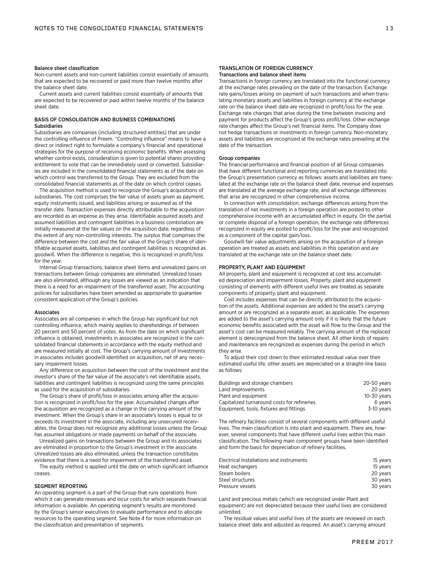#### Balance sheet classification

Non-current assets and non-current liabilities consist essentially of amounts that are expected to be recovered or paid more than twelve months after the balance sheet date.

Current assets and current liabilities consist essentially of amounts that are expected to be recovered or paid within twelve months of the balance sheet date.

## BASIS OF CONSOLIDATION AND BUSINESS COMBINATIONS Subsidiaries

Subsidiaries are companies (including structured entities) that are under the controlling influence of Preem. "Controlling influence" means to have a direct or indirect right to formulate a company's financial and operational strategies for the purpose of receiving economic benefits. When assessing whether control exists, consideration is given to potential shares providing entitlement to vote that can be immediately used or converted. Subsidiaries are included in the consolidated financial statements as of the date on which control was transferred to the Group. They are excluded from the consolidated financial statements as of the date on which control ceases.

The acquisition method is used to recognize the Group's acquisitions of subsidiaries. The cost comprises the fair value of assets given as payment, equity instruments issued, and liabilities arising or assumed as of the transfer date. Transaction expenses directly attributable to the acquisition are recorded as an expense as they arise. Identifiable acquired assets and assumed liabilities and contingent liabilities in a business combination are initially measured at the fair values on the acquisition date, regardless of the extent of any non-controlling interests. The surplus that comprises the difference between the cost and the fair value of the Group's share of identifiable acquired assets, liabilities and contingent liabilities is recognized as goodwill. When the difference is negative, this is recognized in profit/loss for the year.

Internal Group transactions, balance sheet items and unrealized gains on transactions between Group companies are eliminated. Unrealized losses are also eliminated, although any losses are viewed as an indication that there is a need for an impairment of the transferred asset. The accounting policies for subsidiaries have been amended as appropriate to guarantee consistent application of the Group's policies.

#### **Associates**

Associates are all companies in which the Group has significant but not controlling influence, which mainly applies to shareholdings of between 20 percent and 50 percent of votes. As from the date on which significant influence is obtained, investments in associates are recognized in the consolidated financial statements in accordance with the equity method and are measured initially at cost. The Group's carrying amount of investments in associates includes goodwill identified on acquisition, net of any necessary impairment losses.

Any difference on acquisition between the cost of the investment and the investor's share of the fair value of the associate's net identifiable assets, liabilities and contingent liabilities is recognized using the same principles as used for the acquisition of subsidiaries.

The Group's share of profit/loss in associates arising after the acquisition is recognized in profit/loss for the year. Accumulated changes after the acquisition are recognized as a change in the carrying amount of the investment. When the Group's share in an associate's losses is equal to or exceeds its investment in the associate, including any unsecured receivables, the Group does not recognize any additional losses unless the Group has assumed obligations or made payments on behalf of the associate.

Unrealized gains on transactions between the Group and its associates are eliminated in proportion to the Group's investment in the associate. Unrealized losses are also eliminated, unless the transaction constitutes evidence that there is a need for impairment of the transferred asset.

The equity method is applied until the date on which significant influence ceases.

#### SEGMENT REPORTING

An operating segment is a part of the Group that runs operations from which it can generate revenues and incur costs for which separate financial information is available. An operating segment's results are monitored by the Group's senior executives to evaluate performance and to allocate resources to the operating segment. See Note 4 for more information on the classification and presentation of segments.

#### TRANSLATION OF FOREIGN CURRENCY Transactions and balance sheet items

Transactions in foreign currency are translated into the functional currency at the exchange rates prevailing on the date of the transaction. Exchange rate gains/losses arising on payment of such transactions and when translating monetary assets and liabilities in foreign currency at the exchange rate on the balance sheet date are recognized in profit/loss for the year. Exchange rate changes that arise during the time between invoicing and payment for products affect the Group's gross profit/loss. Other exchange rate changes affect the Group's net financial items. The Company does not hedge transactions or investments in foreign currency. Non-monetary assets and liabilities are recognized at the exchange rates prevailing at the date of the transaction.

#### Group companies

The financial performance and financial position of all Group companies that have different functional and reporting currencies are translated into the Group's presentation currency as follows: assets and liabilities are translated at the exchange rate on the balance sheet date, revenue and expenses are translated at the average exchange rate, and all exchange differences that arise are recognized in other comprehensive income.

In connection with consolidation, exchange differences arising from the translation of net investments in a foreign operation are posted to other comprehensive income with an accumulated effect in equity. On the partial or complete disposal of a foreign operation, the exchange rate differences recognized in equity are posted to profit/loss for the year and recognized as a component of the capital gain/loss.

Goodwill fair value adjustments arising on the acquisition of a foreign operation are treated as assets and liabilities in this operation and are translated at the exchange rate on the balance sheet date.

#### PROPERTY, PLANT AND EQUIPMENT

All property, plant and equipment is recognized at cost less accumulated depreciation and impairment losses. Property, plant and equipment consisting of elements with different useful lives are treated as separate components of property, plant and equipment.

Cost includes expenses that can be directly attributed to the acquisition of the assets. Additional expenses are added to the asset's carrying amount or are recognized as a separate asset, as applicable. The expenses are added to the asset's carrying amount only if it is likely that the future economic benefits associated with the asset will flow to the Group and the asset's cost can be measured reliably. The carrying amount of the replaced element is derecognized from the balance sheet. All other kinds of repairs and maintenance are recognized as expenses during the period in which they arise.

To adjust their cost down to their estimated residual value over their estimated useful life, other assets are depreciated on a straight-line basis as follows:

| Buildings and storage chambers              | 20-50 years |
|---------------------------------------------|-------------|
| Land improvements                           | 20 years    |
| Plant and equipment                         | 10-30 years |
| Capitalized turnaround costs for refineries | 6 years     |
| Equipment, tools, fixtures and fittings     | 3-10 years  |

The refinery facilities consist of several components with different useful lives. The main classification is into plant and equipment. There are, however, several components that have different useful lives within this main classification. The following main component groups have been identified and form the basis for depreciation of refinery facilities.

| Electrical installations and instruments | 15 years |
|------------------------------------------|----------|
| Heat exchangers                          | 15 years |
| Steam boilers                            | 20 vears |
| Steel structures                         | 30 vears |
| Pressure vessels                         | 30 years |

Land and precious metals (which are recognized under Plant and equipment) are not depreciated because their useful lives are considered unlimited.

The residual values and useful lives of the assets are reviewed on each balance sheet date and adjusted as required. An asset's carrying amount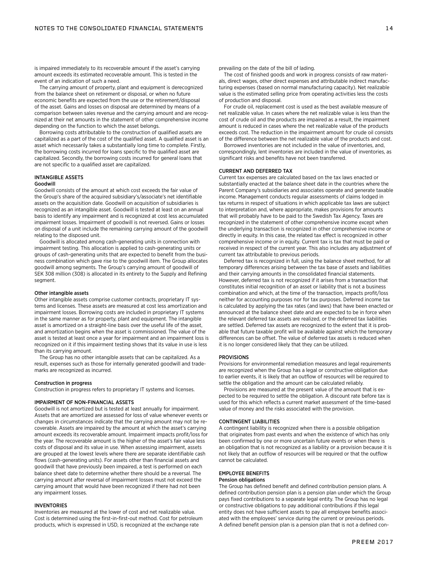is impaired immediately to its recoverable amount if the asset's carrying amount exceeds its estimated recoverable amount. This is tested in the event of an indication of such a need.

The carrying amount of property, plant and equipment is derecognized from the balance sheet on retirement or disposal, or when no future economic benefits are expected from the use or the retirement/disposal of the asset. Gains and losses on disposal are determined by means of a comparison between sales revenue and the carrying amount and are recognized at their net amounts in the statement of other comprehensive income depending on the function to which the asset belongs.

Borrowing costs attributable to the construction of qualified assets are capitalized as a part of the cost of the qualified asset. A qualified asset is an asset which necessarily takes a substantially long time to complete. Firstly, the borrowing costs incurred for loans specific to the qualified asset are capitalized. Secondly, the borrowing costs incurred for general loans that are not specific to a qualified asset are capitalized.

### INTANGIBLE ASSETS

#### Goodwill

Goodwill consists of the amount at which cost exceeds the fair value of the Group's share of the acquired subsidiary's/associate's net identifiable assets on the acquisition date. Goodwill on acquisition of subsidiaries is recognized as an intangible asset. Goodwill is tested at least on an annual basis to identify any impairment and is recognized at cost less accumulated impairment losses. Impairment of goodwill is not reversed. Gains or losses on disposal of a unit include the remaining carrying amount of the goodwill relating to the disposed unit.

Goodwill is allocated among cash-generating units in connection with impairment testing. This allocation is applied to cash-generating units or groups of cash-generating units that are expected to benefit from the business combination which gave rise to the goodwill item. The Group allocates goodwill among segments. The Group's carrying amount of goodwill of SEK 308 million (308) is allocated in its entirety to the Supply and Refining segment.

## Other intangible assets

Other intangible assets comprise customer contracts, proprietary IT systems and licenses. These assets are measured at cost less amortization and impairment losses. Borrowing costs are included in proprietary IT systems in the same manner as for property, plant and equipment. The intangible asset is amortized on a straight-line basis over the useful life of the asset, and amortization begins when the asset is commissioned. The value of the asset is tested at least once a year for impairment and an impairment loss is recognized on it if this impairment testing shows that its value in use is less than its carrying amount.

The Group has no other intangible assets that can be capitalized. As a result, expenses such as those for internally generated goodwill and trademarks are recognized as incurred.

#### Construction in progress

Construction in progress refers to proprietary IT systems and licenses.

#### IMPAIRMENT OF NON-FINANCIAL ASSETS

Goodwill is not amortized but is tested at least annually for impairment. Assets that are amortized are assessed for loss of value whenever events or changes in circumstances indicate that the carrying amount may not be recoverable. Assets are impaired by the amount at which the asset's carrying amount exceeds its recoverable amount. Impairment impacts profit/loss for the year. The recoverable amount is the higher of the asset's fair value less costs of disposal and its value in use. When assessing impairment, assets are grouped at the lowest levels where there are separate identifiable cash flows (cash-generating units). For assets other than financial assets and goodwill that have previously been impaired, a test is performed on each balance sheet date to determine whether there should be a reversal. The carrying amount after reversal of impairment losses must not exceed the carrying amount that would have been recognized if there had not been any impairment losses.

## INVENTORIES

Inventories are measured at the lower of cost and net realizable value. Cost is determined using the first-in-first-out method. Cost for petroleum products, which is expressed in USD, is recognized at the exchange rate

prevailing on the date of the bill of lading.

The cost of finished goods and work in progress consists of raw materials, direct wages, other direct expenses and attributable indirect manufacturing expenses (based on normal manufacturing capacity). Net realizable value is the estimated selling price from operating activities less the costs of production and disposal.

For crude oil, replacement cost is used as the best available measure of net realizable value. In cases where the net realizable value is less than the cost of crude oil and the products are impaired as a result, the impairment amount is reduced in cases where the net realizable value of the products exceeds cost. The reduction in the impairment amount for crude oil consists of the difference between the net realizable value of the products and cost.

Borrowed inventories are not included in the value of inventories, and, correspondingly, lent inventories are included in the value of inventories, as significant risks and benefits have not been transferred.

#### CURRENT AND DEFERRED TAX

Current tax expenses are calculated based on the tax laws enacted or substantially enacted at the balance sheet date in the countries where the Parent Company's subsidiaries and associates operate and generate taxable income. Management conducts regular assessments of claims lodged in tax returns in respect of situations in which applicable tax laws are subject to interpretation and, where appropriate, makes provisions for amounts that will probably have to be paid to the Swedish Tax Agency. Taxes are recognized in the statement of other comprehensive income except when the underlying transaction is recognized in other comprehensive income or directly in equity. In this case, the related tax effect is recognized in other comprehensive income or in equity. Current tax is tax that must be paid or received in respect of the current year. This also includes any adjustment of current tax attributable to previous periods.

Deferred tax is recognized in full, using the balance sheet method, for all temporary differences arising between the tax base of assets and liabilities and their carrying amounts in the consolidated financial statements. However, deferred tax is not recognized if it arises from a transaction that constitutes initial recognition of an asset or liability that is not a business combination and which, at the time of the transaction, impacts profit/loss neither for accounting purposes nor for tax purposes. Deferred income tax is calculated by applying the tax rates (and laws) that have been enacted or announced at the balance sheet date and are expected to be in force when the relevant deferred tax assets are realized, or the deferred tax liabilities are settled. Deferred tax assets are recognized to the extent that it is probable that future taxable profit will be available against which the temporary differences can be offset. The value of deferred tax assets is reduced when it is no longer considered likely that they can be utilized.

#### **PROVISIONS**

Provisions for environmental remediation measures and legal requirements are recognized when the Group has a legal or constructive obligation due to earlier events, it is likely that an outflow of resources will be required to settle the obligation and the amount can be calculated reliably.

Provisions are measured at the present value of the amount that is expected to be required to settle the obligation. A discount rate before tax is used for this which reflects a current market assessment of the time-based value of money and the risks associated with the provision.

#### CONTINGENT LIABILITIES

A contingent liability is recognized when there is a possible obligation that originates from past events and when the existence of which has only been confirmed by one or more uncertain future events or when there is an obligation that is not recognized as a liability or a provision because it is not likely that an outflow of resources will be required or that the outflow cannot be calculated.

## EMPLOYEE BENEFITS

#### Pension obligations

The Group has defined benefit and defined contribution pension plans. A defined contribution pension plan is a pension plan under which the Group pays fixed contributions to a separate legal entity. The Group has no legal or constructive obligations to pay additional contributions if this legal entity does not have sufficient assets to pay all employee benefits associated with the employees' service during the current or previous periods. A defined benefit pension plan is a pension plan that is not a defined con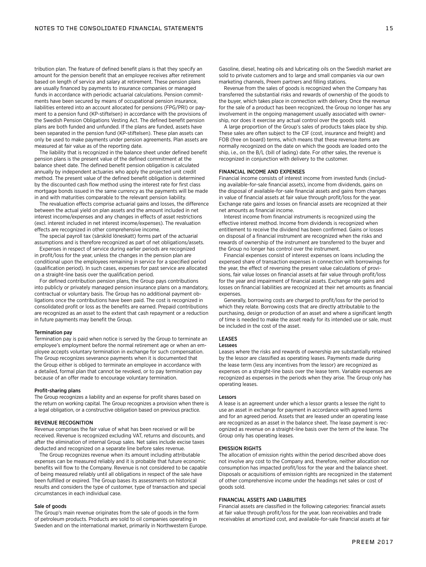tribution plan. The feature of defined benefit plans is that they specify an amount for the pension benefit that an employee receives after retirement based on length of service and salary at retirement. These pension plans are usually financed by payments to insurance companies or managed funds in accordance with periodic actuarial calculations. Pension commitments have been secured by means of occupational pension insurance, liabilities entered into an account allocated for pensions (FPG/PRI) or payment to a pension fund (KP-stiftelsen) in accordance with the provisions of the Swedish Pension Obligations Vesting Act. The defined benefit pension plans are both funded and unfunded. If the plans are funded, assets have been separated in the pension fund (KP-stiftelsen). These plan assets can only be used to make payments under pension agreements. Plan assets are measured at fair value as of the reporting date.

The liability that is recognized in the balance sheet under defined benefit pension plans is the present value of the defined commitment at the balance sheet date. The defined benefit pension obligation is calculated annually by independent actuaries who apply the projected unit credit method. The present value of the defined benefit obligation is determined by the discounted cash flow method using the interest rate for first class mortgage bonds issued in the same currency as the payments will be made in and with maturities comparable to the relevant pension liability.

The revaluation effects comprise actuarial gains and losses, the difference between the actual yield on plan assets and the amount included in net interest income/expenses and any changes in effects of asset restrictions (excl. interest included in net interest income/expenses). The revaluation effects are recognized in other comprehensive income.

The special payroll tax (särskild löneskatt) forms part of the actuarial assumptions and is therefore recognized as part of net obligations/assets.

Expenses in respect of service during earlier periods are recognized in profit/loss for the year, unless the changes in the pension plan are conditional upon the employees remaining in service for a specified period (qualification period). In such cases, expenses for past service are allocated on a straight-line basis over the qualification period.

For defined contribution pension plans, the Group pays contributions into publicly or privately managed pension insurance plans on a mandatory, contractual or voluntary basis. The Group has no additional payment obligations once the contributions have been paid. The cost is recognized in consolidated profit or loss as the benefits are earned. Prepaid contributions are recognized as an asset to the extent that cash repayment or a reduction in future payments may benefit the Group.

#### Termination pay

Termination pay is paid when notice is served by the Group to terminate an employee's employment before the normal retirement age or when an employee accepts voluntary termination in exchange for such compensation. The Group recognizes severance payments when it is documented that the Group either is obliged to terminate an employee in accordance with a detailed, formal plan that cannot be revoked, or to pay termination pay because of an offer made to encourage voluntary termination.

#### Profit-sharing plans

The Group recognizes a liability and an expense for profit shares based on the return on working capital. The Group recognizes a provision when there is a legal obligation, or a constructive obligation based on previous practice.

#### REVENUE RECOGNITION

Revenue comprises the fair value of what has been received or will be received. Revenue is recognized excluding VAT, returns and discounts, and after the elimination of internal Group sales. Net sales include excise taxes deducted and recognized on a separate line before sales revenue.

The Group recognizes revenue when its amount including attributable expenses can be measured reliably and it is probable that future economic benefits will flow to the Company. Revenue is not considered to be capable of being measured reliably until all obligations in respect of the sale have been fulfilled or expired. The Group bases its assessments on historical results and considers the type of customer, type of transaction and special circumstances in each individual case.

### Sale of goods

The Group's main revenue originates from the sale of goods in the form of petroleum products. Products are sold to oil companies operating in Sweden and on the international market, primarily in Northwestern Europe. Gasoline, diesel, heating oils and lubricating oils on the Swedish market are sold to private customers and to large and small companies via our own marketing channels, Preem partners and filling stations.

Revenue from the sales of goods is recognized when the Company has transferred the substantial risks and rewards of ownership of the goods to the buyer, which takes place in connection with delivery. Once the revenue for the sale of a product has been recognized, the Group no longer has any involvement in the ongoing management usually associated with ownership, nor does it exercise any actual control over the goods sold.

A large proportion of the Group's sales of products takes place by ship. These sales are often subject to the CIF (cost, insurance and freight) and FOB (free on board) terms, which means that these revenue items are normally recognized on the date on which the goods are loaded onto the ship, i.e., on the B/L (bill of lading) date. For other sales, the revenue is recognized in conjunction with delivery to the customer.

#### FINANCIAL INCOME AND EXPENSES

Financial income consists of interest income from invested funds (including available-for-sale financial assets), income from dividends, gains on the disposal of available-for-sale financial assets and gains from changes in value of financial assets at fair value through profit/loss for the year. Exchange rate gains and losses on financial assets are recognized at their net amounts as financial income.

Interest income from financial instruments is recognized using the effective interest method. Income from dividends is recognized when entitlement to receive the dividend has been confirmed. Gains or losses on disposal of a financial instrument are recognized when the risks and rewards of ownership of the instrument are transferred to the buyer and the Group no longer has control over the instrument.

Financial expenses consist of interest expenses on loans including the expensed share of transaction expenses in connection with borrowings for the year, the effect of reversing the present value calculations of provisions, fair value losses on financial assets at fair value through profit/loss for the year and impairment of financial assets. Exchange rate gains and losses on financial liabilities are recognized at their net amounts as financial expenses

Generally, borrowing costs are charged to profit/loss for the period to which they relate. Borrowing costs that are directly attributable to the purchasing, design or production of an asset and where a significant length of time is needed to make the asset ready for its intended use or sale, must be included in the cost of the asset.

## LEASES

## Lessees

Leases where the risks and rewards of ownership are substantially retained by the lessor are classified as operating leases. Payments made during the lease term (less any incentives from the lessor) are recognized as expenses on a straight-line basis over the lease term. Variable expenses are recognized as expenses in the periods when they arise. The Group only has operating leases.

#### Lessors

A lease is an agreement under which a lessor grants a lessee the right to use an asset in exchange for payment in accordance with agreed terms and for an agreed period. Assets that are leased under an operating lease are recognized as an asset in the balance sheet. The lease payment is recognized as revenue on a straight-line basis over the term of the lease. The Group only has operating leases.

#### EMISSION RIGHTS

The allocation of emission rights within the period described above does not involve any cost to the Company and, therefore, neither allocation nor consumption has impacted profit/loss for the year and the balance sheet. Disposals or acquisitions of emission rights are recognized in the statement of other comprehensive income under the headings net sales or cost of goods sold.

#### FINANCIAL ASSETS AND LIABILITIES

Financial assets are classified in the following categories: financial assets at fair value through profit/loss for the year, loan receivables and trade receivables at amortized cost, and available-for-sale financial assets at fair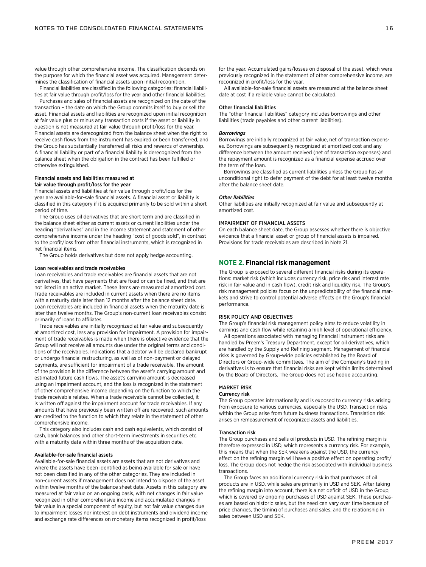value through other comprehensive income. The classification depends on the purpose for which the financial asset was acquired. Management determines the classification of financial assets upon initial recognition.

Financial liabilities are classified in the following categories: financial liabilities at fair value through profit/loss for the year and other financial liabilities.

Purchases and sales of financial assets are recognized on the date of the transaction – the date on which the Group commits itself to buy or sell the asset. Financial assets and liabilities are recognized upon initial recognition at fair value plus or minus any transaction costs if the asset or liability in question is not measured at fair value through profit/loss for the year. Financial assets are derecognized from the balance sheet when the right to receive cash flows from the instrument has expired or been transferred, and the Group has substantially transferred all risks and rewards of ownership. A financial liability or part of a financial liability is derecognized from the balance sheet when the obligation in the contract has been fulfilled or otherwise extinguished.

#### Financial assets and liabilities measured at fair value through profit/loss for the year

Financial assets and liabilities at fair value through profit/loss for the year are available-for-sale financial assets. A financial asset or liability is classified in this category if it is acquired primarily to be sold within a short period of time.

The Group uses oil derivatives that are short term and are classified in the balance sheet either as current assets or current liabilities under the heading "derivatives" and in the income statement and statement of other comprehensive income under the heading "cost of goods sold", in contrast to the profit/loss from other financial instruments, which is recognized in net financial items.

The Group holds derivatives but does not apply hedge accounting.

### Loan receivables and trade receivables

Loan receivables and trade receivables are financial assets that are not derivatives, that have payments that are fixed or can be fixed, and that are not listed in an active market. These items are measured at amortized cost. Trade receivables are included in current assets when there are no items with a maturity date later than 12 months after the balance sheet date. Loan receivables are included in financial assets when the maturity date is later than twelve months. The Group's non-current loan receivables consist primarily of loans to affiliates.

Trade receivables are initially recognized at fair value and subsequently at amortized cost, less any provision for impairment. A provision for impairment of trade receivables is made when there is objective evidence that the Group will not receive all amounts due under the original terms and conditions of the receivables. Indications that a debtor will be declared bankrupt or undergo financial restructuring, as well as of non-payment or delayed payments, are sufficient for impairment of a trade receivable. The amount of the provision is the difference between the asset's carrying amount and estimated future cash flows. The asset's carrying amount is decreased using an impairment account, and the loss is recognized in the statement of other comprehensive income depending on the function to which the trade receivable relates. When a trade receivable cannot be collected, it is written off against the impairment account for trade receivables. If any amounts that have previously been written off are recovered, such amounts are credited to the function to which they relate in the statement of other comprehensive income.

This category also includes cash and cash equivalents, which consist of cash, bank balances and other short-term investments in securities etc. with a maturity date within three months of the acquisition date.

#### Available-for-sale financial assets

Available-for-sale financial assets are assets that are not derivatives and where the assets have been identified as being available for sale or have not been classified in any of the other categories. They are included in non-current assets if management does not intend to dispose of the asset within twelve months of the balance sheet date. Assets in this category are measured at fair value on an ongoing basis, with net changes in fair value recognized in other comprehensive income and accumulated changes in fair value in a special component of equity, but not fair value changes due to impairment losses nor interest on debt instruments and dividend income and exchange rate differences on monetary items recognized in profit/loss

for the year. Accumulated gains/losses on disposal of the asset, which were previously recognized in the statement of other comprehensive income, are recognized in profit/loss for the year.

All available-for-sale financial assets are measured at the balance sheet date at cost if a reliable value cannot be calculated.

#### Other financial liabilities

The "other financial liabilities" category includes borrowings and other liabilities (trade payables and other current liabilities).

#### *Borrowings*

Borrowings are initially recognized at fair value, net of transaction expenses. Borrowings are subsequently recognized at amortized cost and any difference between the amount received (net of transaction expenses) and the repayment amount is recognized as a financial expense accrued over the term of the loan.

Borrowings are classified as current liabilities unless the Group has an unconditional right to defer payment of the debt for at least twelve months after the balance sheet date.

#### *Other liabilities*

Other liabilities are initially recognized at fair value and subsequently at amortized cost.

#### IMPAIRMENT OF FINANCIAL ASSETS

On each balance sheet date, the Group assesses whether there is objective evidence that a financial asset or group of financial assets is impaired. Provisions for trade receivables are described in Note 21.

## **NOTE 2. Financial risk management**

The Group is exposed to several different financial risks during its operations: market risk (which includes currency risk, price risk and interest rate risk in fair value and in cash flow), credit risk and liquidity risk. The Group's risk management policies focus on the unpredictability of the financial markets and strive to control potential adverse effects on the Group's financial performance.

#### RISK POLICY AND OBJECTIVES

The Group's financial risk management policy aims to reduce volatility in earnings and cash flow while retaining a high level of operational efficiency.

All operations associated with managing financial instrument risks are handled by Preem's Treasury Department, except for oil derivatives, which are handled by the Supply and Refining segment. Management of financial risks is governed by Group-wide policies established by the Board of Directors or Group-wide committees. The aim of the Company's trading in derivatives is to ensure that financial risks are kept within limits determined by the Board of Directors. The Group does not use hedge accounting.

## MARKET RISK

#### Currency risk

The Group operates internationally and is exposed to currency risks arising from exposure to various currencies, especially the USD. Transaction risks within the Group arise from future business transactions. Translation risk arises on remeasurement of recognized assets and liabilities.

#### Transaction risk

The Group purchases and sells oil products in USD. The refining margin is therefore expressed in USD, which represents a currency risk. For example, this means that when the SEK weakens against the USD, the currency effect on the refining margin will have a positive effect on operating profit/ loss. The Group does not hedge the risk associated with individual business transactions.

The Group faces an additional currency risk in that purchases of oil products are in USD, while sales are primarily in USD and SEK. After taking the refining margin into account, there is a net deficit of USD in the Group, which is covered by ongoing purchases of USD against SEK. These purchases are based on historic sales, but the need can vary over time because of price changes, the timing of purchases and sales, and the relationship in sales between USD and SEK.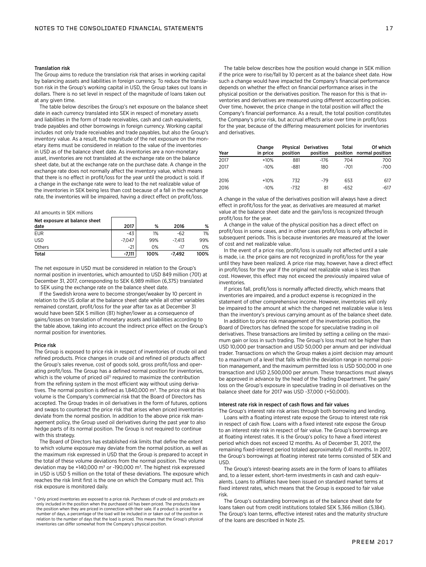### Translation risk

The Group aims to reduce the translation risk that arises in working capital by balancing assets and liabilities in foreign currency. To reduce the translation risk in the Group's working capital in USD, the Group takes out loans in dollars. There is no set level in respect of the magnitude of loans taken out at any given time.

The table below describes the Group's net exposure on the balance sheet date in each currency translated into SEK in respect of monetary assets and liabilities in the form of trade receivables, cash and cash equivalents, trade payables and other borrowings in foreign currency. Working capital includes not only trade receivables and trade payables, but also the Group's inventory value. As a result, the magnitude of the net exposure on the monetary items must be considered in relation to the value of the inventories in USD as of the balance sheet date. As inventories are a non-monetary asset, inventories are not translated at the exchange rate on the balance sheet date, but at the exchange rate on the purchase date. A change in the exchange rate does not normally affect the inventory value, which means that there is no effect in profit/loss for the year until the product is sold. If a change in the exchange rate were to lead to the net realizable value of the inventories in SEK being less than cost because of a fall in the exchange rate, the inventories will be impaired, having a direct effect on profit/loss.

#### All amounts in SEK millions

| Net exposure at balance sheet<br>date | 2017     | %    | 2016     | %    |
|---------------------------------------|----------|------|----------|------|
| <b>EUR</b>                            | $-43$    | 1%   | $-62$    | 1%   |
| <b>USD</b>                            | $-7.047$ | 99%  | $-7.413$ | 99%  |
| Others                                | $-21$    | 0%   | -17      | 0%   |
| Total                                 | -7.111   | 100% | -7.492   | 100% |

The net exposure in USD must be considered in relation to the Group's normal position in inventories, which amounted to USD 849 million (701) at December 31, 2017, corresponding to SEK 6,989 million (6,375) translated to SEK using the exchange rate on the balance sheet date.

If the Swedish krona were to become stronger/weaker by 10 percent in relation to the US dollar at the balance sheet date while all other variables remained constant, profit/loss for the year after tax as at December 31 would have been SEK 5 million (81) higher/lower as a consequence of gains/losses on translation of monetary assets and liabilities according to the table above, taking into account the indirect price effect on the Group's normal position for inventories.

#### Price risk

The Group is exposed to price risk in respect of inventories of crude oil and refined products. Price changes in crude oil and refined oil products affect the Group's sales revenue, cost of goods sold, gross profit/loss and operating profit/loss. The Group has a defined normal position for inventories, which is the volume of priced oil<sup>1)</sup> required to maximize the contribution from the refining system in the most efficient way without using derivatives. The normal position is defined as 1,840,000 m<sup>3</sup>. The price risk at this volume is the Company's commercial risk that the Board of Directors has accepted. The Group trades in oil derivatives in the form of futures, options and swaps to counteract the price risk that arises when priced inventories deviate from the normal position. In addition to the above price risk management policy, the Group used oil derivatives during the past year to also hedge parts of its normal position. The Group is not required to continue with this strategy.

The Board of Directors has established risk limits that define the extent to which volume exposure may deviate from the normal position, as well as the maximum risk expressed in USD that the Group is prepared to accept in the total of these volume deviations from the normal position. The volume deviation may be +140,000 m<sup>3</sup> or -190,000 m<sup>3</sup>. The highest risk expressed in USD is USD 5 million on the total of these deviations. The exposure which reaches the risk limit first is the one on which the Company must act. This risk exposure is monitored daily.

The table below describes how the position would change in SEK million if the price were to rise/fall by 10 percent as at the balance sheet date. How such a change would have impacted the Company's financial performance depends on whether the effect on financial performance arises in the physical position or the derivatives position. The reason for this is that inventories and derivatives are measured using different accounting policies. Over time, however, the price change in the total position will affect the Company's financial performance. As a result, the total position constitutes the Company's price risk, but accrual effects arise over time in profit/loss for the year, because of the differing measurement policies for inventories and derivatives.

| Year | Change<br>in price | position | <b>Physical Derivatives</b><br>position | Total  | Of which<br>position normal position |
|------|--------------------|----------|-----------------------------------------|--------|--------------------------------------|
| 2017 | $+10%$             | 881      | $-176$                                  | 704    | 700                                  |
| 2017 | $-10%$             | -881     | 180                                     | -701   | $-700$                               |
| 2016 | $+10%$             | 732      | $-79$                                   | 653    | 617                                  |
| 2016 | $-10%$             | $-732$   | 81                                      | $-652$ | -617                                 |

A change in the value of the derivatives position will always have a direct effect in profit/loss for the year, as derivatives are measured at market value at the balance sheet date and the gain/loss is recognized through profit/loss for the year.

A change in the value of the physical position has a direct effect on profit/loss in some cases, and in other cases profit/loss is only affected in subsequent periods. This is because inventories are measured at the lower of cost and net realizable value.

In the event of a price rise, profit/loss is usually not affected until a sale is made, i.e. the price gains are not recognized in profit/loss for the year until they have been realized. A price rise may, however, have a direct effect in profit/loss for the year if the original net realizable value is less than cost. However, this effect may not exceed the previously impaired value of inventories.

If prices fall, profit/loss is normally affected directly, which means that inventories are impaired, and a product expense is recognized in the statement of other comprehensive income. However, inventories will only be impaired to the amount at which the changed net realizable value is less than the inventory's previous carrying amount as of the balance sheet date.

In addition to price risk management of the inventories position, the Board of Directors has defined the scope for speculative trading in oil derivatives. These transactions are limited by setting a ceiling on the maximum gain or loss in such trading. The Group's loss must not be higher than USD 10,000 per transaction and USD 50,000 per annum and per individual trader. Transactions on which the Group makes a joint decision may amount to a maximum of a level that falls within the deviation range in normal position management, and the maximum permitted loss is USD 500,000 in one transaction and USD 2,500,000 per annum. These transactions must always be approved in advance by the head of the Trading Department. The gain/ loss on the Group's exposure in speculative trading in oil derivatives on the balance sheet date for 2017 was USD -37,000 (+50,000).

#### Interest rate risk in respect of cash flows and fair values

The Group's interest rate risk arises through both borrowing and lending. Loans with a floating interest rate expose the Group to interest rate risk in respect of cash flow. Loans with a fixed interest rate expose the Group to an interest rate risk in respect of fair value. The Group's borrowings are at floating interest rates. It is the Group's policy to have a fixed interest period which does not exceed 12 months. As of December 31, 2017, the remaining fixed-interest period totaled approximately 0.41 months. In 2017, the Group's borrowings at floating interest rate terms consisted of SEK and USD.

The Group's interest-bearing assets are in the form of loans to affiliates and, to a lesser extent, short-term investments in cash and cash equivalents. Loans to affiliates have been issued on standard market terms at fixed interest rates, which means that the Group is exposed to fair value risk.

The Group's outstanding borrowings as of the balance sheet date for loans taken out from credit institutions totaled SEK 5,366 million (5,184). The Group's loan terms, effective interest rates and the maturity structure of the loans are described in Note 25.

<sup>&</sup>lt;sup>1)</sup> Only priced inventories are exposed to a price risk. Purchases of crude oil and products are only included in the position when the purchased oil has been priced. The products leave the position when they are priced in connection with their sale. If a product is priced for a number of days, a percentage of the load will be included in or taken out of the position in relation to the number of days that the load is priced. This means that the Group's physical inventories can differ somewhat from the Company's physical position.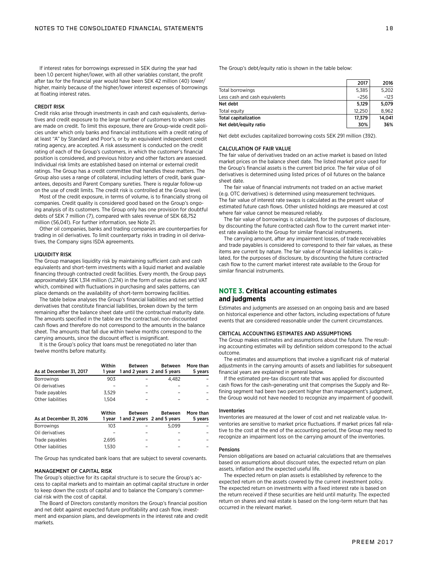If interest rates for borrowings expressed in SEK during the year had been 1.0 percent higher/lower, with all other variables constant, the profit after tax for the financial year would have been SEK 42 million (40) lower/ higher, mainly because of the higher/lower interest expenses of borrowings at floating interest rates.

#### CREDIT RISK

Credit risks arise through investments in cash and cash equivalents, derivatives and credit exposure to the large number of customers to whom sales are made on credit. To limit this exposure, there are Group-wide credit policies under which only banks and financial institutions with a credit rating of at least "A" by Standard and Poor's, or by an equivalent independent credit rating agency, are accepted. A risk assessment is conducted on the credit rating of each of the Group's customers, in which the customer's financial position is considered, and previous history and other factors are assessed. Individual risk limits are established based on internal or external credit ratings. The Group has a credit committee that handles these matters. The Group also uses a range of collateral, including letters of credit, bank guarantees, deposits and Parent Company sureties. There is regular follow-up on the use of credit limits. The credit risk is controlled at the Group level.

Most of the credit exposure, in terms of volume, is to financially strong oil companies. Credit quality is considered good based on the Group's ongoing analysis of its customers. The Group only has one provision for doubtful debts of SEK 7 million (7), compared with sales revenue of SEK 68,752 million (56,041). For further information, see Note 21.

Other oil companies, banks and trading companies are counterparties for trading in oil derivatives. To limit counterparty risks in trading in oil derivatives, the Company signs ISDA agreements.

#### LIQUIDITY RISK

The Group manages liquidity risk by maintaining sufficient cash and cash equivalents and short-term investments with a liquid market and available financing through contracted credit facilities. Every month, the Group pays approximately SEK 1,314 million (1,274) in the form of excise duties and VAT which, combined with fluctuations in purchasing and sales patterns, can place demands on the availability of short-term borrowing facilities.

The table below analyses the Group's financial liabilities and net settled derivatives that constitute financial liabilities, broken down by the term remaining after the balance sheet date until the contractual maturity date. The amounts specified in the table are the contractual, non-discounted cash flows and therefore do not correspond to the amounts in the balance sheet. The amounts that fall due within twelve months correspond to the carrying amounts, since the discount effect is insignificant.

It is the Group's policy that loans must be renegotiated no later than twelve months before maturity.

| As at December 31, 2017 | Within<br>1 vear | Between | Between<br>1 and 2 years 2 and 5 years | More than<br>5 years |
|-------------------------|------------------|---------|----------------------------------------|----------------------|
| <b>Borrowings</b>       | 903              |         | 4.482                                  |                      |
| Oil derivatives         |                  |         |                                        |                      |
| Trade payables          | 3.529            |         |                                        |                      |
| Other liabilities       | 1.504            |         |                                        |                      |

| As at December 31, 2016 | Within<br>1 vear | Between | Between<br>1 and 2 years 2 and 5 years | More than<br>5 years |
|-------------------------|------------------|---------|----------------------------------------|----------------------|
| <b>Borrowings</b>       | 103              |         | 5.099                                  |                      |
| Oil derivatives         |                  |         |                                        |                      |
| Trade payables          | 2.695            |         |                                        |                      |
| Other liabilities       | 1.530            |         |                                        |                      |

The Group has syndicated bank loans that are subject to several covenants.

#### MANAGEMENT OF CAPITAL RISK

The Group's objective for its capital structure is to secure the Group's access to capital markets and to maintain an optimal capital structure in order to keep down the costs of capital and to balance the Company's commercial risk with the cost of capital.

The Board of Directors constantly monitors the Group's financial position and net debt against expected future profitability and cash flow, investment and expansion plans, and developments in the interest rate and credit markets.

|                                | 2017   | 2016   |
|--------------------------------|--------|--------|
| Total borrowings               | 5,385  | 5.202  |
| Less cash and cash equivalents | $-256$ | $-123$ |
| Net debt                       | 5.129  | 5.079  |
| Total equity                   | 12.250 | 8.962  |
| <b>Total capitalization</b>    | 17.379 | 14.041 |
| Net debt/equity ratio          | 30%    | 36%    |

Net debt excludes capitalized borrowing costs SEK 291 million (392).

#### CALCULATION OF FAIR VALUE

The fair value of derivatives traded on an active market is based on listed market prices on the balance sheet date. The listed market price used for the Group's financial assets is the current bid price. The fair value of oil derivatives is determined using listed prices of oil futures on the balance sheet date.

The fair value of financial instruments not traded on an active market (e.g. OTC derivatives) is determined using measurement techniques. The fair value of interest rate swaps is calculated as the present value of estimated future cash flows. Other unlisted holdings are measured at cost where fair value cannot be measured reliably.

The fair value of borrowings is calculated, for the purposes of disclosure, by discounting the future contracted cash flow to the current market interest rate available to the Group for similar financial instruments.

The carrying amount, after any impairment losses, of trade receivables and trade payables is considered to correspond to their fair values, as these items are current by nature. The fair value of financial liabilities is calculated, for the purposes of disclosure, by discounting the future contracted cash flow to the current market interest rate available to the Group for similar financial instruments.

## **NOTE 3. Critical accounting estimates and judgments**

Estimates and judgments are assessed on an ongoing basis and are based on historical experience and other factors, including expectations of future events that are considered reasonable under the current circumstances.

#### CRITICAL ACCOUNTING ESTIMATES AND ASSUMPTIONS

The Group makes estimates and assumptions about the future. The resulting accounting estimates will by definition seldom correspond to the actual outcome.

The estimates and assumptions that involve a significant risk of material adjustments in the carrying amounts of assets and liabilities for subsequent financial years are explained in general below.

If the estimated pre-tax discount rate that was applied for discounted cash flows for the cash-generating unit that comprises the Supply and Refining segment had been two percent higher than management's judgment, the Group would not have needed to recognize any impairment of goodwill.

#### Inventories

Inventories are measured at the lower of cost and net realizable value. Inventories are sensitive to market price fluctuations. If market prices fall relative to the cost at the end of the accounting period, the Group may need to recognize an impairment loss on the carrying amount of the inventories.

#### Pensions

Pension obligations are based on actuarial calculations that are themselves based on assumptions about discount rates, the expected return on plan assets, inflation and the expected useful life.

The expected return on plan assets is established by reference to the expected return on the assets covered by the current investment policy. The expected return on investments with a fixed interest rate is based on the return received if these securities are held until maturity. The expected return on shares and real estate is based on the long-term return that has occurred in the relevant market.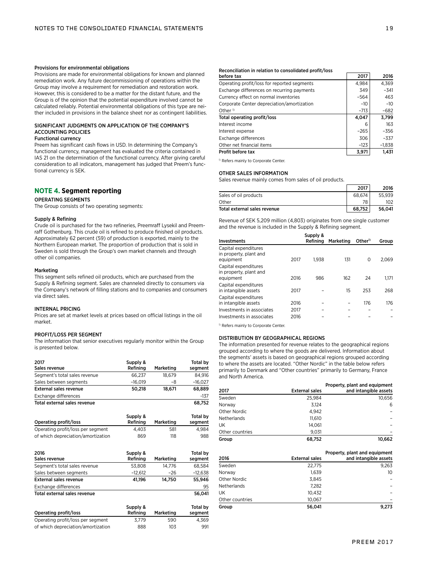#### Provisions for environmental obligations

Provisions are made for environmental obligations for known and planned remediation work. Any future decommissioning of operations within the Group may involve a requirement for remediation and restoration work. However, this is considered to be a matter for the distant future, and the Group is of the opinion that the potential expenditure involved cannot be calculated reliably. Potential environmental obligations of this type are neither included in provisions in the balance sheet nor as contingent liabilities.

## SIGNIFICANT JUDGMENTS ON APPLICATION OF THE COMPANY'S ACCOUNTING POLICIES

## Functional currency

Preem has significant cash flows in USD. In determining the Company's functional currency, management has evaluated the criteria contained in IAS 21 on the determination of the functional currency. After giving careful consideration to all indicators, management has judged that Preem's functional currency is SEK.

## **NOTE 4. Segment reporting**

#### OPERATING SEGMENTS

The Group consists of two operating segments:

#### Supply & Refining

Crude oil is purchased for the two refineries, Preemraff Lysekil and Preemraff Gothenburg. This crude oil is refined to produce finished oil products. Approximately 62 percent (59) of production is exported, mainly to the Northern European market. The proportion of production that is sold in Sweden is sold through the Group's own market channels and through other oil companies.

#### Marketing

This segment sells refined oil products, which are purchased from the Supply & Refining segment. Sales are channeled directly to consumers via the Company's network of filling stations and to companies and consumers via direct sales.

#### INTERNAL PRICING

Prices are set at market levels at prices based on official listings in the oil market.

## PROFIT/LOSS PER SEGMENT

The information that senior executives regularly monitor within the Group is presented below.

| 2017<br>Sales revenue         | Supply &<br>Refining | Marketing | <b>Total by</b><br>segment |
|-------------------------------|----------------------|-----------|----------------------------|
| Segment's total sales revenue | 66.237               | 18.679    | 84.916                     |
| Sales between segments        | $-16.019$            | -8        | $-16.027$                  |
| <b>External sales revenue</b> | 50.218               | 18.671    | 68.889                     |
| Exchange differences          |                      |           | $-137$                     |
| Total external sales revenue  |                      |           | 68.752                     |

|                                    | Supply & |           | Total by |  |
|------------------------------------|----------|-----------|----------|--|
| Operating profit/loss              | Refining | Marketing | seament  |  |
| Operating profit/loss per segment  | 4.403    | 581       | 4.984    |  |
| of which depreciation/amortization | 869      | 118       | 988      |  |

| 2016                          | Supply &  |           | Total by  |
|-------------------------------|-----------|-----------|-----------|
| Sales revenue                 | Refining  | Marketing | segment   |
| Segment's total sales revenue | 53.808    | 14.776    | 68.584    |
| Sales between segments        | $-12.612$ | $-26$     | $-12.638$ |
| <b>External sales revenue</b> | 41.196    | 14.750    | 55.946    |
| Exchange differences          |           |           | 95        |
| Total external sales revenue  |           |           | 56.041    |

|                                    | Supply & |           | Total by |
|------------------------------------|----------|-----------|----------|
| Operating profit/loss              | Refining | Marketing | seament  |
| Operating profit/loss per segment  | 3.779    | 590       | 4.369    |
| of which depreciation/amortization | 888      | 103       | 991      |

#### Reconciliation in relation to consolidated profit/loss

| before tax                                  | 2017   | 2016     |
|---------------------------------------------|--------|----------|
| Operating profit/loss for reported segments | 4,984  | 4,369    |
| Exchange differences on recurring payments  | 349    | $-341$   |
| Currency effect on normal inventories       | $-564$ | 463      |
| Corporate Center depreciation/amortization  | $-10$  | $-10$    |
| Other $\sqrt{v}$                            | $-713$ | $-682$   |
| Total operating profit/loss                 | 4,047  | 3.799    |
| Interest income                             | 6      | 163      |
| Interest expense                            | $-265$ | $-356$   |
| Exchange differences                        | 306    | $-337$   |
| Other net financial items                   | $-123$ | $-1,838$ |
| Profit before tax                           | 3.971  | 1.431    |

<sup>1)</sup> Refers mainly to Corporate Center.

## OTHER SALES INFORMATION

Sales revenue mainly comes from sales of oil products.

|                              | 2017   | 2016   |
|------------------------------|--------|--------|
| Sales of oil products        | 68.674 | 55.939 |
| Other                        | 78     | 102    |
| Total external sales revenue | 68.752 | 56.041 |

Revenue of SEK 5,209 million (4,803) originates from one single customer and the revenue is included in the Supply & Refining segment.

|                                                             |      | Supply & |           |                    |       |
|-------------------------------------------------------------|------|----------|-----------|--------------------|-------|
| <b>Investments</b>                                          |      | Refining | Marketing | Other <sup>1</sup> | Group |
| Capital expenditures<br>in property, plant and<br>equipment | 2017 | 1.938    | 131       | 0                  | 2.069 |
| Capital expenditures<br>in property, plant and<br>equipment | 2016 | 986      | 162       | 24                 | 1.171 |
| Capital expenditures<br>in intangible assets                | 2017 |          | 15        | 253                | 268   |
| Capital expenditures<br>in intangible assets                | 2016 |          |           | 176                | 176   |
| Investments in associates                                   | 2017 |          |           |                    |       |
| Investments in associates                                   | 2016 |          |           |                    |       |

<sup>1)</sup> Refers mainly to Corporate Center.

#### DISTRIBUTION BY GEOGRAPHICAL REGIONS

The information presented for revenue relates to the geographical regions grouped according to where the goods are delivered. Information about the segments' assets is based on geographical regions grouped according to where the assets are located. "Other Nordic" in the table below refers primarily to Denmark and "Other countries" primarily to Germany, France and North America.

|                    |                       | Property, plant and equipment |
|--------------------|-----------------------|-------------------------------|
| 2017               | <b>External sales</b> | and intangible assets         |
| Sweden             | 25.984                | 10.656                        |
| Norway             | 3.124                 | 6                             |
| Other Nordic       | 4.942                 |                               |
| <b>Netherlands</b> | 11.610                |                               |
| UK                 | 14.061                |                               |
| Other countries    | 9.031                 |                               |
| Group              | 68,752                | 10.662                        |

| 2016               | <b>External sales</b> | Property, plant and equipment<br>and intangible assets |
|--------------------|-----------------------|--------------------------------------------------------|
| Sweden             | 22,775                | 9.263                                                  |
| Norway             | 1.639                 | 10 <sup>2</sup>                                        |
| Other Nordic       | 3.845                 |                                                        |
| <b>Netherlands</b> | 7.282                 |                                                        |
| UK.                | 10.432                |                                                        |
| Other countries    | 10.067                |                                                        |
| Group              | 56.041                | 9.273                                                  |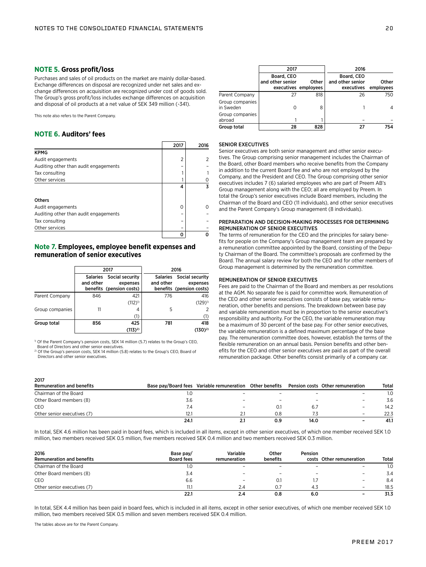## **NOTE 5. Gross profit/loss**

Purchases and sales of oil products on the market are mainly dollar-based. Exchange differences on disposal are recognized under net sales and exchange differences on acquisition are recognized under cost of goods sold. The Group's gross profit/loss includes exchange differences on acquisition and disposal of oil products at a net value of SEK 349 million (-341).

This note also refers to the Parent Company.

## **NOTE 6. Auditors' fees**

|                                       | 2017           | 2016 |
|---------------------------------------|----------------|------|
| <b>KPMG</b>                           |                |      |
| Audit engagements                     | $\overline{2}$ | 2    |
| Auditing other than audit engagements |                |      |
| Tax consulting                        |                |      |
| Other services                        |                |      |
|                                       | 4              | 3    |
|                                       |                |      |
| <b>Others</b>                         |                |      |
| Audit engagements                     | 0              |      |
| Auditing other than audit engagements |                |      |
| Tax consulting                        |                |      |
| Other services                        |                |      |
|                                       | Ω              |      |

## **Note 7. Employees, employee benefit expenses and remuneration of senior executives**

|                 |           | 2017                                                             | 2016      |                                                                  |
|-----------------|-----------|------------------------------------------------------------------|-----------|------------------------------------------------------------------|
|                 | and other | Salaries Social security<br>expenses<br>benefits (pension costs) | and other | Salaries Social security<br>expenses<br>benefits (pension costs) |
| Parent Company  | 846       | 421                                                              | 776       | 416                                                              |
|                 |           | $(112)^{1}$                                                      |           | $(129)^{1}$                                                      |
| Group companies | 11        | 4                                                                | 5         | 2                                                                |
|                 |           | (1)                                                              |           | (1)                                                              |
| Group total     | 856       | 425                                                              | 781       | 418                                                              |
|                 |           | $(113)^{2}$                                                      |           | $(130)^{2}$                                                      |

<sup>1)</sup> Of the Parent Company's pension costs, SEK 14 million (5.7) relates to the Group's CEO, Board of Directors and other senior executives.

2) Of the Group's pension costs, SEK 14 million (5.8) relates to the Group's CEO, Board of Directors and other senior executives.

|                              | 2017                           |                               | 2016                                         |                    |
|------------------------------|--------------------------------|-------------------------------|----------------------------------------------|--------------------|
|                              | Board, CEO<br>and other senior | Other<br>executives employees | Board, CEO<br>and other senior<br>executives | Other<br>employees |
| Parent Company               | 27                             | 818                           | 26                                           | 750                |
| Group companies<br>in Sweden | 0                              | 8                             |                                              | 4                  |
| Group companies<br>abroad    |                                |                               |                                              |                    |
| Group total                  | 28                             | 828                           | 27                                           | 754                |

## SENIOR EXECUTIVES

Senior executives are both senior management and other senior executives. The Group comprising senior management includes the Chairman of the Board, other Board members who receive benefits from the Company in addition to the current Board fee and who are not employed by the Company, and the President and CEO. The Group comprising other senior executives includes 7 (6) salaried employees who are part of Preem AB's Group management along with the CEO; all are employed by Preem. In total the Group's senior executives include Board members, including the Chairman of the Board and CEO (11 individuals), and other senior executives and the Parent Company's Group management (8 individuals).

## PREPARATION AND DECISION-MAKING PROCESSES FOR DETERMINING REMUNERATION OF SENIOR EXECUTIVES

The terms of remuneration for the CEO and the principles for salary benefits for people on the Company's Group management team are prepared by a remuneration committee appointed by the Board, consisting of the Deputy Chairman of the Board. The committee's proposals are confirmed by the Board. The annual salary review for both the CEO and for other members of Group management is determined by the remuneration committee.

## REMUNERATION OF SENIOR EXECUTIVES

Fees are paid to the Chairman of the Board and members as per resolutions at the AGM. No separate fee is paid for committee work. Remuneration of the CEO and other senior executives consists of base pay, variable remuneration, other benefits and pensions. The breakdown between base pay and variable remuneration must be in proportion to the senior executive's responsibility and authority. For the CEO, the variable remuneration may be a maximum of 30 percent of the base pay. For other senior executives, the variable remuneration is a defined maximum percentage of the base pay. The remuneration committee does, however, establish the terms of the flexible remuneration on an annual basis. Pension benefits and other benefits for the CEO and other senior executives are paid as part of the overall remuneration package. Other benefits consist primarily of a company car.

| zuiz                             |      |                                                                                           |     |      |                          |              |
|----------------------------------|------|-------------------------------------------------------------------------------------------|-----|------|--------------------------|--------------|
| <b>Remuneration and benefits</b> |      | Base pay/Board fees Variable remuneration Other benefits Pension costs Other remuneration |     |      |                          | <b>Total</b> |
| Chairman of the Board            | I.U  |                                                                                           |     |      |                          | 1.0          |
| Other Board members (8)          | 3.6  |                                                                                           |     |      | $\overline{\phantom{0}}$ | 3.6          |
| CEO                              | 7.4  |                                                                                           |     | 6.7  | $\overline{\phantom{m}}$ | 14.2         |
| Other senior executives (7)      | 12.1 |                                                                                           | 0.8 |      | $\overline{\phantom{a}}$ | 22.3         |
|                                  | 24.1 |                                                                                           | 0.9 | 14.0 | $\overline{\phantom{0}}$ | 41.1         |

In total, SEK 4.6 million has been paid in board fees, which is included in all items, except in other senior executives, of which one member received SEK 1.0 million, two members received SEK 0.5 million, five members received SEK 0.4 million and two members received SEK 0.3 million.

| 2016<br><b>Remuneration and benefits</b> | Base pay/<br><b>Board fees</b> | Variable<br>remuneration | Other<br>benefits | <b>Pension</b> | costs Other remuneration | <b>Total</b> |
|------------------------------------------|--------------------------------|--------------------------|-------------------|----------------|--------------------------|--------------|
| Chairman of the Board                    | 1.0                            |                          |                   |                | $\overline{\phantom{0}}$ | 1.0          |
| Other Board members (8)                  | 3.4                            |                          |                   |                |                          | 3.4          |
| CEO                                      | 6.6                            | $\overline{\phantom{0}}$ |                   |                | $\overline{\phantom{m}}$ | 8.4          |
| Other senior executives (7)              | 11.1                           |                          |                   | 4.3            | $\overline{\phantom{m}}$ | 18.5         |
|                                          | 22.1                           |                          | 0.8               | 6.0            | $\overline{\phantom{0}}$ | 31.3         |

In total, SEK 4.4 million has been paid in board fees, which is included in all items, except in other senior executives, of which one member received SEK 1.0 million, two members received SEK 0.5 million and seven members received SEK 0.4 million.

The tables above are for the Parent Company.

3017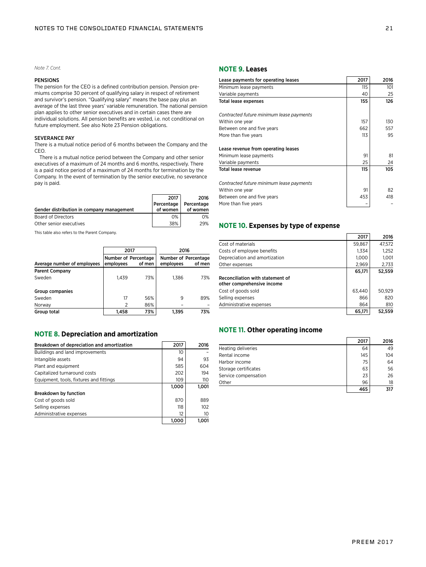*Note 7. Cont.*

## PENSIONS

The pension for the CEO is a defined contribution pension. Pension premiums comprise 30 percent of qualifying salary in respect of retirement and survivor's pension. "Qualifying salary" means the base pay plus an average of the last three years' variable remuneration. The national pension plan applies to other senior executives and in certain cases there are individual solutions. All pension benefits are vested, i.e. not conditional on future employment. See also Note 23 Pension obligations.

## SEVERANCE PAY

There is a mutual notice period of 6 months between the Company and the CEO.

There is a mutual notice period between the Company and other senior executives of a maximum of 24 months and 6 months, respectively. There is a paid notice period of a maximum of 24 months for termination by the Company. In the event of termination by the senior executive, no severance pay is paid.

|                                           | 2017       | 2016       |
|-------------------------------------------|------------|------------|
|                                           | Percentage | Percentage |
| Gender distribution in company management | of women   | of women   |
| Board of Directors                        | 0%         | 0%         |
| Other senior executives                   | 38%        | 29%        |

This table also refers to the Parent Company.

|                             | 2017      |                                |           | 2016                           |
|-----------------------------|-----------|--------------------------------|-----------|--------------------------------|
| Average number of employees | employees | Number of Percentage<br>of men | employees | Number of Percentage<br>of men |
| <b>Parent Company</b>       |           |                                |           |                                |
| Sweden                      | 1.439     | 73%                            | 1.386     | 73%                            |
| Group companies             |           |                                |           |                                |
| Sweden                      | 17        | 56%                            | 9         | 89%                            |
| Norway                      | 2         | 86%                            |           |                                |
| Group total                 | 1.458     | 73%                            | 1.395     | 73%                            |

## **NOTE 8. Depreciation and amortization**

| Breakdown of depreciation and amortization | 2017  | 2016  |
|--------------------------------------------|-------|-------|
| Buildings and land improvements            | 10    |       |
| Intangible assets                          | 94    | 93    |
| Plant and equipment                        | 585   | 604   |
| Capitalized turnaround costs               | 202   | 194   |
| Equipment, tools, fixtures and fittings    | 109   | 110   |
|                                            | 1,000 | 1,001 |
| <b>Breakdown by function</b>               |       |       |
| Cost of goods sold                         | 870   | 889   |
| Selling expenses                           | 118   | 102   |
| Administrative expenses                    | 12    | 10    |
|                                            | 1.000 | 1.001 |

## **NOTE 9. Leases**

| Lease payments for operating leases      | 2017 | 2016 |
|------------------------------------------|------|------|
| Minimum lease payments                   | 115  | 101  |
| Variable payments                        | 40   | 25   |
| <b>Total lease expenses</b>              | 155  | 126  |
| Contracted future minimum lease payments |      |      |
| Within one year                          | 157  | 130  |
| Between one and five years               | 662  | 557  |
| More than five years                     | 113  | 95   |
| Lease revenue from operating leases      |      |      |
| Minimum lease payments                   | 91   | 81   |
| Variable payments                        | 25   | 24   |
| Total lease revenue                      | 115  | 105  |
| Contracted future minimum lease payments |      |      |
| Within one year                          | 91   | 82   |
| Between one and five years               | 453  | 418  |
| More than five years                     |      |      |

## **NOTE 10. Expenses by type of expense**

|                                                                | 2017   | 2016   |
|----------------------------------------------------------------|--------|--------|
| Cost of materials                                              | 59,867 | 47,572 |
| Costs of employee benefits                                     | 1,334  | 1.252  |
| Depreciation and amortization                                  | 1.000  | 1.001  |
| Other expenses                                                 | 2,969  | 2,733  |
|                                                                | 65,171 | 52,559 |
| Reconciliation with statement of<br>other comprehensive income |        |        |
| Cost of goods sold                                             | 63.440 | 50.929 |
| Selling expenses                                               | 866    | 820    |
| Administrative expenses                                        | 864    | 810    |
|                                                                | 65.171 | 52.559 |

## **NOTE 11. Other operating income**

|                      | 2017 | 2016 |
|----------------------|------|------|
| Heating deliveries   | 64   | 49   |
| Rental income        | 145  | 104  |
| Harbor income        | 75   | 64   |
| Storage certificates | 63   | 56   |
| Service compensation | 23   | 26   |
| Other                | 96   | 18   |
|                      | 465  | 317  |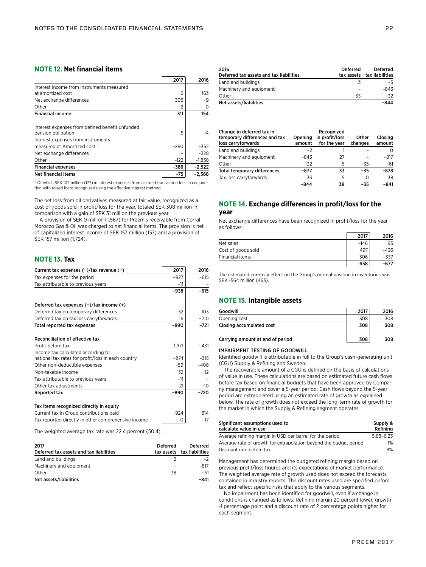## **NOTE 12. Net financial items**

|                                                                       | 2017   | 2016     |
|-----------------------------------------------------------------------|--------|----------|
| Interest income from instruments measured                             |        |          |
| at amortized cost                                                     | 6      | 163      |
| Net exchange differences                                              | 306    | -9       |
| Other                                                                 | $-2$   |          |
| <b>Financial income</b>                                               | 311    | 154      |
| Interest expenses from defined benefit unfunded<br>pension obligation | $-5$   |          |
| Interest expenses from instruments                                    |        |          |
| measured at Amortized cost <sup>1</sup>                               | $-260$ | $-352$   |
| Net exchange differences                                              |        | $-328$   |
| Other                                                                 | $-122$ | $-1.838$ |
| <b>Financial expenses</b>                                             | -386   | $-2,522$ |
| Net financial items                                                   | $-75$  | $-2,368$ |

<sup>1)</sup> Of which SEK 102 million (177) in interest expenses from accrued transaction fees in conjunction with raised loans recognized using the effective interest method.

The net loss from oil derivatives measured at fair value, recognized as a cost of goods sold in profit/loss for the year, totaled SEK 308 million in comparison with a gain of SEK 31 million the previous year.

A provision of SEK 0 million (1,567) for Preem's receivable from Corral Morocco Gas & Oil was charged to net financial items. The provision is net of capitalized interest income of SEK 157 million (157) and a provision of SEK 157 million (1,724).

## **NOTE 13. Tax**

| Current tax expenses $(-)/\tan x$ revenue $(+)$     | 2017   | 2016   |
|-----------------------------------------------------|--------|--------|
| Tax expenses for the period                         | $-927$ | $-615$ |
| Tax attributable to previous years                  | $-11$  |        |
|                                                     | -938   | -615   |
| Deferred tax expenses $(-)/\tan$ income $(+)$       |        |        |
| Deferred tax on temporary differences               | 32     | 103    |
| Deferred tax on tax loss carryforwards              | 16     | $-210$ |
| Total reported tax expenses                         | $-890$ | -721   |
| Reconciliation of effective tax                     |        |        |
| Profit before tax                                   | 3,971  | 1,431  |
| Income tax calculated according to                  |        |        |
| national tax rates for profit/loss in each country  | $-874$ | $-315$ |
| Other non-deductible expenses                       | $-59$  | $-408$ |
| Non-taxable income                                  | 32     | 12     |
| Tax attributable to previous years                  | $-11$  |        |
| Other tax adjustments                               | 21     | $-10$  |
| Reported tax                                        | -890   | -720   |
| Tax items recognized directly in equity             |        |        |
| Current tax in Group contributions paid             | 924    | 614    |
| Tax reported directly in other comprehensive income | 0      | 17     |

The weighted average tax rate was 22.4 percent (50.4).

| 2017<br>Deferred tax assets and tax liabilities | <b>Deferred</b> | <b>Deferred</b><br>tax assets tax liabilities |
|-------------------------------------------------|-----------------|-----------------------------------------------|
| Land and buildings                              |                 | $-2$                                          |
| Machinery and equipment                         |                 | $-817$                                        |
| Other                                           | 38              | -61                                           |
| Net assets/liabilities                          |                 | -841                                          |

| 2016<br>Deferred tax assets and tax liabilities | Deferred | <b>Deferred</b><br>tax assets tax liabilities |
|-------------------------------------------------|----------|-----------------------------------------------|
| Land and buildings                              |          | -5                                            |
| Machinery and equipment                         |          | -843                                          |
| Other                                           | 33       | -32                                           |
| Net assets/liabilities                          |          | -844                                          |

| Change in deferred tax in<br>temporary differences and tax<br>loss carryforwards | Opening<br>amount | Recognized<br>in profit/loss<br>for the year | Other<br>changes | Closing<br>amount |
|----------------------------------------------------------------------------------|-------------------|----------------------------------------------|------------------|-------------------|
| Land and buildings                                                               | $-2$              |                                              |                  | Ω                 |
| Machinery and equipment                                                          | -843              | 27                                           |                  | $-817$            |
| Other                                                                            | $-32$             | 5                                            | $-35$            | $-61$             |
| <b>Total temporary differences</b>                                               | -877              | 33                                           | $-35$            | $-878$            |
| Tax loss carryforwards                                                           | 33                | 5                                            |                  | 38                |
|                                                                                  | -844              | 38                                           | -35              | $-841$            |

## **NOTE 14. Exchange differences in profit/loss for the year**

Net exchange differences have been recognized in profit/loss for the year as follows:

|                    | 2017   | 2016 |
|--------------------|--------|------|
| Net sales          | $-146$ | 95   |
| Cost of goods sold | 497    | -436 |
| Financial items    | 306    | -337 |
|                    | 658    | -677 |

The estimated currency effect on the Group's normal position in inventories was SEK -564 million (463).

## **NOTE 15. Intangible assets**

| Goodwill                         | 2017 | 2016 |
|----------------------------------|------|------|
| Opening cost                     | 308  | 308  |
| Closing accumulated cost         | 308  | 308  |
| Carrying amount at end of period | 308  | 308  |

#### IMPAIRMENT TESTING OF GOODWILL

Identified goodwill is attributable in full to the Group's cash-generating unit (CGU) Supply & Refining and Sweden.

The recoverable amount of a CGU is defined on the basis of calculations of value in use. These calculations are based on estimated future cash flows before tax based on financial budgets that have been approved by Company management and cover a 5-year period. Cash flows beyond the 5-year period are extrapolated using an estimated rate of growth as explained below. The rate of growth does not exceed the long-term rate of growth for the market in which the Supply & Refining segment operates.

| Significant assumptions used to<br>calculate value in use         | Supply &<br>Refining |
|-------------------------------------------------------------------|----------------------|
| Average refining margin in USD per barrel for the period          | $5.68 - 6.23$        |
| Average rate of growth for extrapolation beyond the budget period | 1%                   |
| Discount rate before tax                                          | 8%                   |

Management has determined the budgeted refining margin based on previous profit/loss figures and its expectations of market performance. The weighted average rate of growth used does not exceed the forecasts contained in industry reports. The discount rates used are specified before tax and reflect specific risks that apply to the various segments.

No impairment has been identified for goodwill, even if a change in conditions is changed as follows: Refining margin 20 percent lower, growth -1 percentage point and a discount rate of 2 percentage points higher for each segment.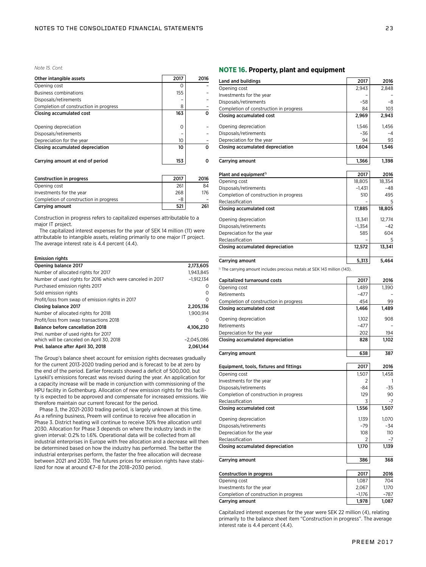*Note 15. Cont.*

| Other intangible assets                | 2017     | 2016 |
|----------------------------------------|----------|------|
| Opening cost                           | O        |      |
| <b>Business combinations</b>           | 155      |      |
| Disposals/retirements                  |          |      |
| Completion of construction in progress | 8        |      |
| Closing accumulated cost               | 163      |      |
|                                        |          |      |
| Opening depreciation                   | $\Omega$ |      |
| Disposals/retirements                  |          |      |
| Depreciation for the year              | 10       |      |
| Closing accumulated depreciation       | 10       |      |
|                                        |          |      |
| Carrying amount at end of period       | 153      |      |
|                                        |          |      |

| <b>Construction in progress</b>        | 2017 | 2016 |
|----------------------------------------|------|------|
| Opening cost                           | 261  | 84   |
| Investments for the year               | 268  | 176  |
| Completion of construction in progress | -8   |      |
| Carrying amount                        | 521  | 261  |

Construction in progress refers to capitalized expenses attributable to a major IT project.

The capitalized interest expenses for the year of SEK 14 million (11) were attributable to intangible assets, relating primarily to one major IT project. The average interest rate is 4.4 percent (4.4).

#### Emission rights

| Opening balance 2017                                       | 2,173,605    |
|------------------------------------------------------------|--------------|
| Number of allocated rights for 2017                        | 1,943,845    |
| Number of used rights for 2016 which were canceled in 2017 | $-1,912,134$ |
| Purchased emission rights 2017                             | $\Omega$     |
| Sold emission rights                                       | 0            |
| Profit/loss from swap of emission rights in 2017           | 0            |
| Closing balance 2017                                       | 2,205,136    |
| Number of allocated rights for 2018                        | 1.900.914    |
| Profit/loss from swap transactions 2018                    | 0            |
| Balance before cancellation 2018                           | 4,106,230    |
| Prel. number of used rights for 2017                       |              |
| which will be canceled on April 30, 2018                   | $-2.045.086$ |
| Prel. balance after April 30, 2018                         | 2.061.144    |

The Group's balance sheet account for emission rights decreases gradually for the current 2013-2020 trading period and is forecast to be at zero by the end of the period. Earlier forecasts showed a deficit of 500,000, but Lysekil's emissions forecast was revised during the year. An application for a capacity increase will be made in conjunction with commissioning of the HPU facility in Gothenburg. Allocation of new emission rights for this facility is expected to be approved and compensate for increased emissions. We therefore maintain our current forecast for the period.

Phase 3, the 2021-2030 trading period, is largely unknown at this time. As a refining business, Preem will continue to receive free allocation in Phase 3. District heating will continue to receive 30% free allocation until 2030. Allocation for Phase 3 depends on where the industry lands in the given interval: 0.2% to 1.6%. Operational data will be collected from all industrial enterprises in Europe with free allocation and a decrease will then be determined based on how the industry has performed. The better the industrial enterprises perform, the faster the free allocation will decrease between 2021 and 2030. The futures prices for emission rights have stabilized for now at around €7–8 for the 2018–2030 period.

## **NOTE 16. Property, plant and equipment**

| Land and buildings                                                                   | 2017     | 2016   |
|--------------------------------------------------------------------------------------|----------|--------|
| Opening cost                                                                         | 2,943    | 2,848  |
| Investments for the year                                                             |          |        |
| Disposals/retirements                                                                | -58      | -8     |
| Completion of construction in progress                                               | 84       | 103    |
| Closing accumulated cost                                                             | 2,969    | 2,943  |
| Opening depreciation                                                                 | 1,546    | 1,456  |
| Disposals/retirements                                                                | -36      | $-4$   |
| Depreciation for the year                                                            | 94       | 93     |
| Closing accumulated depreciation                                                     | 1,604    | 1,546  |
|                                                                                      |          |        |
| Carrying amount                                                                      | 1,366    | 1,398  |
| Plant and equipment <sup>1)</sup>                                                    | 2017     | 2016   |
| Opening cost                                                                         | 18,805   | 18,354 |
| Disposals/retirements                                                                | -1,431   | -48    |
| Completion of construction in progress                                               | 510      | 495    |
| Reclassification                                                                     |          | 5      |
| Closing accumulated cost                                                             | 17,885   | 18,805 |
| Opening depreciation                                                                 | 13,341   | 12,774 |
| Disposals/retirements                                                                | $-1,354$ | -42    |
| Depreciation for the year                                                            | 585      | 604    |
| Reclassification                                                                     |          | 5      |
| Closing accumulated depreciation                                                     | 12,572   | 13,341 |
| Carrying amount                                                                      | 5,313    | 5,464  |
|                                                                                      |          |        |
| <sup>1)</sup> The carrying amount includes precious metals at SEK 143 million (143). |          |        |
| Capitalized turnaround costs                                                         | 2017     | 2016   |
| Opening cost                                                                         | 1,489    | 1,390  |
| Retirements                                                                          | $-477$   |        |
| Completion of construction in progress                                               | 454      | 99     |
| Closing accumulated cost                                                             | 1,466    | 1,489  |
| Opening depreciation                                                                 | 1,102    | 908    |
| Retirements                                                                          | -477     |        |
| Depreciation for the year                                                            | 202      | 194    |
| Closing accumulated depreciation                                                     | 828      | 1,102  |
| Carrying amount                                                                      | 638      | 387    |
|                                                                                      |          |        |
| Equipment, tools, fixtures and fittings                                              | 2017     | 2016   |
| Opening cost                                                                         | 1,507    | 1,458  |
| Investments for the year                                                             | 2        |        |
| Disposals/retirements                                                                | -84      | -35    |
| Completion of construction in progress                                               | 129      | 90     |
| Reclassification                                                                     |          | $-1$   |
| Closing accumulated cost                                                             | 1,556    | 1,507  |
| Opening depreciation                                                                 | 1,139    | 1,070  |
| Disposals/retirements                                                                | -79      | -34    |
| Depreciation for the year                                                            | 108      | 110    |
| Reclassification                                                                     | 2        | -7     |
| Closing accumulated depreciation                                                     | 1,170    | 1,139  |
| Carrying amount                                                                      | 386      | 368    |
|                                                                                      |          |        |
| Construction in progress                                                             | 2017     | 2016   |
| Opening cost                                                                         | 1,087    | 704    |
| Investments for the year                                                             | 2,067    | 1,170  |
| Completion of construction in progress                                               | $-1,176$ | -787   |
| Carrying amount                                                                      | 1,978    | 1,087  |

Capitalized interest expenses for the year were SEK 22 million (4), relating primarily to the balance sheet item "Construction in progress". The average interest rate is 4.4 percent (4.4).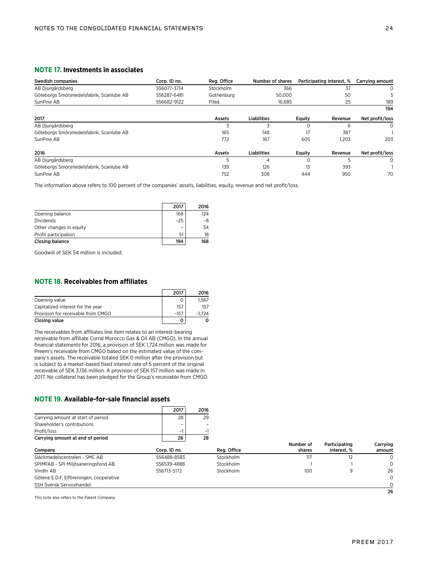## **NOTE 17. Investments in associates**

| Swedish companies                        | Corp. ID no. | Reg. Office | Number of shares   |          | Participating interest, % | Carrying amount |
|------------------------------------------|--------------|-------------|--------------------|----------|---------------------------|-----------------|
| AB Djurgårdsberg                         | 556077-3714  | Stockholm   | 366                |          | 37                        | 0               |
| Göteborgs Smörjmedelsfabrik, Scanlube AB | 556287-6481  | Gothenburg  | 50,000             |          | 50                        |                 |
| SunPine AB                               | 556682-9122  | Piteå       | 16.685             |          | 25                        | 189             |
|                                          |              |             |                    |          |                           | 194             |
| 2017                                     |              | Assets      | <b>Liabilities</b> | Equity   | Revenue                   | Net profit/loss |
| AB Djurgårdsberg                         |              |             |                    | ი        | 6                         | $\Omega$        |
| Göteborgs Smörjmedelsfabrik, Scanlube AB |              | 165         | 148                | 17       | 387                       |                 |
| SunPine AB                               |              | 772         | 167                | 605      | 1.203                     | 203             |
| 2016                                     |              | Assets      | <b>Liabilities</b> | Equity   | Revenue                   | Net profit/loss |
| AB Djurgårdsberg                         |              | 5           | 4                  | $\Omega$ | 5                         | $\Omega$        |
| Göteborgs Smörjmedelsfabrik, Scanlube AB |              | 139         | 126                | 13       | 393                       |                 |
| SunPine AB                               |              | 752         | 308                | 444      | 950                       | 70              |

The information above refers to 100 percent of the companies' assets, liabilities, equity, revenue and net profit/loss.

|                         | 2017  | 2016 |
|-------------------------|-------|------|
| Opening balance         | 168   | 124  |
| <b>Dividends</b>        | $-25$ | -8   |
| Other changes in equity |       | 34   |
| Profit participation    | 51    | 18   |
| Closing balance         | 194   | 168  |

Goodwill of SEK 54 million is included.

## **NOTE 18. Receivables from affiliates**

|                                    | 2017   | 2016     |
|------------------------------------|--------|----------|
| Opening value                      |        | 1.567    |
| Capitalized interest for the year  | 157    | 157      |
| Provision for receivable from CMGO | $-157$ | $-1.724$ |
| Closing value                      |        |          |

The receivables from affiliates line item relates to an interest-bearing receivable from affiliate Corral Morocco Gas & Oil AB (CMGO). In the annual financial statements for 2016, a provision of SEK 1,724 million was made for Preem's receivable from CMGO based on the estimated value of the company's assets. The receivable totaled SEK 0 million after the provision but is subject to a market-based fixed interest rate of 5 percent of the original receivable of SEK 3,136 million. A provision of SEK 157 million was made in 2017. No collateral has been pledged for the Group's receivable from CMGO.

## **NOTE 19. Available-for-sale financial assets**

|                                         | 2017         | 2016 |             |                     |                              |                    |
|-----------------------------------------|--------------|------|-------------|---------------------|------------------------------|--------------------|
| Carrying amount at start of period      | 28           | 29   |             |                     |                              |                    |
| Shareholder's contributions             |              |      |             |                     |                              |                    |
| Profit/loss                             | -1           | - 1  |             |                     |                              |                    |
| Carrying amount at end of period        | 26           | 28   |             |                     |                              |                    |
| Company                                 | Corp. ID no. |      | Reg. Office | Number of<br>shares | Participating<br>interest. % | Carrving<br>amount |
| Släckmedelscentralen - SMC AB           | 556488-8583  |      | Stockholm   | 117                 | 12                           | 0                  |
| SPIMFAB - SPI Miljösaneringsfond AB     | 556539-4888  |      | Stockholm   |                     |                              | $\Omega$           |
| Vindln AB                               | 556713-5172  |      | Stockholm   | 100                 | 9                            | 26                 |
| Götene E.D.F. Elföreningen, cooperative |              |      |             |                     |                              | $\Omega$           |
| <b>SSH Svensk Servicehandel</b>         |              |      |             |                     |                              | 0                  |
|                                         |              |      |             |                     |                              | 26                 |

This note also refers to the Parent Company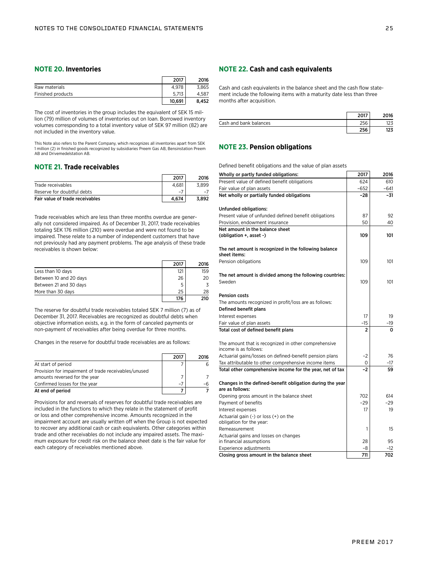## **NOTE 20. Inventories**

|                   | 2017   | 2016  |
|-------------------|--------|-------|
| Raw materials     | 4.978  | 3.865 |
| Finished products | 5.713  | 4.587 |
|                   | 10.691 | 8.452 |

The cost of inventories in the group includes the equivalent of SEK 15 million (79) million of volumes of inventories out on loan. Borrowed inventory volumes corresponding to a total inventory value of SEK 97 million (82) are not included in the inventory value.

This Note also refers to the Parent Company, which recognizes all inventories apart from SEK 1 million (2) in finished goods recognized by subsidiaries Preem Gas AB, Bensinstation Preem AB and Drivemedelstation AB.

## **NOTE 21. Trade receivables**

|                                 | 2017  | 2016  |
|---------------------------------|-------|-------|
| Trade receivables               | 4.681 | 3.899 |
| Reserve for doubtful debts      | $-$   |       |
| Fair value of trade receivables | 4.674 | 3.892 |

Trade receivables which are less than three months overdue are generally not considered impaired. As of December 31, 2017, trade receivables totaling SEK 176 million (210) were overdue and were not found to be impaired. These relate to a number of independent customers that have not previously had any payment problems. The age analysis of these trade receivables is shown below:

|                        | 2017 | 2016 |
|------------------------|------|------|
| Less than 10 days      | 121  | 159  |
| Between 10 and 20 days | 26   | 20   |
| Between 21 and 30 days | 5    |      |
| More than 30 days      | 25   | 28   |
|                        | 176  | 210  |

The reserve for doubtful trade receivables totaled SEK 7 million (7) as of December 31, 2017. Receivables are recognized as doubtful debts when objective information exists, e.g. in the form of canceled payments or non-payment of receivables after being overdue for three months.

Changes in the reserve for doubtful trade receivables are as follows:

|                                                                                       | 2017 | 2016 |
|---------------------------------------------------------------------------------------|------|------|
| At start of period                                                                    |      |      |
| Provision for impairment of trade receivables/unused<br>amounts reversed for the year |      |      |
| Confirmed losses for the year                                                         | $-7$ | -h   |
| At end of period                                                                      |      |      |

Provisions for and reversals of reserves for doubtful trade receivables are included in the functions to which they relate in the statement of profit or loss and other comprehensive income. Amounts recognized in the impairment account are usually written off when the Group is not expected to recover any additional cash or cash equivalents. Other categories within trade and other receivables do not include any impaired assets. The maximum exposure for credit risk on the balance sheet date is the fair value for each category of receivables mentioned above.

## **NOTE 22. Cash and cash equivalents**

Cash and cash equivalents in the balance sheet and the cash flow statement include the following items with a maturity date less than three months after acquisition.

|                        |        | )16 |
|------------------------|--------|-----|
| Cash and bank balances | $\sim$ | د∠، |
|                        | nee 1  | ,23 |

## **NOTE 23. Pension obligations**

Defined benefit obligations and the value of plan assets

| Wholly or partly funded obligations:                                          | 2017   | 2016   |
|-------------------------------------------------------------------------------|--------|--------|
| Present value of defined benefit obligations                                  | 624    | 610    |
| Fair value of plan assets                                                     | $-652$ | $-641$ |
| Net wholly or partially funded obligations                                    | $-28$  | $-31$  |
|                                                                               |        |        |
| Unfunded obligations:                                                         |        |        |
| Present value of unfunded defined benefit obligations                         | 87     | 92     |
| Provision, endowment insurance                                                | 50     | 40     |
| Net amount in the balance sheet                                               |        |        |
| (obligation +, asset -)                                                       | 109    | 101    |
| The net amount is recognized in the following balance                         |        |        |
| sheet items:                                                                  |        |        |
| Pension obligations                                                           | 109    | 101    |
|                                                                               |        |        |
| The net amount is divided among the following countries:                      |        |        |
| Sweden                                                                        | 109    | 101    |
|                                                                               |        |        |
| <b>Pension costs</b>                                                          |        |        |
| The amounts recognized in profit/loss are as follows:                         |        |        |
| Defined benefit plans                                                         |        |        |
| Interest expenses                                                             | 17     | 19     |
| Fair value of plan assets                                                     | -15    | -19    |
| Total cost of defined benefit plans                                           | 2      | 0      |
|                                                                               |        |        |
| The amount that is recognized in other comprehensive<br>income is as follows: |        |        |
| Actuarial gains/losses on defined-benefit pension plans                       | $-2$   | 76     |
| Tax attributable to other comprehensive income items                          | 0      | -17    |
| Total other comprehensive income for the year, net of tax                     | $-2$   | 59     |
|                                                                               |        |        |
| Changes in the defined-benefit obligation during the year                     |        |        |
| are as follows:                                                               |        |        |
| Opening gross amount in the balance sheet                                     | 702    | 614    |
| Payment of benefits                                                           | $-29$  | $-29$  |
| Interest expenses                                                             | 17     | 19     |
| Actuarial gain (-) or loss (+) on the                                         |        |        |
| obligation for the year:<br>Remeasurement                                     | 1      | 15     |
| Actuarial gains and losses on changes                                         |        |        |
| in financial assumptions                                                      | 28     | 95     |
| Experience adjustments                                                        | -8     | -12    |
| Closing gross amount in the balance sheet                                     | 711    | 702    |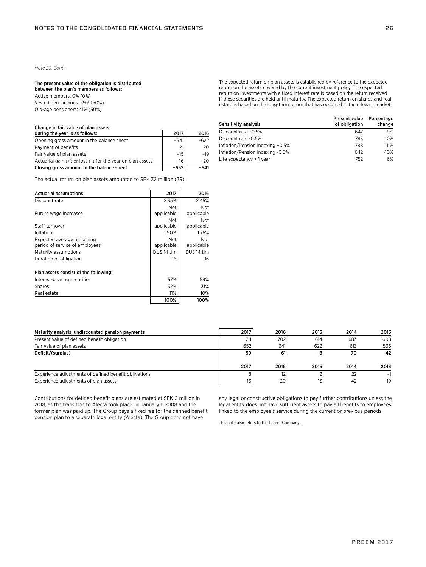### *Note 23. Cont.*

#### The present value of the obligation is distributed between the plan's members as follows:

Active members: 0% (0%) Vested beneficiaries: 59% (50%) Old-age pensioners: 41% (50%)

## Change in fair value of plan assets

| during the year is as follows:                             | 2017   | 2016   |
|------------------------------------------------------------|--------|--------|
| Opening gross amount in the balance sheet                  | $-641$ | $-622$ |
| Payment of benefits                                        | 21     | 20     |
| Fair value of plan assets                                  | $-15$  | -19    |
| Actuarial gain (+) or loss (-) for the year on plan assets | $-16$  | $-20$  |
| Closing gross amount in the balance sheet                  | -652   | -641   |

The actual return on plan assets amounted to SEK 32 million (39).

| <b>Actuarial assumptions</b>                                 | 2017                     | 2016                     |
|--------------------------------------------------------------|--------------------------|--------------------------|
| Discount rate                                                | 2.35%                    | 2.45%                    |
| Future wage increases                                        | <b>Not</b><br>applicable | <b>Not</b><br>applicable |
| Staff turnover                                               | Not<br>applicable        | <b>Not</b><br>applicable |
| Inflation                                                    | 1.90%                    | 1.75%                    |
| Expected average remaining<br>period of service of employees | <b>Not</b><br>applicable | <b>Not</b><br>applicable |
| Maturity assumptions                                         | DUS <sub>14</sub> tim    | DUS 14 tim               |
| Duration of obligation                                       | 16                       | 16                       |
| Plan assets consist of the following:                        |                          |                          |
| Interest-bearing securities                                  | 57%                      | 59%                      |
| <b>Shares</b>                                                | 32%                      | 31%                      |
| Real estate                                                  | 11%                      | 10%                      |
|                                                              | 100%                     | 100%                     |

| The expected return on plan assets is established by reference to the expected      |
|-------------------------------------------------------------------------------------|
| return on the assets covered by the current investment policy. The expected         |
| return on investments with a fixed interest rate is based on the return received    |
| if these securities are held until maturity. The expected return on shares and real |
| estate is based on the long-term return that has occurred in the relevant market.   |

| Sensitivity analysis             | <b>Present value</b><br>of obligation | Percentage<br>change |
|----------------------------------|---------------------------------------|----------------------|
| Discount rate +0.5%              | 647                                   | $-9%$                |
| Discount rate -0.5%              | 783                                   | 10%                  |
| Inflation/Pension indexing +0.5% | 788                                   | 11%                  |
| Inflation/Pension indexing -0.5% | 642                                   | $-10%$               |
| Life expectancy $+1$ year        | 752                                   | 6%                   |

| Maturity analysis, undiscounted pension payments      | 2017 | 2016 | 2015 | 2014 | 2013 |
|-------------------------------------------------------|------|------|------|------|------|
| Present value of defined benefit obligation           |      | 702  | 614  | 683  | 608  |
| Fair value of plan assets                             | 652  | 641  | 622  | 613  | 566  |
| Deficit/(surplus)                                     | 59   | 61   | -8   | 70   | 42   |
|                                                       | 2017 | 2016 | 2015 | 2014 | 2013 |
| Experience adjustments of defined benefit obligations |      |      |      | 22   |      |
| Experience adjustments of plan assets                 | 16   | 20   | 13   | 42   | 19   |

Contributions for defined benefit plans are estimated at SEK 0 million in 2018, as the transition to Alecta took place on January 1, 2008 and the former plan was paid up. The Group pays a fixed fee for the defined benefit pension plan to a separate legal entity (Alecta). The Group does not have

any legal or constructive obligations to pay further contributions unless the legal entity does not have sufficient assets to pay all benefits to employees linked to the employee's service during the current or previous periods.

This note also refers to the Parent Company.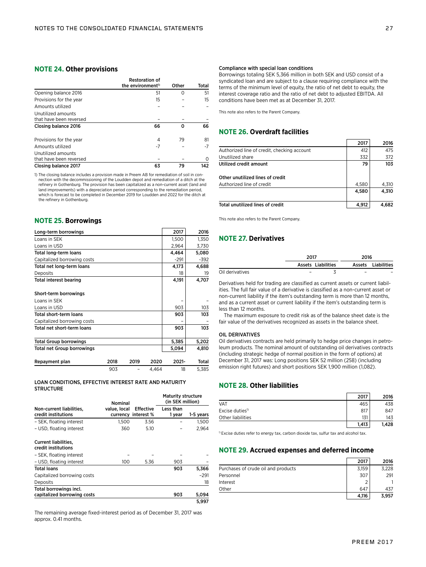## **NOTE 24. Other provisions**

|                         | <b>Restoration of</b><br>the environment <sup>1)</sup> | Other | Total |
|-------------------------|--------------------------------------------------------|-------|-------|
| Opening balance 2016    | 51                                                     | ∩     | 51    |
| Provisions for the year | 15                                                     |       | 15    |
| Amounts utilized        |                                                        |       |       |
| Unutilized amounts      |                                                        |       |       |
| that have been reversed |                                                        |       |       |
| Closing balance 2016    | 66                                                     | ŋ     | 66    |
| Provisions for the year | 4                                                      | 79    | 81    |
| Amounts utilized        | -7                                                     |       | -7    |
| Unutilized amounts      |                                                        |       |       |
| that have been reversed |                                                        |       | O     |
| Closing balance 2017    | 63                                                     | 79    | 142   |

1) The closing balance includes a provision made in Preem AB for remediation of soil in connection with the decommissioning of the Loudden depot and remediation of a ditch at the refinery in Gothenburg. The provision has been capitalized as a non-current asset (land and land improvements) with a depreciation period corresponding to the remediation period, which is forecast to be completed in December 2019 for Loudden and 2022 for the ditch at the refinery in Gothenburg.

## **NOTE 25. Borrowings**

| Long-term borrowings              |      |      |       | 2017   | 2016   |
|-----------------------------------|------|------|-------|--------|--------|
| Loans in SEK                      |      |      |       | 1,500  | 1,350  |
| Loans in USD                      |      |      |       | 2,964  | 3,730  |
| <b>Total long-term loans</b>      |      |      |       | 4,464  | 5,080  |
| Capitalized borrowing costs       |      |      |       | $-291$ | $-392$ |
| Total net long-term loans         |      |      |       | 4,173  | 4,688  |
| Deposits                          |      |      |       | 18     | 19     |
| <b>Total interest bearing</b>     |      |      |       | 4,191  | 4,707  |
| Short-term borrowings             |      |      |       |        |        |
| Loans in SEK                      |      |      |       |        |        |
| Loans in USD                      |      |      |       | 903    | 103    |
| Total short-term loans            |      |      |       | 903    | 103    |
| Capitalized borrowing costs       |      |      |       |        |        |
| Total net short-term loans        |      |      |       | 903    | 103    |
| <b>Total Group borrowings</b>     |      |      |       | 5,385  | 5,202  |
| <b>Total net Group borrowings</b> |      |      |       | 5,094  | 4,810  |
| Repayment plan                    | 2018 | 2019 | 2020  | 2021-  | Total  |
|                                   | 903  |      | 4.464 | 18     | 5.385  |

## LOAN CONDITIONS, EFFECTIVE INTEREST RATE AND MATURITY **STRUCTURE**

|                                                       | Nominal      |                                         | <b>Maturity structure</b><br>(in SEK million) |           |  |
|-------------------------------------------------------|--------------|-----------------------------------------|-----------------------------------------------|-----------|--|
| Non-current liabilities,<br>credit institutions       | value, local | <b>Effective</b><br>currency interest % | <b>Less than</b><br>1 year                    | 1-5 years |  |
| - SEK. floating interest                              | 1.500        | 3.56                                    |                                               | 1.500     |  |
| - USD, floating interest                              | 360          | 5.10                                    |                                               | 2,964     |  |
| <b>Current liabilities.</b><br>credit institutions    |              |                                         |                                               |           |  |
| - SEK, floating interest                              |              |                                         |                                               |           |  |
| - USD. floating interest                              | 100          | 5.36                                    | 903                                           |           |  |
| <b>Total loans</b>                                    |              |                                         | 903                                           | 5,366     |  |
| Capitalized borrowing costs                           |              |                                         |                                               | $-291$    |  |
| Deposits                                              |              |                                         |                                               | 18        |  |
| Total borrowings incl.<br>capitalized borrowing costs |              |                                         | 903                                           | 5,094     |  |
|                                                       |              |                                         |                                               | 5.997     |  |

The remaining average fixed-interest period as of December 31, 2017 was approx. 0.41 months.

Borrowings totaling SEK 5,366 million in both SEK and USD consist of a syndicated loan and are subject to a clause requiring compliance with the terms of the minimum level of equity, the ratio of net debt to equity, the interest coverage ratio and the ratio of net debt to adjusted EBITDA. All conditions have been met as at December 31, 2017.

This note also refers to the Parent Company.

## **NOTE 26. Overdraft facilities**

|                                             | 2017  | 2016  |
|---------------------------------------------|-------|-------|
| Authorized line of credit, checking account | 412   | 475   |
| Unutilized share                            | 332   | 372   |
| Utilized credit amount                      | 79    | 103   |
| Other unutilized lines of credit            |       |       |
| Authorized line of credit                   | 4,580 | 4.310 |
|                                             | 4.580 | 4.310 |
| Total unutilized lines of credit            | 4,912 | 4.682 |

This note also refers to the Parent Company.

## **NOTE 27. Derivatives**

|                 | 2017                     | 2016                     |                    |
|-----------------|--------------------------|--------------------------|--------------------|
|                 | Assets Liabilities       |                          | Assets Liabilities |
| Oil derivatives | $\overline{\phantom{0}}$ | $\overline{\phantom{0}}$ |                    |

Derivatives held for trading are classified as current assets or current liabilities. The full fair value of a derivative is classified as a non-current asset or non-current liability if the item's outstanding term is more than 12 months, and as a current asset or current liability if the item's outstanding term is less than 12 months.

The maximum exposure to credit risk as of the balance sheet date is the fair value of the derivatives recognized as assets in the balance sheet.

#### OIL DERIVATIVES

Oil derivatives contracts are held primarily to hedge price changes in petroleum products. The nominal amount of outstanding oil derivatives contracts (including strategic hedge of normal position in the form of options) at December 31, 2017 was: Long positions SEK 52 million (258) (including emission right futures) and short positions SEK 1,900 million (1,082).

## **NOTE 28. Other liabilities**

|                             | 2017  | 2016  |
|-----------------------------|-------|-------|
| VAT                         | 465   | 438   |
| Excise duties <sup>1)</sup> | 817   | 847   |
| Other liabilities           | 131   | 143   |
|                             | 1,413 | 1.428 |

 $<sup>1)</sup>$  Excise duties refer to energy tax, carbon dioxide tax, sulfur tax and alcohol tax.</sup>

## **NOTE 29. Accrued expenses and deferred income**

|                                     | 2017  | 2016  |
|-------------------------------------|-------|-------|
| Purchases of crude oil and products | 3,159 | 3,228 |
| Personnel                           | 307   | 291   |
| Interest                            |       |       |
| Other                               | 647   | 437   |
|                                     | 4,116 | 3.957 |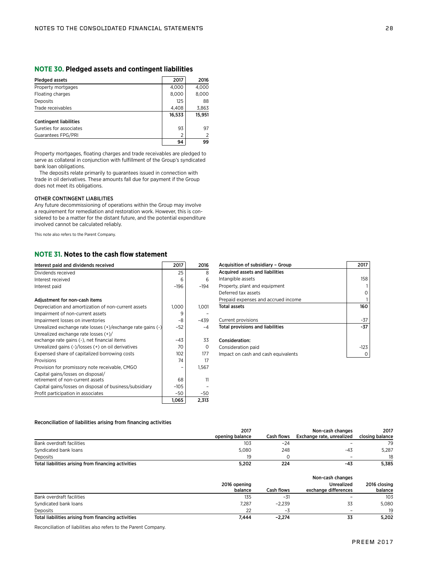## **NOTE 30. Pledged assets and contingent liabilities**

| Pledged assets                | 2017   | 2016   |
|-------------------------------|--------|--------|
| Property mortgages            | 4.000  | 4,000  |
| Floating charges              | 8,000  | 8,000  |
| Deposits                      | 125    | 88     |
| Trade receivables             | 4.408  | 3,863  |
|                               | 16,533 | 15.951 |
| <b>Contingent liabilities</b> |        |        |
| Sureties for associates       | 93     | 97     |
| Guarantees FPG/PRI            | 2      | 2      |
|                               | 94     | 99     |

Property mortgages, floating charges and trade receivables are pledged to serve as collateral in conjunction with fulfillment of the Group's syndicated bank loan obligations.

The deposits relate primarily to guarantees issued in connection with trade in oil derivatives. These amounts fall due for payment if the Group does not meet its obligations.

### OTHER CONTINGENT LIABILITIES

Any future decommissioning of operations within the Group may involve a requirement for remediation and restoration work. However, this is considered to be a matter for the distant future, and the potential expenditure involved cannot be calculated reliably.

This note also refers to the Parent Company.

## **NOTE 31. Notes to the cash flow statement**

| Interest paid and dividends received                        | 2017   | 2016   |
|-------------------------------------------------------------|--------|--------|
| Dividends received                                          | 25     | 8      |
| Interest received                                           | 6      | 6      |
| Interest paid                                               | $-196$ | $-194$ |
| Adjustment for non-cash items                               |        |        |
| Depreciation and amortization of non-current assets         | 1,000  | 1,001  |
| Impairment of non-current assets                            | 9      |        |
| Impairment losses on inventories                            | -8     | $-439$ |
| Unrealized exchange rate losses (+)/exchange rate gains (-) | $-52$  | $-4$   |
| Unrealized exchange rate losses $(+)/$                      |        |        |
| exchange rate gains (-), net financial items                | $-43$  | 33     |
| Unrealized gains (-)/losses (+) on oil derivatives          | 70     | ∩      |
| Expensed share of capitalized borrowing costs               | 102    | 177    |
| Provisions                                                  | 74     | 17     |
| Provision for promissory note receivable, CMGO              |        | 1,567  |
| Capital gains/losses on disposal/                           |        |        |
| retirement of non-current assets                            | 68     | 11     |
| Capital gains/losses on disposal of business/subsidiary     | $-105$ |        |
| Profit participation in associates                          | $-50$  | -50    |
|                                                             | 1,065  | 2,313  |

| Acquisition of subsidiary - Group       | 2017   |
|-----------------------------------------|--------|
| <b>Acquired assets and liabilities</b>  |        |
| Intangible assets                       | 158    |
| Property, plant and equipment           |        |
| Deferred tax assets                     | 0      |
| Prepaid expenses and accrued income     |        |
| <b>Total assets</b>                     | 160    |
|                                         |        |
| Current provisions                      | -37    |
| <b>Total provisions and liabilities</b> | -37    |
|                                         |        |
| Consideration:                          |        |
| Consideration paid                      | $-123$ |
| Impact on cash and cash equivalents     |        |

## Reconciliation of liabilities arising from financing activities

|                                                     | 2017            |                   | Non-cash changes          | 2017            |  |
|-----------------------------------------------------|-----------------|-------------------|---------------------------|-----------------|--|
|                                                     | opening balance | <b>Cash flows</b> | Exchange rate, unrealized | closing balance |  |
| Bank overdraft facilities                           | 103             | $-24$             | -                         | 79              |  |
| Syndicated bank loans                               | 5.080           | 248               | $-43$                     | 5.287           |  |
| Deposits                                            | 19              |                   |                           | 18              |  |
| Total liabilities arising from financing activities | 5.202           | 224               | -43                       | 5.385           |  |

|                                                     | 2016 opening<br>balance | Cash flows | Non-cash changes<br><b>Unrealized</b><br>exchange differences | 2016 closing<br>balance |
|-----------------------------------------------------|-------------------------|------------|---------------------------------------------------------------|-------------------------|
| Bank overdraft facilities                           | 135                     | -31        |                                                               | 103                     |
| Syndicated bank loans                               | 7,287                   | $-2.239$   | 33                                                            | 5,080                   |
| Deposits                                            | 22                      | -5         | $\overline{\phantom{0}}$                                      | 19                      |
| Total liabilities arising from financing activities | 7.444                   | $-2.274$   | 33                                                            | 5,202                   |

Reconciliation of liabilities also refers to the Parent Company.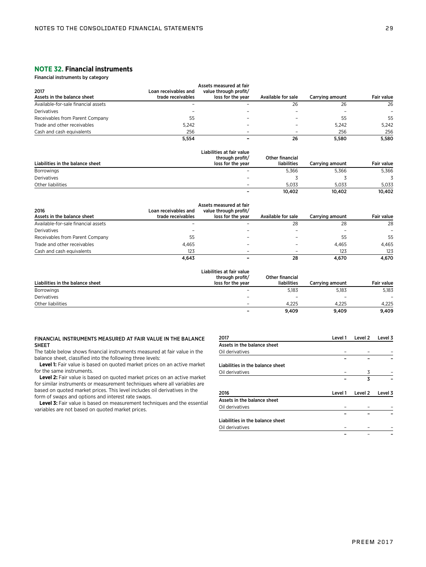## **NOTE 32. Financial instruments**

Financial instruments by category

| 2017<br>Assets in the balance sheet | Loan receivables and<br>trade receivables | Assets measured at fair<br>value through profit/<br>loss for the year | Available for sale | Carrving amount | <b>Fair value</b> |
|-------------------------------------|-------------------------------------------|-----------------------------------------------------------------------|--------------------|-----------------|-------------------|
| Available-for-sale financial assets |                                           |                                                                       | 26                 | 26              | 26                |
| Derivatives                         |                                           |                                                                       |                    |                 |                   |
| Receivables from Parent Company     | 55                                        |                                                                       |                    | 55              | 55                |
| Trade and other receivables         | 5.242                                     |                                                                       |                    | 5.242           | 5.242             |
| Cash and cash equivalents           | 256                                       |                                                                       |                    | 256             | 256               |
|                                     | 5.554                                     | -                                                                     | 26                 | 5.580           | 5.580             |

| Liabilities in the balance sheet | Liabilities at fair value<br>through profit/<br>loss for the year | Other financial<br>liabilities | Carrying amount | <b>Fair value</b> |
|----------------------------------|-------------------------------------------------------------------|--------------------------------|-----------------|-------------------|
| Borrowings                       | $\overline{\phantom{a}}$                                          | 5.366                          | 5.366           | 5,366             |
| Derivatives                      | $\qquad \qquad \blacksquare$                                      |                                |                 |                   |
| Other liabilities                | $\qquad \qquad \blacksquare$                                      | 5.033                          | 5.033           | 5.033             |
|                                  | -                                                                 | 10.402                         | 10.402          | 10.402            |

| 2016<br>Assets in the balance sheet | Loan receivables and<br>trade receivables | Assets measured at fair<br>value through profit/<br>loss for the year | Available for sale | Carrving amount | <b>Fair value</b> |
|-------------------------------------|-------------------------------------------|-----------------------------------------------------------------------|--------------------|-----------------|-------------------|
| Available-for-sale financial assets |                                           |                                                                       | 28                 | 28              | 28                |
| Derivatives                         |                                           |                                                                       |                    |                 |                   |
| Receivables from Parent Company     | 55                                        |                                                                       |                    | 55              | 55                |
| Trade and other receivables         | 4.465                                     |                                                                       |                    | 4.465           | 4.465             |
| Cash and cash equivalents           | 123                                       |                                                                       |                    | 123             | 123               |
|                                     | 4.643                                     |                                                                       | 28                 | 4.670           | 4.670             |

| Liabilities in the balance sheet | Liabilities at fair value<br>through profit/<br>loss for the year | Other financial<br>liabilities | Carrying amount          | Fair value               |
|----------------------------------|-------------------------------------------------------------------|--------------------------------|--------------------------|--------------------------|
| <b>Borrowings</b>                |                                                                   | 5,183                          | 5,183                    | 5,183                    |
| Derivatives                      | $\overline{\phantom{a}}$                                          | $\overline{\phantom{a}}$       | $\overline{\phantom{0}}$ | $\overline{\phantom{0}}$ |
| Other liabilities                | $\overline{\phantom{0}}$                                          | 4.225                          | 4.225                    | 4.225                    |
|                                  | -                                                                 | 9.409                          | 9.409                    | 9.409                    |

## FINANCIAL INSTRUMENTS MEASURED AT FAIR VALUE IN THE BALANCE SHEET

The table below shows financial instruments measured at fair value in the balance sheet, classified into the following three levels:

Level 1: Fair value is based on quoted market prices on an active market for the same instruments.

Level 2: Fair value is based on quoted market prices on an active market for similar instruments or measurement techniques where all variables are based on quoted market prices. This level includes oil derivatives in the form of swaps and options and interest rate swaps.

Level 3: Fair value is based on measurement techniques and the essential variables are not based on quoted market prices.

| 2017                             | Level 1 | Level 2 | Level 3 |
|----------------------------------|---------|---------|---------|
| Assets in the balance sheet      |         |         |         |
| Oil derivatives                  |         |         |         |
|                                  |         |         |         |
| Liabilities in the balance sheet |         |         |         |
| Oil derivatives                  |         | 3       |         |
|                                  |         | 3       |         |
| 2016                             | Level 1 | Level 2 | Level 3 |
| Assets in the balance sheet      |         |         |         |
| Oil derivatives                  |         |         |         |
|                                  |         |         |         |
| Liabilities in the balance sheet |         |         |         |
| Oil derivatives                  |         |         |         |

– – –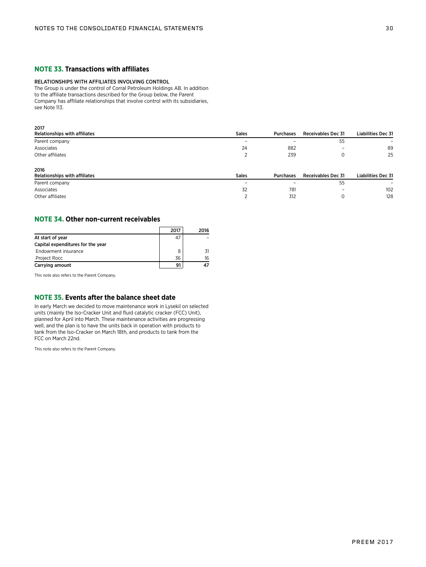## **NOTE 33. Transactions with affiliates**

## RELATIONSHIPS WITH AFFILIATES INVOLVING CONTROL

The Group is under the control of Corral Petroleum Holdings AB. In addition to the affiliate transactions described for the Group below, the Parent Company has affiliate relationships that involve control with its subsidiaries, see Note 113.

| 2017                          |              |           |                           |                           |
|-------------------------------|--------------|-----------|---------------------------|---------------------------|
| Relationships with affiliates | <b>Sales</b> | Purchases | <b>Receivables Dec 31</b> | <b>Liabilities Dec 31</b> |
| Parent company                |              |           | 55                        |                           |
| Associates                    | 24           | 882       | $\overline{\phantom{a}}$  | 89                        |
| Other affiliates              |              | 239       | 0                         | 25                        |
| 2016                          |              |           |                           |                           |
| Relationships with affiliates | <b>Sales</b> | Purchases | <b>Receivables Dec 31</b> | <b>Liabilities Dec 31</b> |
| Parent company                |              |           | 55                        |                           |
| Associates                    | 32           | 781       | $\overline{\phantom{0}}$  | 102                       |
| Other affiliates              |              | 312       |                           | 128                       |

## **NOTE 34. Other non-current receivables**

|                                   | 2017 | 2016 |
|-----------------------------------|------|------|
| At start of year                  | 47   |      |
| Capital expenditures for the year |      |      |
| Endowment insurance               |      |      |
| Project Rocc                      | 36   | 16   |
| Carrying amount                   |      |      |

This note also refers to the Parent Company.

## **NOTE 35. Events after the balance sheet date**

In early March we decided to move maintenance work in Lysekil on selected units (mainly the Iso-Cracker Unit and fluid catalytic cracker (FCC) Unit), planned for April into March. These maintenance activities are progressing well, and the plan is to have the units back in operation with products to tank from the Iso-Cracker on March 18th, and products to tank from the FCC on March 22nd.

This note also refers to the Parent Company.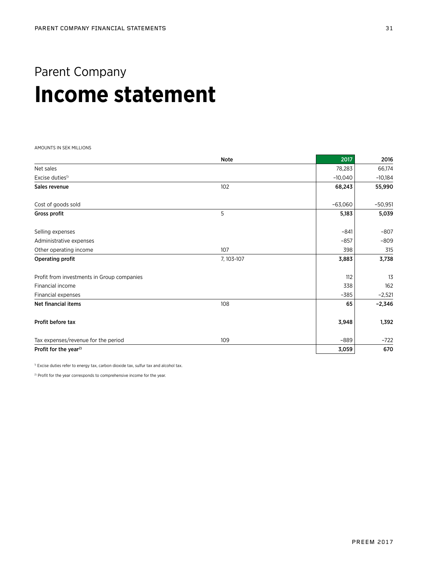## Parent Company **Income statement**

AMOUNTS IN SEK MILLIONS

|                                            | Note       | 2017      | 2016      |
|--------------------------------------------|------------|-----------|-----------|
| Net sales                                  |            | 78,283    | 66,174    |
| Excise duties <sup>1)</sup>                |            | $-10,040$ | $-10,184$ |
| Sales revenue                              | 102        | 68,243    | 55,990    |
| Cost of goods sold                         |            | $-63,060$ | $-50,951$ |
| Gross profit                               | 5          | 5,183     | 5,039     |
| Selling expenses                           |            | $-841$    | $-807$    |
| Administrative expenses                    |            | $-857$    | $-809$    |
| Other operating income                     | 107        | 398       | 315       |
| Operating profit                           | 7, 103-107 | 3,883     | 3,738     |
| Profit from investments in Group companies |            | 112       | 13        |
| Financial income                           |            | 338       | 162       |
| Financial expenses                         |            | $-385$    | $-2,521$  |
| Net financial items                        | 108        | 65        | $-2,346$  |
| Profit before tax                          |            | 3,948     | 1,392     |
| Tax expenses/revenue for the period        | 109        | $-889$    | $-722$    |
| Profit for the year <sup>2)</sup>          |            | 3,059     | 670       |

 $^{1)}$  Excise duties refer to energy tax, carbon dioxide tax, sulfur tax and alcohol tax.

<sup>2)</sup> Profit for the year corresponds to comprehensive income for the year.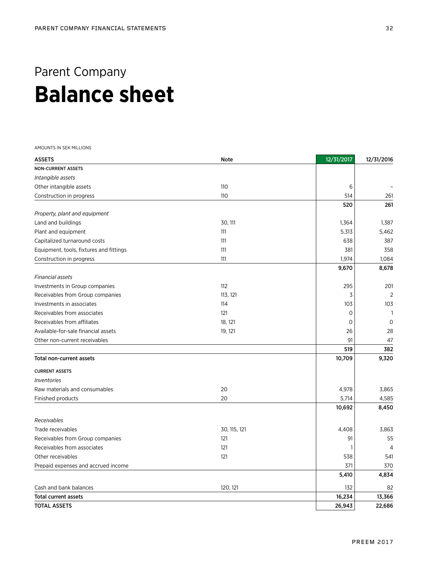## Parent Company **Balance sheet**

AMOUNTS IN SEK MILLIONS

| <b>ASSETS</b>                           | <b>Note</b>  | 12/31/2017 | 12/31/2016   |
|-----------------------------------------|--------------|------------|--------------|
| <b>NON-CURRENT ASSETS</b>               |              |            |              |
| Intangible assets                       |              |            |              |
| Other intangible assets                 | 110          | 6          |              |
| Construction in progress                | 110          | 514        | 261          |
|                                         |              | 520        | 261          |
| Property, plant and equipment           |              |            |              |
| Land and buildings                      | 30, 111      | 1,364      | 1,387        |
| Plant and equipment                     | 111          | 5,313      | 5,462        |
| Capitalized turnaround costs            | 111          | 638        | 387          |
| Equipment, tools, fixtures and fittings | 111          | 381        | 358          |
| Construction in progress                | 111          | 1,974      | 1,084        |
|                                         |              | 9,670      | 8,678        |
| <b>Financial assets</b>                 |              |            |              |
| Investments in Group companies          | 112          | 295        | 201          |
| Receivables from Group companies        | 113, 121     | 3          | 2            |
| Investments in associates               | 114          | 103        | 103          |
| Receivables from associates             | 121          | 0          | $\mathbf{1}$ |
| Receivables from affiliates             | 18, 121      | 0          | $\mathbf 0$  |
| Available-for-sale financial assets     | 19, 121      | 26         | 28           |
| Other non-current receivables           |              | 91         | 47           |
|                                         |              | 519        | 382          |
| Total non-current assets                |              | 10,709     | 9,320        |
| <b>CURRENT ASSETS</b>                   |              |            |              |
| <i><u><b>Inventories</b></u></i>        |              |            |              |
| Raw materials and consumables           | 20           | 4,978      | 3,865        |
| Finished products                       | 20           | 5,714      | 4,585        |
|                                         |              | 10,692     | 8,450        |
| Receivables                             |              |            |              |
| Trade receivables                       | 30, 115, 121 | 4,408      | 3,863        |
| Receivables from Group companies        | 121          | 91         | 55           |
| Receivables from associates             | 121          |            | 4            |
| Other receivables                       | 121          | 538        | 541          |
| Prepaid expenses and accrued income     |              | 371        | 370          |
|                                         |              | 5,410      | 4,834        |
| Cash and bank balances                  | 120, 121     | 132        | 82           |
| <b>Total current assets</b>             |              | 16,234     | 13,366       |
| <b>TOTAL ASSETS</b>                     |              | 26,943     | 22,686       |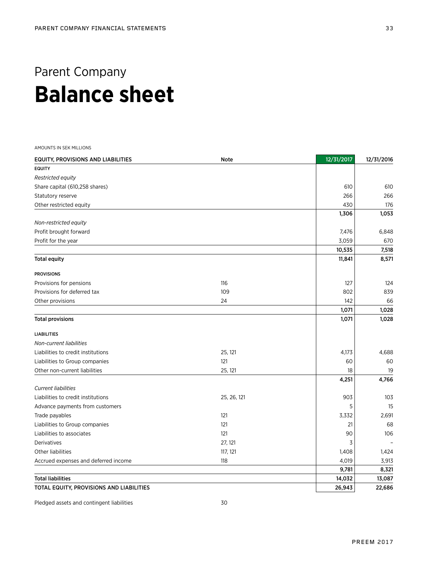## Parent Company **Balance sheet**

AMOUNTS IN SEK MILLIONS

| <b>EQUITY, PROVISIONS AND LIABILITIES</b> | Note        | 12/31/2017 | 12/31/2016 |
|-------------------------------------------|-------------|------------|------------|
| <b>EQUITY</b>                             |             |            |            |
| <b>Restricted equity</b>                  |             |            |            |
| Share capital (610,258 shares)            |             | 610        | 610        |
| Statutory reserve                         |             | 266        | 266        |
| Other restricted equity                   |             | 430        | 176        |
|                                           |             | 1,306      | 1,053      |
| Non-restricted equity                     |             |            |            |
| Profit brought forward                    |             | 7,476      | 6,848      |
| Profit for the year                       |             | 3,059      | 670        |
|                                           |             | 10,535     | 7,518      |
| <b>Total equity</b>                       |             | 11,841     | 8,571      |
| <b>PROVISIONS</b>                         |             |            |            |
| Provisions for pensions                   | 116         | 127        | 124        |
| Provisions for deferred tax               | 109         | 802        | 839        |
| Other provisions                          | 24          | 142        | 66         |
|                                           |             | 1,071      | 1,028      |
| <b>Total provisions</b>                   |             | 1,071      | 1,028      |
| <b>LIABILITIES</b>                        |             |            |            |
| Non-current liabilities                   |             |            |            |
| Liabilities to credit institutions        | 25, 121     | 4,173      | 4,688      |
| Liabilities to Group companies            | 121         | 60         | 60         |
| Other non-current liabilities             | 25, 121     | 18         | 19         |
|                                           |             | 4,251      | 4,766      |
| <b>Current liabilities</b>                |             |            |            |
| Liabilities to credit institutions        | 25, 26, 121 | 903        | 103        |
| Advance payments from customers           |             | 5          | 15         |
| Trade payables                            | 121         | 3,332      | 2,691      |
| Liabilities to Group companies            | 121         | 21         | 68         |
| Liabilities to associates                 | 121         | 90         | 106        |
| Derivatives                               | 27, 121     | 3          |            |
| Other liabilities                         | 117, 121    | 1,408      | 1,424      |
| Accrued expenses and deferred income      | 118         | 4,019      | 3,913      |
|                                           |             | 9,781      | 8,321      |
| <b>Total liabilities</b>                  |             | 14,032     | 13,087     |
| TOTAL EQUITY, PROVISIONS AND LIABILITIES  |             | 26,943     | 22,686     |

Pledged assets and contingent liabilities 30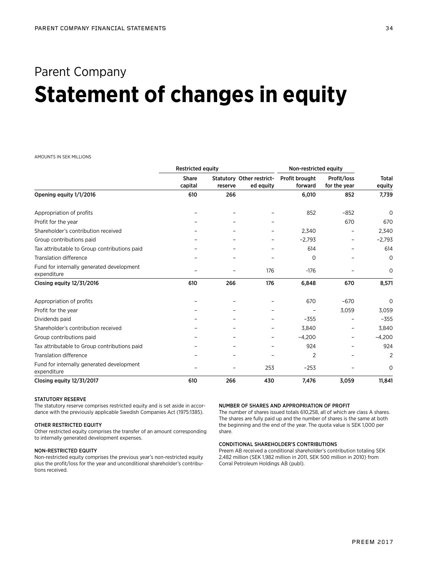## Parent Company **Statement of changes in equity**

## AMOUNTS IN SEK MILLIONS

|                                                          | <b>Restricted equity</b> |         | Non-restricted equity                  |                           |                             |                        |
|----------------------------------------------------------|--------------------------|---------|----------------------------------------|---------------------------|-----------------------------|------------------------|
|                                                          | Share<br>capital         | reserve | Statutory Other restrict-<br>ed equity | Profit brought<br>forward | Profit/loss<br>for the year | <b>Total</b><br>equity |
| Opening equity 1/1/2016                                  | 610                      | 266     |                                        | 6,010                     | 852                         | 7,739                  |
| Appropriation of profits                                 |                          |         |                                        | 852                       | $-852$                      | $\mathbf 0$            |
| Profit for the year                                      |                          |         |                                        |                           | 670                         | 670                    |
| Shareholder's contribution received                      |                          |         |                                        | 2,340                     |                             | 2,340                  |
| Group contributions paid                                 |                          |         |                                        | $-2,793$                  | $\qquad \qquad -$           | $-2,793$               |
| Tax attributable to Group contributions paid             |                          |         |                                        | 614                       |                             | 614                    |
| <b>Translation difference</b>                            |                          |         |                                        | 0                         |                             | $\mathbf 0$            |
| Fund for internally generated development<br>expenditure |                          |         | 176                                    | $-176$                    |                             | $\mathbf 0$            |
| Closing equity 12/31/2016                                | 610                      | 266     | 176                                    | 6,848                     | 670                         | 8,571                  |
| Appropriation of profits                                 |                          |         |                                        | 670                       | $-670$                      | $\Omega$               |
| Profit for the year                                      |                          |         |                                        |                           | 3,059                       | 3,059                  |
| Dividends paid                                           |                          |         |                                        | $-355$                    |                             | $-355$                 |
| Shareholder's contribution received                      |                          |         |                                        | 3,840                     |                             | 3,840                  |
| Group contributions paid                                 |                          |         |                                        | $-4,200$                  |                             | $-4,200$               |
| Tax attributable to Group contributions paid             |                          |         |                                        | 924                       |                             | 924                    |
| <b>Translation difference</b>                            |                          |         |                                        | $\overline{2}$            |                             | $\overline{2}$         |
| Fund for internally generated development<br>expenditure |                          |         | 253                                    | $-253$                    |                             | 0                      |
| Closing equity 12/31/2017                                | 610                      | 266     | 430                                    | 7,476                     | 3,059                       | 11,841                 |

### STATUTORY RESERVE

The statutory reserve comprises restricted equity and is set aside in accordance with the previously applicable Swedish Companies Act (1975:1385).

## OTHER RESTRICTED EQUITY

Other restricted equity comprises the transfer of an amount corresponding to internally generated development expenses.

## NON-RESTRICTED EQUITY

Non-restricted equity comprises the previous year's non-restricted equity plus the profit/loss for the year and unconditional shareholder's contributions received.

## NUMBER OF SHARES AND APPROPRIATION OF PROFIT

The number of shares issued totals 610,258, all of which are class A shares. The shares are fully paid up and the number of shares is the same at both the beginning and the end of the year. The quota value is SEK 1,000 per share.

### CONDITIONAL SHAREHOLDER'S CONTRIBUTIONS

Preem AB received a conditional shareholder's contribution totaling SEK 2,482 million (SEK 1,982 million in 2011, SEK 500 million in 2010) from Corral Petroleum Holdings AB (publ).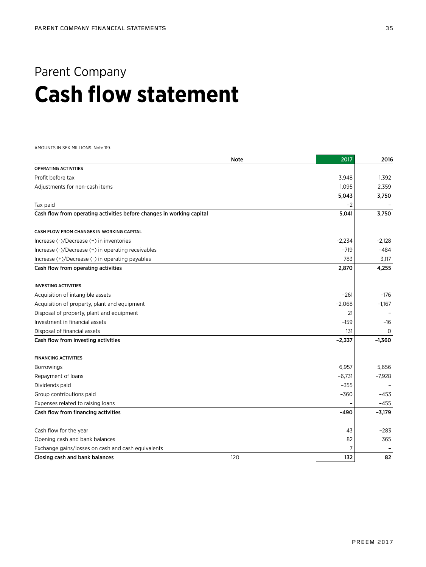## Parent Company **Cash flow statement**

AMOUNTS IN SEK MILLIONS. Note 119.

|                                                                       | <b>Note</b> | 2017     | 2016     |
|-----------------------------------------------------------------------|-------------|----------|----------|
| <b>OPERATING ACTIVITIES</b>                                           |             |          |          |
| Profit before tax                                                     |             | 3,948    | 1,392    |
| Adjustments for non-cash items                                        |             | 1,095    | 2,359    |
|                                                                       |             | 5,043    | 3,750    |
| Tax paid                                                              |             | $-2$     |          |
| Cash flow from operating activities before changes in working capital |             | 5,041    | 3,750    |
| CASH FLOW FROM CHANGES IN WORKING CAPITAL                             |             |          |          |
| Increase (-)/Decrease (+) in inventories                              |             | $-2,234$ | $-2,128$ |
| Increase (-)/Decrease (+) in operating receivables                    |             | $-719$   | $-484$   |
| Increase (+)/Decrease (-) in operating payables                       |             | 783      | 3,117    |
| Cash flow from operating activities                                   |             | 2,870    | 4,255    |
| <b>INVESTING ACTIVITIES</b>                                           |             |          |          |
| Acquisition of intangible assets                                      |             | $-261$   | $-176$   |
| Acquisition of property, plant and equipment                          |             | $-2,068$ | $-1,167$ |
| Disposal of property, plant and equipment                             |             | 21       |          |
| Investment in financial assets                                        |             | $-159$   | -16      |
| Disposal of financial assets                                          |             | 131      | $\Omega$ |
| Cash flow from investing activities                                   |             | $-2,337$ | $-1,360$ |
| <b>FINANCING ACTIVITIES</b>                                           |             |          |          |
| <b>Borrowings</b>                                                     |             | 6,957    | 5,656    |
| Repayment of loans                                                    |             | $-6,731$ | $-7,928$ |
| Dividends paid                                                        |             | $-355$   |          |
| Group contributions paid                                              |             | $-360$   | $-453$   |
| Expenses related to raising loans                                     |             |          | $-455$   |
| Cash flow from financing activities                                   |             | $-490$   | $-3,179$ |
| Cash flow for the year                                                |             | 43       | $-283$   |
| Opening cash and bank balances                                        |             | 82       | 365      |
| Exchange gains/losses on cash and cash equivalents                    |             | 7        |          |
| Closing cash and bank balances                                        | 120         | 132      | 82       |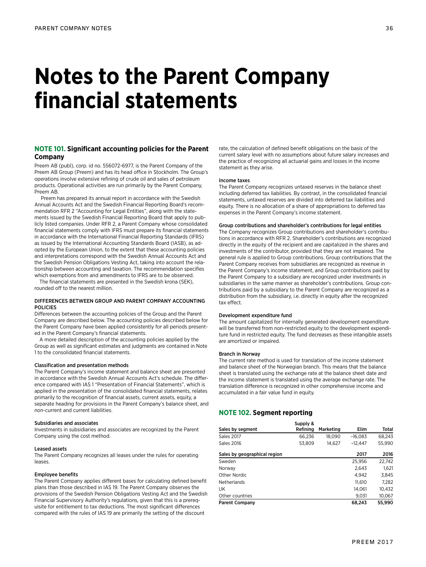## **Notes to the Parent Company financial statements**

## **NOTE 101. Significant accounting policies for the Parent Company**

Preem AB (publ), corp. id no. 556072-6977, is the Parent Company of the Preem AB Group (Preem) and has its head office in Stockholm. The Group's operations involve extensive refining of crude oil and sales of petroleum products. Operational activities are run primarily by the Parent Company, Preem AB.

 Preem has prepared its annual report in accordance with the Swedish Annual Accounts Act and the Swedish Financial Reporting Board's recommendation RFR 2 "Accounting for Legal Entities", along with the statements issued by the Swedish Financial Reporting Board that apply to publicly listed companies. Under RFR 2, a Parent Company whose consolidated financial statements comply with IFRS must prepare its financial statements in accordance with the International Financial Reporting Standards (IFRS) as issued by the International Accounting Standards Board (IASB), as adopted by the European Union, to the extent that these accounting policies and interpretations correspond with the Swedish Annual Accounts Act and the Swedish Pension Obligations Vesting Act, taking into account the relationship between accounting and taxation. The recommendation specifies which exemptions from and amendments to IFRS are to be observed.

The financial statements are presented in the Swedish krona (SEK), rounded off to the nearest million.

## DIFFERENCES BETWEEN GROUP AND PARENT COMPANY ACCOUNTING POLICIES

Differences between the accounting policies of the Group and the Parent Company are described below. The accounting policies described below for the Parent Company have been applied consistently for all periods presented in the Parent Company's financial statements.

A more detailed description of the accounting policies applied by the Group as well as significant estimates and judgments are contained in Note 1 to the consolidated financial statements.

## Classification and presentation methods

The Parent Company's income statement and balance sheet are presented in accordance with the Swedish Annual Accounts Act's schedule. The difference compared with IAS 1 "Presentation of Financial Statements", which is applied in the presentation of the consolidated financial statements, relates primarily to the recognition of financial assets, current assets, equity, a separate heading for provisions in the Parent Company's balance sheet, and non-current and current liabilities.

## Subsidiaries and associates

Investments in subsidiaries and associates are recognized by the Parent Company using the cost method.

#### Leased assets

The Parent Company recognizes all leases under the rules for operating leases.

#### Employee benefits

The Parent Company applies different bases for calculating defined benefit plans than those described in IAS 19. The Parent Company observes the provisions of the Swedish Pension Obligations Vesting Act and the Swedish Financial Supervisory Authority's regulations, given that this is a prerequisite for entitlement to tax deductions. The most significant differences compared with the rules of IAS 19 are primarily the setting of the discount

rate, the calculation of defined benefit obligations on the basis of the current salary level with no assumptions about future salary increases and the practice of recognizing all actuarial gains and losses in the income statement as they arise.

#### Income taxes

The Parent Company recognizes untaxed reserves in the balance sheet including deferred tax liabilities. By contrast, in the consolidated financial statements, untaxed reserves are divided into deferred tax liabilities and equity. There is no allocation of a share of appropriations to deferred tax expenses in the Parent Company's income statement.

### Group contributions and shareholder's contributions for legal entities

The Company recognizes Group contributions and shareholder's contributions in accordance with RFR 2. Shareholder's contributions are recognized directly in the equity of the recipient and are capitalized in the shares and investments of the contributor, provided that they are not impaired. The general rule is applied to Group contributions. Group contributions that the Parent Company receives from subsidiaries are recognized as revenue in the Parent Company's income statement, and Group contributions paid by the Parent Company to a subsidiary are recognized under investments in subsidiaries in the same manner as shareholder's contributions. Group contributions paid by a subsidiary to the Parent Company are recognized as a distribution from the subsidiary, i.e. directly in equity after the recognized tax effect.

#### Development expenditure fund

The amount capitalized for internally generated development expenditure will be transferred from non-restricted equity to the development expenditure fund in restricted equity. The fund decreases as these intangible assets are amortized or impaired.

#### Branch in Norway

The current rate method is used for translation of the income statement and balance sheet of the Norwegian branch. This means that the balance sheet is translated using the exchange rate at the balance sheet date and the income statement is translated using the average exchange rate. The translation difference is recognized in other comprehensive income and accumulated in a fair value fund in equity.

## **NOTE 102. Segment reporting**

|                              | Supply & |           |           |        |
|------------------------------|----------|-----------|-----------|--------|
| Sales by segment             | Refining | Marketing | Elim      | Total  |
| <b>Sales 2017</b>            | 66.236   | 18,090    | $-16.083$ | 68.243 |
| Sales 2016                   | 53.809   | 14.627    | $-12.447$ | 55,990 |
| Sales by geographical region |          |           | 2017      | 2016   |
| Sweden                       |          |           | 25.956    | 22,742 |
| Norway                       |          |           | 2,643     | 1,621  |
| Other Nordic                 |          |           | 4.942     | 3.845  |
| Netherlands                  |          |           | 11.610    | 7.282  |
| UK                           |          |           | 14.061    | 10,432 |
| Other countries              |          |           | 9.031     | 10,067 |
| <b>Parent Company</b>        |          |           | 68,243    | 55,990 |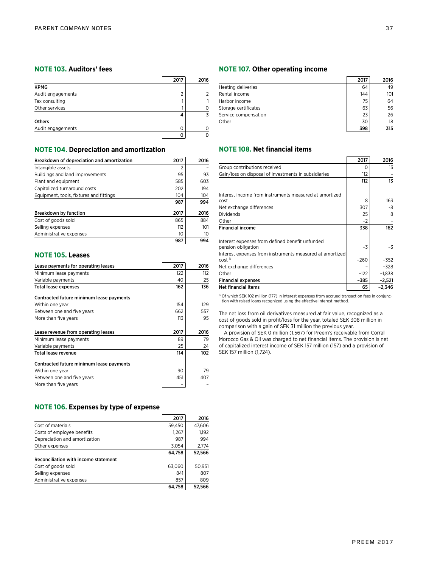## **NOTE 103. Auditors' fees**

|                   | 2017 | 2016 |
|-------------------|------|------|
| <b>KPMG</b>       |      |      |
| Audit engagements | 2    |      |
| Tax consulting    |      |      |
| Other services    |      |      |
|                   |      |      |
| <b>Others</b>     |      |      |
| Audit engagements | 0    |      |
|                   |      |      |

## **NOTE 104. Depreciation and amortization**

| Breakdown of depreciation and amortization | 2017 | 2016 |
|--------------------------------------------|------|------|
| Intangible assets                          | 2    |      |
| Buildings and land improvements            | 95   | 93   |
| Plant and equipment                        | 585  | 603  |
| Capitalized turnaround costs               | 202  | 194  |
| Equipment, tools, fixtures and fittings    | 104  | 104  |
|                                            | 987  | 994  |
| <b>Breakdown by function</b>               | 2017 | 2016 |
| Cost of goods sold                         | 865  | 884  |
| Selling expenses                           | 112  | 101  |
| Administrative expenses                    | 10   | 10   |
|                                            | 987  | 994  |

## **NOTE 105. Leases**

| Lease payments for operating leases      | 2017 | 2016 |
|------------------------------------------|------|------|
| Minimum lease payments                   | 122  | 112  |
| Variable payments                        | 40   | 25   |
| <b>Total lease expenses</b>              | 162  | 136  |
| Contracted future minimum lease payments |      |      |
| Within one year                          | 154  | 129  |
| Between one and five years               | 662  | 557  |
| More than five years                     | 113  | 95   |
|                                          |      |      |
| Lease revenue from operating leases      | 2017 | 2016 |
| Minimum lease payments                   | 89   | 79   |
| Variable payments                        | 25   | 24   |
| Total lease revenue                      | 114  | 102  |
| Contracted future minimum lease payments |      |      |
| Within one year                          | 90   | 79   |
| Between one and five years               | 451  | 407  |
| More than five years                     |      |      |

## **NOTE 106. Expenses by type of expense**

|                                      | 2017   | 2016   |
|--------------------------------------|--------|--------|
| Cost of materials                    | 59,450 | 47,606 |
| Costs of employee benefits           | 1.267  | 1,192  |
| Depreciation and amortization        | 987    | 994    |
| Other expenses                       | 3.054  | 2.774  |
|                                      | 64,758 | 52,566 |
| Reconciliation with income statement |        |        |
| Cost of goods sold                   | 63.060 | 50.951 |
| Selling expenses                     | 841    | 807    |
| Administrative expenses              | 857    | 809    |
|                                      | 64.758 | 52.566 |

## **NOTE 107. Other operating income**

|                      | 2017 | 2016 |
|----------------------|------|------|
| Heating deliveries   | 64   | 49   |
| Rental income        | 144  | 101  |
| Harbor income        | 75   | 64   |
| Storage certificates | 63   | 56   |
| Service compensation | 23   | 26   |
| Other                | 30   | 18   |
|                      | 398  | 315  |

## **NOTE 108. Net financial items**

|                                                          | 2017     | 2016     |
|----------------------------------------------------------|----------|----------|
| Group contributions received                             | $\Omega$ | 13       |
| Gain/loss on disposal of investments in subsidiaries     | 112      |          |
|                                                          | 112      | 13       |
| Interest income from instruments measured at amortized   |          |          |
| cost                                                     | 8        | 163      |
| Net exchange differences                                 | 307      | -8       |
| <b>Dividends</b>                                         | 25       | 8        |
| Other                                                    | $-2$     |          |
| <b>Financial income</b>                                  | 338      | 162      |
| Interest expenses from defined benefit unfunded          |          |          |
| pension obligation                                       | $-3$     | -3       |
| Interest expenses from instruments measured at amortized |          |          |
| cost <sup>1</sup>                                        | $-260$   | $-352$   |
| Net exchange differences                                 |          | $-328$   |
| Other                                                    | $-122$   | $-1,838$ |
| <b>Financial expenses</b>                                | -385     | $-2,521$ |
| <b>Net financial items</b>                               | 65       | $-2,346$ |

1) Of which SEK 102 million (177) in interest expenses from accrued transaction fees in conjunc-tion with raised loans recognized using the effective interest method.

The net loss from oil derivatives measured at fair value, recognized as a cost of goods sold in profit/loss for the year, totaled SEK 308 million in comparison with a gain of SEK 31 million the previous year.

A provision of SEK 0 million (1,567) for Preem's receivable from Corral Morocco Gas & Oil was charged to net financial items. The provision is net of capitalized interest income of SEK 157 million (157) and a provision of SEK 157 million (1,724).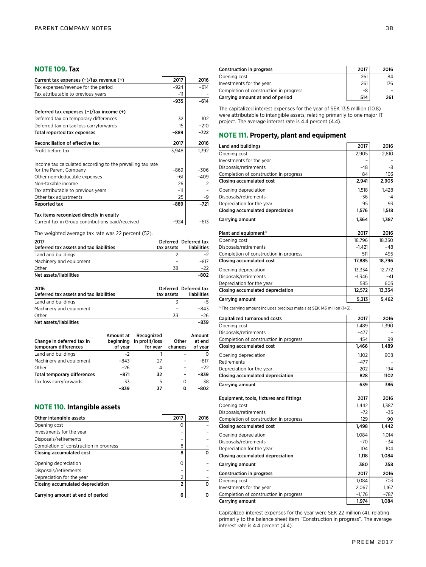## **NOTE 109. Tax**

| Current tax expenses (-)/tax revenue (+)                   | 2017   | 2016   |
|------------------------------------------------------------|--------|--------|
| Tax expenses/revenue for the period                        | $-924$ | $-614$ |
| Tax attributable to previous years                         | $-11$  |        |
|                                                            | -935   | $-614$ |
| Deferred tax expenses $(-)/\tan$ income $(+)$              |        |        |
| Deferred tax on temporary differences                      | 32     | 102    |
| Deferred tax on tax loss carryforwards                     | 15     | $-210$ |
| Total reported tax expenses                                | -889   | $-722$ |
| Reconciliation of effective tax                            | 2017   | 2016   |
| Profit before tax                                          | 3.948  | 1,392  |
| Income tax calculated according to the prevailing tax rate |        |        |
| for the Parent Company                                     | $-869$ | $-306$ |
| Other non-deductible expenses                              | $-61$  | $-409$ |
| Non-taxable income                                         | 26     | 2      |
| Tax attributable to previous years                         | $-11$  |        |
| Other tax adjustments                                      | 25     | -9     |
| Reported tax                                               | -889   | $-721$ |
| Tax items recognized directly in equity                    |        |        |
| Current tax in Group contributions paid/received           | -924   | $-613$ |

The weighted average tax rate was 22 percent (52).

| 2017<br>Deferred tax assets and tax liabilities | tax assets | Deferred Deferred tax<br>liabilities |
|-------------------------------------------------|------------|--------------------------------------|
| Land and buildings                              |            | $-2$                                 |
| Machinery and equipment                         |            | $-817$                               |
| Other                                           | 38         | $-22$                                |
| Net assets/liabilities                          |            | $-802$                               |

| 2016<br>Deferred tax assets and tax liabilities | tax assets | Deferred Deferred tax<br>liabilities |
|-------------------------------------------------|------------|--------------------------------------|
| Land and buildings                              |            | -5.                                  |
| Machinery and equipment                         |            | -843                                 |
| Other                                           | 33         | -26                                  |
| Net assets/liabilities                          |            | $-839$                               |

| Change in deferred tax in<br>temporary differences | Amount at<br>beginning<br>of year | Recognized<br>in profit/loss<br>for year | Other<br>changes | Amount<br>at end<br>of year |
|----------------------------------------------------|-----------------------------------|------------------------------------------|------------------|-----------------------------|
| Land and buildings                                 | $-2$                              |                                          |                  |                             |
| Machinery and equipment                            | -843                              | 27                                       |                  | $-817$                      |
| Other                                              | $-26$                             | 4                                        |                  | $-22$                       |
| <b>Total temporary differences</b>                 | $-871$                            | 32                                       |                  | $-839$                      |
| Tax loss carryforwards                             | 33                                | 5                                        | 0                | 38                          |
|                                                    | -839                              | 37                                       | Ω                | $-802$                      |

## **NOTE 110. Intangible assets**

| Other intangible assets                | 2017          | 2016 |
|----------------------------------------|---------------|------|
| Opening cost                           | C             |      |
| Investments for the year               |               |      |
| Disposals/retirements                  |               |      |
| Completion of construction in progress | 8             |      |
| Closing accumulated cost               | 8             | n    |
| Opening depreciation                   | O             |      |
| Disposals/retirements                  |               |      |
| Depreciation for the year              | $\mathcal{P}$ |      |
| Closing accumulated depreciation       | 2             | n    |
| Carrying amount at end of period       | 6             |      |

| <b>Construction in progress</b>        | 2017 | 2016 |
|----------------------------------------|------|------|
| Opening cost                           | 261  | 84   |
| Investments for the year               | 261  | 176  |
| Completion of construction in progress | -8   |      |
| Carrying amount at end of period       | 514  | 261  |

The capitalized interest expenses for the year of SEK 13.5 million (10.8) were attributable to intangible assets, relating primarily to one major IT project. The average interest rate is 4.4 percent (4.4).

## **NOTE 111. Property, plant and equipment**

| Land and buildings                     | 2017     | 2016   |
|----------------------------------------|----------|--------|
| Opening cost                           | 2,905    | 2,810  |
| Investments for the year               |          |        |
| Disposals/retirements                  | $-48$    | -8     |
| Completion of construction in progress | 84       | 103    |
| Closing accumulated cost               | 2,941    | 2,905  |
| Opening depreciation                   | 1,518    | 1,428  |
| Disposals/retirements                  | -36      | $-4$   |
| Depreciation for the year              | 95       | 93     |
| Closing accumulated depreciation       | 1,576    | 1,518  |
| Carrying amount                        | 1,364    | 1,387  |
| Plant and equipment <sup>1)</sup>      | 2017     | 2016   |
| Opening cost                           | 18,796   | 18,350 |
| Disposals/retirements                  | $-1.421$ | $-48$  |
| Completion of construction in progress | 511      | 495    |
| Closing accumulated cost               | 17,885   | 18,796 |
| Opening depreciation                   | 13,334   | 12,772 |
| Disposals/retirements                  | $-1,346$ | $-41$  |
| Depreciation for the year              | 585      | 603    |
| Closing accumulated depreciation       | 12,572   | 13,334 |
| Carrying amount                        | 5,313    | 5,462  |

 $<sup>1)</sup>$  The carrying amount includes precious metals at SEK 143 million (143).</sup>

| Capitalized turnaround costs            | 2017     | 2016   |
|-----------------------------------------|----------|--------|
| Opening cost                            | 1.489    | 1,390  |
| Disposals/retirements                   | $-477$   |        |
| Completion of construction in progress  | 454      | 99     |
| Closing accumulated cost                | 1,466    | 1,489  |
| Opening depreciation                    | 1.102    | 908    |
| Retirements                             | $-477$   |        |
| Depreciation for the year               | 202      | 194    |
| Closing accumulated depreciation        | 828      | 1102   |
| Carrying amount                         | 639      | 386    |
| Equipment, tools, fixtures and fittings | 2017     | 2016   |
| Opening cost                            | 1.442    | 1.387  |
| Disposals/retirements                   | $-72$    | $-35$  |
| Completion of construction in progress  | 129      | 90     |
| <b>Closing accumulated cost</b>         | 1,498    | 1,442  |
| Opening depreciation                    | 1.084    | 1.014  |
| Disposals/retirements                   | $-70$    | $-34$  |
| Depreciation for the year               | 104      | 104    |
| Closing accumulated depreciation        | 1,118    | 1,084  |
| Carrying amount                         | 380      | 358    |
| <b>Construction in progress</b>         | 2017     | 2016   |
| Opening cost                            | 1.084    | 703    |
| Investments for the year                | 2.067    | 1,167  |
| Completion of construction in progress  | $-1.176$ | $-787$ |
| Carrying amount                         | 1,974    | 1,084  |

Capitalized interest expenses for the year were SEK 22 million (4), relating primarily to the balance sheet item "Construction in progress". The average interest rate is 4.4 percent (4.4).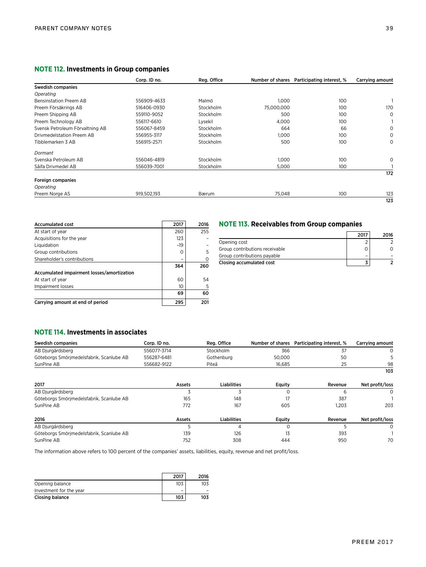## **NOTE 112. Investments in Group companies**

|                                 | Corp. ID no. | Reg. Office |            | Number of shares Participating interest, % | Carrying amount |
|---------------------------------|--------------|-------------|------------|--------------------------------------------|-----------------|
| Swedish companies               |              |             |            |                                            |                 |
| Operating                       |              |             |            |                                            |                 |
| <b>Bensinstation Preem AB</b>   | 556909-4633  | Malmö       | 1.000      | 100                                        |                 |
| Preem Försäkrings AB            | 516406-0930  | Stockholm   | 75,000,000 | 100                                        | 170             |
| Preem Shipping AB               | 559110-9052  | Stockholm   | 500        | 100                                        | 0               |
| Preem Technology AB             | 556117-6610  | Lysekil     | 4,000      | 100                                        |                 |
| Svensk Petroleum Förvaltning AB | 556067-8459  | Stockholm   | 664        | 66                                         | 0               |
| Drivmedelstation Preem AB       | 556955-3117  | Stockholm   | 1.000      | 100                                        | 0               |
| Tibblemarken 3 AB               | 556915-2571  | Stockholm   | 500        | 100                                        | 0               |
| Dormant                         |              |             |            |                                            |                 |
| Svenska Petroleum AB            | 556046-4819  | Stockholm   | 1,000      | 100                                        | 0               |
| Såifa Drivmedel AB              | 556039-7001  | Stockholm   | 5,000      | 100                                        |                 |
|                                 |              |             |            |                                            | 172             |
| Foreign companies               |              |             |            |                                            |                 |
| Operating                       |              |             |            |                                            |                 |
| Preem Norge AS                  | 919,502,193  | Bærum       | 75,048     | 100                                        | 123             |
|                                 |              |             |            |                                            | 123             |

| <b>Accumulated cost</b>                    | 2017  | 2016 |
|--------------------------------------------|-------|------|
| At start of year                           | 260   | 255  |
| Acquisitions for the year                  | 123   |      |
| Liquidation                                | $-19$ |      |
| Group contributions                        | Ω     | 5    |
| Shareholder's contributions                |       |      |
|                                            | 364   | 260  |
| Accumulated impairment losses/amortization |       |      |
| At start of year                           | 60    | 54   |
| Impairment losses                          | 10    | 5    |
|                                            | 69    | 60   |
| Carrying amount at end of period           | 295   | 201  |

## **NOTE 113. Receivables from Group companies**

|                                | 2017 | 2016 |
|--------------------------------|------|------|
| Opening cost                   |      |      |
| Group contributions receivable |      |      |
| Group contributions payable    |      |      |
| Closing accumulated cost       |      |      |

## **NOTE 114. Investments in associates**

| Swedish companies                        | Corp. ID no. | Reg. Office        | Number of shares | Participating interest, % | Carrying amount |
|------------------------------------------|--------------|--------------------|------------------|---------------------------|-----------------|
| AB Djurgårdsberg                         | 556077-3714  | Stockholm          | 366              | 37                        | $\Omega$        |
| Göteborgs Smörjmedelsfabrik, Scanlube AB | 556287-6481  | Gothenburg         | 50,000           | 50                        |                 |
| SunPine AB                               | 556682-9122  | Piteå              | 16.685           | 25                        | 98              |
|                                          |              |                    |                  |                           | 103             |
| 2017                                     | Assets       | Liabilities        | Equity           | Revenue                   | Net profit/loss |
| AB Djurgårdsberg                         |              |                    |                  | 6                         | 0               |
| Göteborgs Smörjmedelsfabrik, Scanlube AB | 165          | 148                | 17               | 387                       |                 |
| SunPine AB                               | 772          | 167                | 605              | 1,203                     | 203             |
| 2016                                     | Assets       | <b>Liabilities</b> | Equity           | Revenue                   | Net profit/loss |
| AB Djurgårdsberg                         |              | 4                  |                  | 5                         | 0               |
| Göteborgs Smörjmedelsfabrik, Scanlube AB | 139          | 126                | 13               | 393                       |                 |
| SunPine AB                               | 752          | 308                | 444              | 950                       | 70              |

The information above refers to 100 percent of the companies' assets, liabilities, equity, revenue and net profit/loss.

|                         | 2017                     | 2016 |
|-------------------------|--------------------------|------|
| Opening balance         | 103                      | 103  |
| Investment for the year | $\overline{\phantom{0}}$ |      |
| Closing balance         | 103                      | 103  |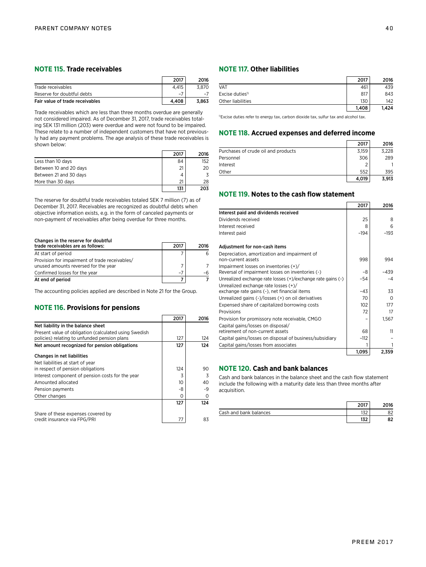## **NOTE 115. Trade receivables**

|                                 | 2017  | 2016  |
|---------------------------------|-------|-------|
| Trade receivables               | 4.415 | 3.870 |
| Reserve for doubtful debts      | $-$   |       |
| Fair value of trade receivables | 4.408 | 3.863 |

Trade receivables which are less than three months overdue are generally not considered impaired. As of December 31, 2017, trade receivables totaling SEK 131 million (203) were overdue and were not found to be impaired. These relate to a number of independent customers that have not previously had any payment problems. The age analysis of these trade receivables is shown below:

|                        | 2017 | 2016 |
|------------------------|------|------|
| Less than 10 days      | 84   | 152  |
| Between 10 and 20 days | 21   | 20   |
| Between 21 and 30 days |      | 3    |
| More than 30 days      |      | 28   |
|                        | 131  | 203  |

The reserve for doubtful trade receivables totaled SEK 7 million (7) as of December 31, 2017. Receivables are recognized as doubtful debts when objective information exists, e.g. in the form of canceled payments or non-payment of receivables after being overdue for three months.

## Changes in the reserve for doubtful

| trade receivables are as follows:              | 2017 | 2016 |
|------------------------------------------------|------|------|
| At start of period                             |      |      |
| Provision for impairment of trade receivables/ |      |      |
| unused amounts reversed for the year           |      |      |
| Confirmed losses for the year                  | $-7$ | -6   |
| At end of period                               |      |      |

The accounting policies applied are described in Note 21 for the Group.

## **NOTE 116. Provisions for pensions**

|                                                                                                       | 2017 | 2016 |
|-------------------------------------------------------------------------------------------------------|------|------|
| Net liability in the balance sheet                                                                    |      |      |
| Present value of obligation (calculated using Swedish<br>policies) relating to unfunded pension plans | 127  | 124  |
| Net amount recognized for pension obligations                                                         | 127  | 124  |
| Changes in net liabilities                                                                            |      |      |
| Net liabilities at start of year                                                                      |      |      |
| in respect of pension obligations                                                                     | 124  | 90   |
| Interest component of pension costs for the year                                                      | 3    | 3    |
| Amounted allocated                                                                                    | 10   | 40   |
| Pension payments                                                                                      | -8   | -9   |
| Other changes                                                                                         | Ω    | 0    |
|                                                                                                       | 127  | 124  |
| Share of these expenses covered by                                                                    |      |      |
| credit insurance via FPG/PRI                                                                          | 77   | 83   |

## **NOTE 117. Other liabilities**

|                            | 2017  | 2016  |
|----------------------------|-------|-------|
| <b>VAT</b>                 | 461   | 439   |
| Excise duties <sup>1</sup> | 817   | 843   |
| Other liabilities          | 130   | 142   |
|                            | 1.408 | 1.424 |

<sup>1)</sup>Excise duties refer to energy tax, carbon dioxide tax, sulfur tax and alcohol tax.

## **NOTE 118. Accrued expenses and deferred income**

|                                     | 2017  | 2016  |
|-------------------------------------|-------|-------|
| Purchases of crude oil and products | 3,159 | 3.228 |
| Personnel                           | 306   | 289   |
| Interest                            |       |       |
| Other                               | 552   | 395   |
|                                     | 4,019 | 3.913 |

## **NOTE 119. Notes to the cash flow statement**

|                                                             | 2017   | 2016   |
|-------------------------------------------------------------|--------|--------|
| Interest paid and dividends received                        |        |        |
| Dividends received                                          | 25     | 8      |
| Interest received                                           | 8      | 6      |
| Interest paid                                               | $-194$ | $-193$ |
| Adjustment for non-cash items                               |        |        |
| Depreciation, amortization and impairment of                |        |        |
| non-current assets                                          | 998    | 994    |
| Impairment losses on inventories (+)/                       |        |        |
| Reversal of impairment losses on inventories (-)            | -8     | $-439$ |
| Unrealized exchange rate losses (+)/exchange rate gains (-) | -54    | $-4$   |
| Unrealized exchange rate losses (+)/                        |        |        |
| exchange rate gains (-), net financial items                | $-43$  | 33     |
| Unrealized gains (-)/losses (+) on oil derivatives          | 70     | ∩      |
| Expensed share of capitalized borrowing costs               | 102    | 177    |
| Provisions                                                  | 72     | 17     |
| Provision for promissory note receivable, CMGO              |        | 1,567  |
| Capital gains/losses on disposal/                           |        |        |
| retirement of non-current assets                            | 68     | 11     |
| Capital gains/losses on disposal of business/subsidiary     | $-112$ |        |
| Capital gains/losses from associates                        |        |        |
|                                                             | 1,095  | 2,359  |

## **NOTE 120. Cash and bank balances**

Cash and bank balances in the balance sheet and the cash flow statement include the following with a maturity date less than three months after acquisition.

|                        |      | )16 |
|------------------------|------|-----|
| Cash and bank balances | 1J 4 |     |
|                        | w    |     |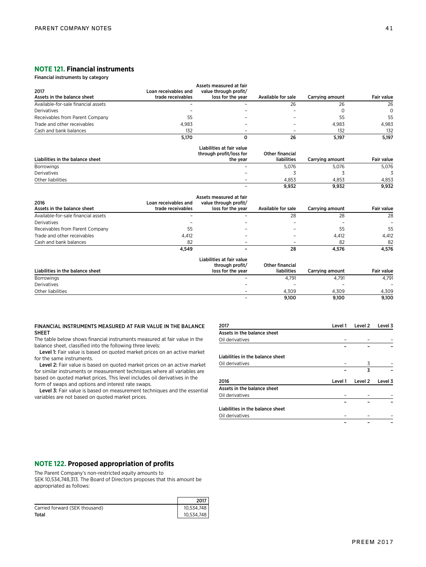## **NOTE 121. Financial instruments**

Financial instruments by category

|                                     |                      | Assets measured at fair          |                        |                 |                   |
|-------------------------------------|----------------------|----------------------------------|------------------------|-----------------|-------------------|
| 2017                                | Loan receivables and | value through profit/            |                        |                 |                   |
| Assets in the balance sheet         | trade receivables    | loss for the year                | Available for sale     | Carrying amount | <b>Fair value</b> |
| Available-for-sale financial assets |                      |                                  | 26                     | 26              | 26                |
| Derivatives                         |                      |                                  |                        | $\Omega$        | $\Omega$          |
| Receivables from Parent Company     | 55                   |                                  |                        | 55              | 55                |
| Trade and other receivables         | 4.983                |                                  |                        | 4.983           | 4,983             |
| Cash and bank balances              | 132                  |                                  |                        | 132             | 132               |
|                                     | 5,170                | 0                                | 26                     | 5,197           | 5,197             |
|                                     |                      | Liabilities at fair value        |                        |                 |                   |
|                                     |                      | through profit/loss for          | Other financial        |                 |                   |
| Liabilities in the balance sheet    |                      | the year                         | liabilities            | Carrying amount | <b>Fair value</b> |
| <b>Borrowings</b>                   |                      |                                  | 5,076                  | 5,076           | 5,076             |
| Derivatives                         |                      |                                  | 3                      | 3               | 3                 |
| Other liabilities                   |                      |                                  | 4,853                  | 4,853           | 4,853             |
|                                     |                      |                                  | 9,932                  | 9,932           | 9,932             |
|                                     |                      | Assets measured at fair          |                        |                 |                   |
| 2016                                | Loan receivables and | value through profit/            |                        |                 |                   |
| Assets in the balance sheet         | trade receivables    | loss for the year                | Available for sale     | Carrying amount | <b>Fair value</b> |
| Available-for-sale financial assets |                      |                                  | 28                     | 28              | 28                |
| Derivatives                         |                      |                                  |                        |                 |                   |
| Receivables from Parent Company     | 55                   |                                  |                        | 55              | 55                |
| Trade and other receivables         | 4,412                |                                  |                        | 4,412           | 4,412             |
| Cash and bank balances              | 82                   |                                  |                        | 82              | 82                |
|                                     | 4,549                |                                  | 28                     | 4,576           | 4,576             |
|                                     |                      | <b>Liabilities at fair value</b> |                        |                 |                   |
|                                     |                      | through profit/                  | <b>Other financial</b> |                 |                   |
| Liabilities in the balance sheet    |                      | loss for the year                | <b>liabilities</b>     | Carrying amount | <b>Fair value</b> |
| <b>Borrowings</b>                   |                      |                                  | 4.791                  | 4.791           | 4.791             |

Derivatives – – – – Other liabilities – 4,309 4,309 4,309

| FINANCIAL INSTRUMENTS MEASURED AT FAIR VALUE IN THE BALANCE |  |
|-------------------------------------------------------------|--|
| <b>SHEET</b>                                                |  |

The table below shows financial instruments measured at fair value in the balance sheet, classified into the following three levels:

Level 1: Fair value is based on quoted market prices on an active market for the same instruments.

Level 2: Fair value is based on quoted market prices on an active market for similar instruments or measurement techniques where all variables are based on quoted market prices. This level includes oil derivatives in the form of swaps and options and interest rate swaps.

Level 3: Fair value is based on measurement techniques and the essential variables are not based on quoted market prices.

| 2017                             | Level 1 | Level 2 | Level 3 |
|----------------------------------|---------|---------|---------|
| Assets in the balance sheet      |         |         |         |
| Oil derivatives                  |         |         |         |
|                                  |         |         |         |
| Liabilities in the balance sheet |         |         |         |
| Oil derivatives                  |         | 3       |         |
|                                  |         | 3       |         |
| 2016                             | Level 1 | Level 2 | Level 3 |
| Assets in the balance sheet      |         |         |         |
| Oil derivatives                  |         |         |         |
|                                  |         |         |         |
| Liabilities in the balance sheet |         |         |         |
| Oil derivatives                  |         |         |         |

– 9,100 9,100 9,100

## **NOTE 122. Proposed appropriation of profits**

The Parent Company's non-restricted equity amounts to SEK 10,534,748,313. The Board of Directors proposes that this amount be appropriated as follows:

|                                | 2017       |
|--------------------------------|------------|
| Carried forward (SEK thousand) | 10,534,748 |
| Total                          | 10,534,748 |

– – –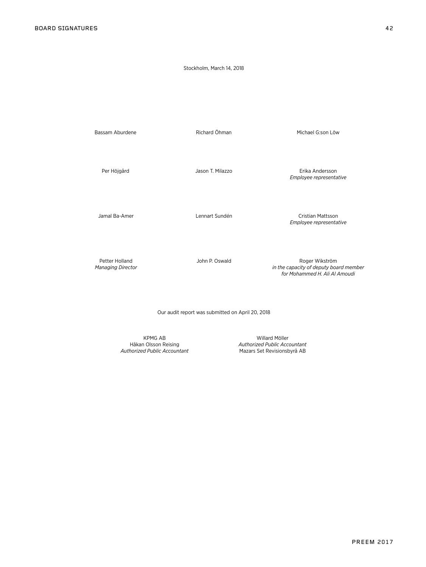## Stockholm, March 14, 2018

Bassam Aburdene The Richard Öhman Michael G:son Löw

Per Höjgård Jason T. Milazzo Erika Andersson *Employee representative*

Jamal Ba-Amer Lennart Sundén Cristian Mattsson *Employee representative*

Petter Holland **Figure 2018** John P. Oswald **Roger Wikström** Roger Wikström P. Oswald Roger Wikström P. Oswald *Managing Director in the capacity of deputy board member for Mohammed H. Ali Al Amoudi*

Our audit report was submitted on April 20, 2018

KPMG AB Willard Möller<br>Håkan Olsson Reising Müller Håkan Olsson Reising Authorized Public Acco **Authorized Public Accountant** 

Authorized Public Accountant<br>Mazars Set Revisionsbyrå AB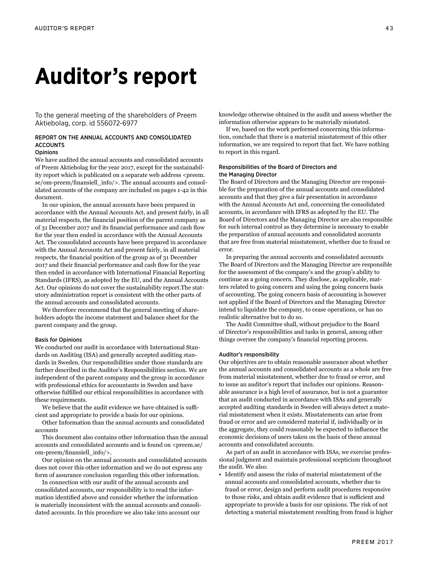## **Auditor's report**

To the general meeting of the shareholders of Preem Aktiebolag, corp. id 556072-6977

## REPORT ON THE ANNUAL ACCOUNTS AND CONSOLIDATED ACCOUNTS

## **Opinions**

We have audited the annual accounts and consolidated accounts of Preem Aktiebolag for the year 2017, except for the sustainability report which is publicated on a separate web address <preem. se/om-preem/finansiell\_info/>. The annual accounts and consolidated accounts of the company are included on pages 1-42 in this document.

In our opinion, the annual accounts have been prepared in accordance with the Annual Accounts Act, and present fairly, in all material respects, the financial position of the parent company as of 31 December 2017 and its financial performance and cash flow for the year then ended in accordance with the Annual Accounts Act. The consolidated accounts have been prepared in accordance with the Annual Accounts Act and present fairly, in all material respects, the financial position of the group as of 31 December 2017 and their financial performance and cash flow for the year then ended in accordance with International Financial Reporting Standards (IFRS), as adopted by the EU, and the Annual Accounts Act. Our opinions do not cover the sustainability report.The statutory administration report is consistent with the other parts of the annual accounts and consolidated accounts.

We therefore recommend that the general meeting of shareholders adopts the income statement and balance sheet for the parent company and the group.

### Basis for Opinions

We conducted our audit in accordance with International Standards on Auditing (ISA) and generally accepted auditing standards in Sweden. Our responsibilities under those standards are further described in the Auditor's Responsibilities section. We are independent of the parent company and the group in accordance with professional ethics for accountants in Sweden and have otherwise fulfilled our ethical responsibilities in accordance with these requirements.

We believe that the audit evidence we have obtained is sufficient and appropriate to provide a basis for our opinions.

Other Information than the annual accounts and consolidated accounts

This document also contains other information than the annual accounts and consolidated accounts and is found on <preem.se/ om-preem/finansiell\_info/>.

Our opinion on the annual accounts and consolidated accounts does not cover this other information and we do not express any form of assurance conclusion regarding this other information.

In connection with our audit of the annual accounts and consolidated accounts, our responsibility is to read the information identified above and consider whether the information is materially inconsistent with the annual accounts and consolidated accounts. In this procedure we also take into account our

knowledge otherwise obtained in the audit and assess whether the information otherwise appears to be materially misstated.

If we, based on the work performed concerning this information, conclude that there is a material misstatement of this other information, we are required to report that fact. We have nothing to report in this regard.

## Responsibilities of the Board of Directors and the Managing Director

The Board of Directors and the Managing Director are responsible for the preparation of the annual accounts and consolidated accounts and that they give a fair presentation in accordance with the Annual Accounts Act and, concerning the consolidated accounts, in accordance with IFRS as adopted by the EU. The Board of Directors and the Managing Director are also responsible for such internal control as they determine is necessary to enable the preparation of annual accounts and consolidated accounts that are free from material misstatement, whether due to fraud or error.

In preparing the annual accounts and consolidated accounts The Board of Directors and the Managing Director are responsible for the assessment of the company's and the group's ability to continue as a going concern. They disclose, as applicable, matters related to going concern and using the going concern basis of accounting. The going concern basis of accounting is however not applied if the Board of Directors and the Managing Director intend to liquidate the company, to cease operations, or has no realistic alternative but to do so.

The Audit Committee shall, without prejudice to the Board of Director's responsibilities and tasks in general, among other things oversee the company's financial reporting process.

### Auditor's responsibility

Our objectives are to obtain reasonable assurance about whether the annual accounts and consolidated accounts as a whole are free from material misstatement, whether due to fraud or error, and to issue an auditor's report that includes our opinions. Reasonable assurance is a high level of assurance, but is not a guarantee that an audit conducted in accordance with ISAs and generally accepted auditing standards in Sweden will always detect a material misstatement when it exists. Misstatements can arise from fraud or error and are considered material if, individually or in the aggregate, they could reasonably be expected to influence the economic decisions of users taken on the basis of these annual accounts and consolidated accounts.

As part of an audit in accordance with ISAs, we exercise professional judgment and maintain professional scepticism throughout the audit. We also:

• Identify and assess the risks of material misstatement of the annual accounts and consolidated accounts, whether due to fraud or error, design and perform audit procedures responsive to those risks, and obtain audit evidence that is sufficient and appropriate to provide a basis for our opinions. The risk of not detecting a material misstatement resulting from fraud is higher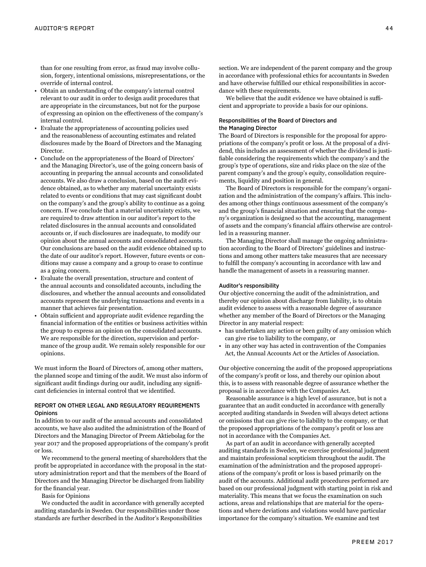than for one resulting from error, as fraud may involve collusion, forgery, intentional omissions, misrepresentations, or the override of internal control.

- Obtain an understanding of the company's internal control relevant to our audit in order to design audit procedures that are appropriate in the circumstances, but not for the purpose of expressing an opinion on the effectiveness of the company's internal control.
- Evaluate the appropriateness of accounting policies used and the reasonableness of accounting estimates and related disclosures made by the Board of Directors and the Managing Director.
- Conclude on the appropriateness of the Board of Directors' and the Managing Director's, use of the going concern basis of accounting in preparing the annual accounts and consolidated accounts. We also draw a conclusion, based on the audit evidence obtained, as to whether any material uncertainty exists related to events or conditions that may cast significant doubt on the company's and the group's ability to continue as a going concern. If we conclude that a material uncertainty exists, we are required to draw attention in our auditor's report to the related disclosures in the annual accounts and consolidated accounts or, if such disclosures are inadequate, to modify our opinion about the annual accounts and consolidated accounts. Our conclusions are based on the audit evidence obtained up to the date of our auditor's report. However, future events or conditions may cause a company and a group to cease to continue as a going concern.
- Evaluate the overall presentation, structure and content of the annual accounts and consolidated accounts, including the disclosures, and whether the annual accounts and consolidated accounts represent the underlying transactions and events in a manner that achieves fair presentation.
- Obtain sufficient and appropriate audit evidence regarding the financial information of the entities or business activities within the group to express an opinion on the consolidated accounts. We are responsible for the direction, supervision and performance of the group audit. We remain solely responsible for our opinions.

We must inform the Board of Directors of, among other matters, the planned scope and timing of the audit. We must also inform of significant audit findings during our audit, including any significant deficiencies in internal control that we identified.

## REPORT ON OTHER LEGAL AND REGULATORY REQUIREMENTS **Opinions**

In addition to our audit of the annual accounts and consolidated accounts, we have also audited the administration of the Board of Directors and the Managing Director of Preem Aktiebolag for the year 2017 and the proposed appropriations of the company's profit or loss.

We recommend to the general meeting of shareholders that the profit be appropriated in accordance with the proposal in the statutory administration report and that the members of the Board of Directors and the Managing Director be discharged from liability for the financial year.

Basis for Opinions

We conducted the audit in accordance with generally accepted auditing standards in Sweden. Our responsibilities under those standards are further described in the Auditor's Responsibilities

section. We are independent of the parent company and the group in accordance with professional ethics for accountants in Sweden and have otherwise fulfilled our ethical responsibilities in accordance with these requirements.

We believe that the audit evidence we have obtained is sufficient and appropriate to provide a basis for our opinions.

## Responsibilities of the Board of Directors and the Managing Director

The Board of Directors is responsible for the proposal for appropriations of the company's profit or loss. At the proposal of a dividend, this includes an assessment of whether the dividend is justifiable considering the requirements which the company's and the group's type of operations, size and risks place on the size of the parent company's and the group's equity, consolidation requirements, liquidity and position in general.

The Board of Directors is responsible for the company's organization and the administration of the company's affairs. This includes among other things continuous assessment of the company's and the group's financial situation and ensuring that the company's organization is designed so that the accounting, management of assets and the company's financial affairs otherwise are controlled in a reassuring manner.

The Managing Director shall manage the ongoing administration according to the Board of Directors' guidelines and instructions and among other matters take measures that are necessary to fulfill the company's accounting in accordance with law and handle the management of assets in a reassuring manner.

## Auditor's responsibility

Our objective concerning the audit of the administration, and thereby our opinion about discharge from liability, is to obtain audit evidence to assess with a reasonable degree of assurance whether any member of the Board of Directors or the Managing Director in any material respect:

- has undertaken any action or been guilty of any omission which can give rise to liability to the company, or
- in any other way has acted in contravention of the Companies Act, the Annual Accounts Act or the Articles of Association.

Our objective concerning the audit of the proposed appropriations of the company's profit or loss, and thereby our opinion about this, is to assess with reasonable degree of assurance whether the proposal is in accordance with the Companies Act.

Reasonable assurance is a high level of assurance, but is not a guarantee that an audit conducted in accordance with generally accepted auditing standards in Sweden will always detect actions or omissions that can give rise to liability to the company, or that the proposed appropriations of the company's profit or loss are not in accordance with the Companies Act.

As part of an audit in accordance with generally accepted auditing standards in Sweden, we exercise professional judgment and maintain professional scepticism throughout the audit. The examination of the administration and the proposed appropriations of the company's profit or loss is based primarily on the audit of the accounts. Additional audit procedures performed are based on our professional judgment with starting point in risk and materiality. This means that we focus the examination on such actions, areas and relationships that are material for the operations and where deviations and violations would have particular importance for the company's situation. We examine and test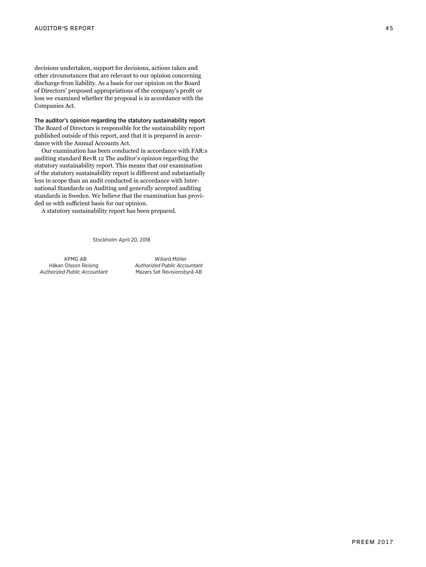decisions undertaken, support for decisions, actions taken and other circumstances that are relevant to our opinion concerning discharge from liability. As a basis for our opinion on the Board of Directors' proposed appropriations of the company's profit or loss we examined whether the proposal is in accordance with the Companies Act.

The auditor's opinion regarding the statutory sustainability report The Board of Directors is responsible for the sustainability report published outside of this report, and that it is prepared in accor dance with the Annual Accounts Act.

Our examination has been conducted in accordance with FAR:s auditing standard RevR 12 The auditor's opinion regarding the statutory sustainability report. This means that our examination of the statutory sustainability report is different and substantially less in scope than an audit conducted in accordance with Inter national Standards on Auditing and generally accepted auditing standards in Sweden. We believe that the examination has provi ded us with sufficient basis for our opinion.

A statutory sustainability report has been prepared.

## Stockholm April 20, 2018

*Authorized Public Accountant* Mazars Set Revisionsbyrå AB

 KPMG AB Willard Möller Håkan Olsson Reising *Authorized Public Accountant*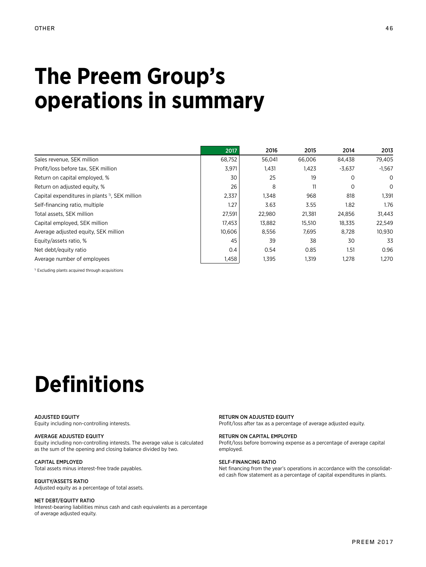## **The Preem Group's operations in summary**

|                                                           | 2017   | 2016   | 2015   | 2014        | 2013     |
|-----------------------------------------------------------|--------|--------|--------|-------------|----------|
| Sales revenue, SEK million                                | 68,752 | 56,041 | 66.006 | 84,438      | 79,405   |
| Profit/loss before tax, SEK million                       | 3,971  | 1,431  | 1,423  | $-3,637$    | $-1,567$ |
| Return on capital employed, %                             | 30     | 25     | 19     | 0           | 0        |
| Return on adjusted equity, %                              | 26     | 8      | 11     | $\mathbf 0$ | 0        |
| Capital expenditures in plants <sup>1</sup> , SEK million | 2,337  | 1.348  | 968    | 818         | 1,391    |
| Self-financing ratio, multiple                            | 1.27   | 3.63   | 3.55   | 1.82        | 1.76     |
| Total assets, SEK million                                 | 27,591 | 22,980 | 21,381 | 24,856      | 31,443   |
| Capital employed, SEK million                             | 17,453 | 13.882 | 15,510 | 18.335      | 22.549   |
| Average adjusted equity, SEK million                      | 10,606 | 8,556  | 7,695  | 8,728       | 10,930   |
| Equity/assets ratio, %                                    | 45     | 39     | 38     | 30          | 33       |
| Net debt/equity ratio                                     | 0.4    | 0.54   | 0.85   | 1.51        | 0.96     |
| Average number of employees                               | 1,458  | 1,395  | 1,319  | 1,278       | 1,270    |

<sup>1)</sup> Excluding plants acquired through acquisitions

# **Definitions**

#### ADJUSTED EQUITY

Equity including non-controlling interests.

## AVERAGE ADJUSTED EQUITY

Equity including non-controlling interests. The average value is calculated as the sum of the opening and closing balance divided by two.

## CAPITAL EMPLOYED

Total assets minus interest-free trade payables.

## EQUITY/ASSETS RATIO

Adjusted equity as a percentage of total assets.

## NET DEBT/EQUITY RATIO

Interest-bearing liabilities minus cash and cash equivalents as a percentage of average adjusted equity.

RETURN ON ADJUSTED EQUITY Profit/loss after tax as a percentage of average adjusted equity.

#### RETURN ON CAPITAL EMPLOYED

Profit/loss before borrowing expense as a percentage of average capital employed.

### SELF-FINANCING RATIO

Net financing from the year's operations in accordance with the consolidated cash flow statement as a percentage of capital expenditures in plants.